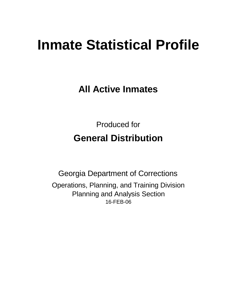# **Inmate Statistical Profile**

**All Active Inmates**

Produced for **General Distribution**

16-FEB-06 Georgia Department of Corrections Operations, Planning, and Training Division Planning and Analysis Section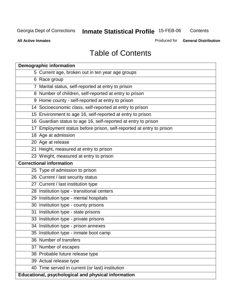**Contents** 

**All Active Inmates**

Produced for **General Distribution**

## Table of Contents

|    | <b>Demographic information</b>                                       |
|----|----------------------------------------------------------------------|
|    | 5 Current age, broken out in ten year age groups                     |
|    | 6 Race group                                                         |
|    | 7 Marital status, self-reported at entry to prison                   |
|    | 8 Number of children, self-reported at entry to prison               |
|    | 9 Home county - self-reported at entry to prison                     |
|    | 14 Socioeconomic class, self-reported at entry to prison             |
|    | 15 Environment to age 16, self-reported at entry to prison           |
|    | 16 Guardian status to age 16, self-reported at entry to prison       |
|    | 17 Employment status before prison, self-reported at entry to prison |
|    | 18 Age at admission                                                  |
|    | 20 Age at release                                                    |
|    | 21 Height, measured at entry to prison                               |
|    | 23 Weight, measured at entry to prison                               |
|    | <b>Correctional information</b>                                      |
|    | 25 Type of admission to prison                                       |
|    | 26 Current / last security status                                    |
|    | 27 Current / last institution type                                   |
|    | 28 Institution type - transitional centers                           |
|    | 29 Institution type - mental hospitals                               |
|    | 30 Institution type - county prisons                                 |
| 31 | Institution type - state prisons                                     |
|    | 33 Institution type - private prisons                                |
|    | 34 Institution type - prison annexes                                 |
|    | 35 Institution type - inmate boot camp                               |
|    | 36 Number of transfers                                               |
|    | 37 Number of escapes                                                 |
|    | 38 Probable future release type                                      |
|    | 39 Actual release type                                               |
|    | 40 Time served in current (or last) institution                      |
|    | Educational, psychological and physical information                  |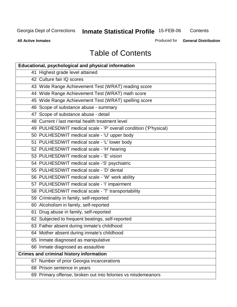**Contents** 

**All Active Inmates**

Produced for **General Distribution**

## Table of Contents

| <b>Educational, psychological and physical information</b>       |
|------------------------------------------------------------------|
| 41 Highest grade level attained                                  |
| 42 Culture fair IQ scores                                        |
| 43 Wide Range Achievement Test (WRAT) reading score              |
| 44 Wide Range Achievement Test (WRAT) math score                 |
| 45 Wide Range Achievement Test (WRAT) spelling score             |
| 46 Scope of substance abuse - summary                            |
| 47 Scope of substance abuse - detail                             |
| 48 Current / last mental health treatment level                  |
| 49 PULHESDWIT medical scale - 'P' overall condition ('P'hysical) |
| 50 PULHESDWIT medical scale - 'U' upper body                     |
| 51 PULHESDWIT medical scale - 'L' lower body                     |
| 52 PULHESDWIT medical scale - 'H' hearing                        |
| 53 PULHESDWIT medical scale - 'E' vision                         |
| 54 PULHESDWIT medical scale -'S' psychiatric                     |
| 55 PULHESDWIT medical scale - 'D' dental                         |
| 56 PULHESDWIT medical scale - 'W' work ability                   |
| 57 PULHESDWIT medical scale - 'I' impairment                     |
| 58 PULHESDWIT medical scale - 'T' transportability               |
| 59 Criminality in family, self-reported                          |
| 60 Alcoholism in family, self-reported                           |
| 61 Drug abuse in family, self-reported                           |
| 62 Subjected to frequent beatings, self-reported                 |
| 63 Father absent during inmate's childhood                       |
| 64 Mother absent during inmate's childhood                       |
| 65 Inmate diagnosed as manipulative                              |
| 66 Inmate diagnosed as assaultive                                |
| <b>Crimes and criminal history information</b>                   |
| 67 Number of prior Georgia incarcerations                        |
| 68 Prison sentence in years                                      |
| 69 Primary offense, broken out into felonies vs misdemeanors     |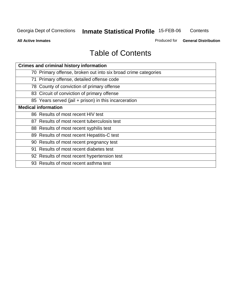**Contents** 

**All Active Inmates**

Produced for **General Distribution**

## Table of Contents

| <b>Crimes and criminal history information</b>                 |
|----------------------------------------------------------------|
| 70 Primary offense, broken out into six broad crime categories |
| 71 Primary offense, detailed offense code                      |
| 78 County of conviction of primary offense                     |
| 83 Circuit of conviction of primary offense                    |
| 85 Years served (jail + prison) in this incarceration          |
| <b>Medical information</b>                                     |
| 86 Results of most recent HIV test                             |
| 87 Results of most recent tuberculosis test                    |
| 88 Results of most recent syphilis test                        |
| 89 Results of most recent Hepatitis-C test                     |
| 90 Results of most recent pregnancy test                       |
| 91 Results of most recent diabetes test                        |
| 92 Results of most recent hypertension test                    |
| 93 Results of most recent asthma test                          |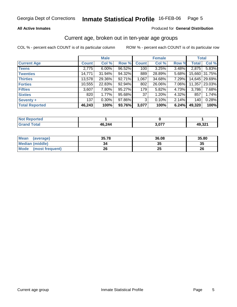#### **All Active Inmates**

#### Produced for **General Distribution**

#### Current age, broken out in ten-year age groups

|                       |              | <b>Male</b> |        |              | <b>Female</b> |       | <b>Total</b> |               |
|-----------------------|--------------|-------------|--------|--------------|---------------|-------|--------------|---------------|
| <b>Current Age</b>    | <b>Count</b> | Col %       | Row %  | <b>Count</b> | Col %         | Row % | <b>Total</b> | Col %         |
| <b>Teens</b>          | 2,775        | $6.00\%$    | 96.52% | 100          | 3.25%         | 3.48% | 2,875        | 5.83%         |
| <b>Twenties</b>       | 14,771       | 31.94%      | 94.32% | 889          | 28.89%        | 5.68% |              | 15,660 31.75% |
| <b>Thirties</b>       | 13,578       | 29.36%      | 92.71% | 1,067        | 34.68%        | 7.29% |              | 14,645 29.69% |
| <b>Forties</b>        | 10,555       | 22.83%      | 92.94% | 802          | 26.06%        | 7.06% | 11,357       | 23.03%        |
| <b>Fifties</b>        | 3,607        | 7.80%       | 95.27% | 179          | 5.82%         | 4.73% | 3,786        | 7.68%         |
| <b>Sixties</b>        | 820          | 1.77%       | 95.68% | 37           | 1.20%         | 4.32% | 857          | 1.74%         |
| Seventy +             | 137          | $0.30\%$    | 97.86% | 3            | 0.10%         | 2.14% | 140          | 0.28%         |
| <b>Total Reported</b> | 46,243       | 100%        | 93.76% | 3,077        | 100%          | 6.24% | 49,320       | 100%          |

| <b>Not Reported</b> |        |                 |        |
|---------------------|--------|-----------------|--------|
| Total               | 46,244 | כלה י<br>ו וט.נ | 49,321 |

| <b>Mean</b><br>(average) | 35.78 | 36.08    | 35.80 |
|--------------------------|-------|----------|-------|
| <b>Median (middle)</b>   | 34    | ^^<br>w  | 35    |
| Mode<br>(most frequent)  | 26    | າເ<br>δw | 26    |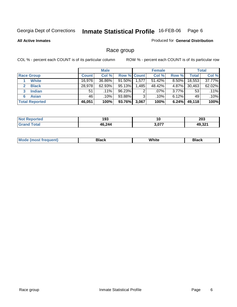**All Active Inmates**

#### Produced for **General Distribution**

### Race group

|                       |              | <b>Male</b> |                    |       | <b>Female</b> |          |        | <b>Total</b> |
|-----------------------|--------------|-------------|--------------------|-------|---------------|----------|--------|--------------|
| <b>Race Group</b>     | <b>Count</b> | Col %       | <b>Row % Count</b> |       | Col %         | Row %    | Total  | Col %        |
| <b>White</b>          | 16,976       | 36.86%      | $91.50\%$          | 1,577 | $51.42\%$     | $8.50\%$ | 18,553 | 37.77%       |
| <b>Black</b>          | 28,978       | $62.93\%$   | 95.13%             | .485  | 48.42%        | 4.87%    | 30,463 | 62.02%       |
| <b>Indian</b><br>3    | 51           | $.11\%$     | 96.23%             | 2     | $.07\%$       | $3.77\%$ | 53     | .11%         |
| <b>Asian</b>          | 46           | .10%        | 93.88%             | 3     | .10%          | $6.12\%$ | 49     | .10%         |
| <b>Total Reported</b> | 46,051       | 100%        | 93.76%             | 3,067 | 100%          | 6.24%    | 49,118 | 100%         |

| 193<br>__ | าบ    | າດາ<br>ZUJ       |
|-----------|-------|------------------|
| 46,244    | דים נ | 10.321<br>7.JZ . |

| $\sim$ $\sim$ $\sim$ $\sim$ |  | M. | Black | .<br>w<br>.<br>סטוונט | DIACK |
|-----------------------------|--|----|-------|-----------------------|-------|
|-----------------------------|--|----|-------|-----------------------|-------|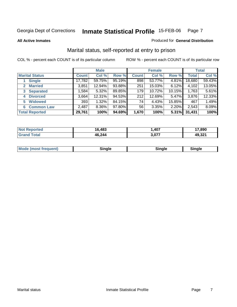#### **All Active Inmates**

#### Produced for **General Distribution**

### Marital status, self-reported at entry to prison

|                                |              | <b>Male</b> |        |              | <b>Female</b> |        |              | <b>Total</b> |
|--------------------------------|--------------|-------------|--------|--------------|---------------|--------|--------------|--------------|
| <b>Marital Status</b>          | <b>Count</b> | Col %       | Row %  | <b>Count</b> | Col %         | Row %  | <b>Total</b> | Col %        |
| <b>Single</b>                  | 17,782       | 59.75%      | 95.19% | 898          | 53.77%        | 4.81%  | 18,680       | 59.43%       |
| <b>Married</b><br>$\mathbf{2}$ | 3,851        | 12.94%      | 93.88% | 251          | 15.03%        | 6.12%  | 4,102        | 13.05%       |
| <b>Separated</b><br>3          | 1,584        | $5.32\%$    | 89.85% | 179          | 10.72%        | 10.15% | 1,763        | 5.61%        |
| <b>Divorced</b><br>4           | 3,664        | 12.31%      | 94.53% | 212          | 12.69%        | 5.47%  | 3,876        | 12.33%       |
| <b>Widowed</b><br>5            | 393          | 1.32%       | 84.15% | 74           | 4.43%         | 15.85% | 467          | 1.49%        |
| <b>Common Law</b><br>6         | 2,487        | 8.36%       | 97.80% | 56           | 3.35%         | 2.20%  | 2,543        | 8.09%        |
| <b>Total Reported</b>          | 29,761       | 100%        | 94.69% | 1,670        | 100%          | 5.31%  | 31,431       | 100%         |

| N | ,483   | ,407  | 17,890 |
|---|--------|-------|--------|
|   | IR 941 | 3,077 | 49,321 |

|  | <b>Mode</b><br>(most frequent) | .<br>luie | лане | ---- |
|--|--------------------------------|-----------|------|------|
|--|--------------------------------|-----------|------|------|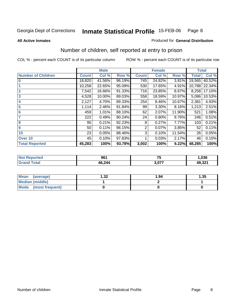**All Active Inmates**

#### Produced for **General Distribution**

### Number of children, self reported at entry to prison

|                           |              | <b>Male</b> |        |              | <b>Female</b> |        | <b>Total</b> |        |
|---------------------------|--------------|-------------|--------|--------------|---------------|--------|--------------|--------|
| <b>Number of Children</b> | <b>Count</b> | Col %       | Row %  | <b>Count</b> | Col %         | Row %  | <b>Total</b> | Col %  |
| $\overline{0}$            | 18,820       | 41.56%      | 96.19% | 745          | 24.82%        | 3.81%  | 19,565       | 40.52% |
|                           | 10,258       | 22.65%      | 95.09% | 530          | 17.65%        | 4.91%  | 10,788       | 22.34% |
| $\overline{2}$            | 7,542        | 16.66%      | 91.33% | 716          | 23.85%        | 8.67%  | 8,258        | 17.10% |
| $\overline{\mathbf{3}}$   | 4,528        | 10.00%      | 89.03% | 558          | 18.59%        | 10.97% | 5,086        | 10.53% |
| 4                         | 2,127        | 4.70%       | 89.33% | 254          | 8.46%         | 10.67% | 2,381        | 4.93%  |
| 5                         | 1,114        | 2.46%       | 91.84% | 99           | 3.30%         | 8.16%  | 1,213        | 2.51%  |
| $6\phantom{a}6$           | 459          | 1.01%       | 88.10% | 62           | 2.07%         | 11.90% | 521          | 1.08%  |
| 7                         | 222          | 0.49%       | 90.24% | 24           | 0.80%         | 9.76%  | 246          | 0.51%  |
| 8                         | 95           | 0.21%       | 92.23% | 8            | 0.27%         | 7.77%  | 103          | 0.21%  |
| 9                         | 50           | 0.11%       | 96.15% | 2            | 0.07%         | 3.85%  | 52           | 0.11%  |
| 10                        | 23           | 0.05%       | 88.46% | 3            | 0.10%         | 11.54% | 26           | 0.05%  |
| Over 10                   | 45           | 0.10%       | 97.83% |              | 0.03%         | 2.17%  | 46           | 0.10%  |
| <b>Total Reported</b>     | 45,283       | 100%        | 93.78% | 3,002        | 100%          | 6.22%  | 48,285       | 100%   |

| ted<br><b>N</b> | 961  | 75 F   | ,036   |
|-----------------|------|--------|--------|
| المقط           | 244. | $\sim$ | 49 321 |
|                 | 16.  | J.VI   | ്9,ఎ∠  |

| Mean<br>(average)    | າາ<br>∠د. ا | 1.94 | .35 |
|----------------------|-------------|------|-----|
| Median (middle)      |             |      |     |
| Mode (most frequent) |             |      |     |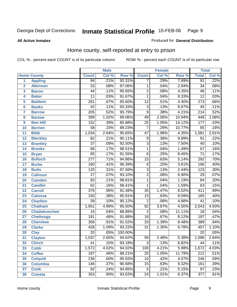#### **All Active Inmates**

#### Produced for **General Distribution**

### Home county, self-reported at entry to prison

|                  |                      |                  | <b>Male</b> |         |                 | <b>Female</b> |        | <b>Total</b>     |       |
|------------------|----------------------|------------------|-------------|---------|-----------------|---------------|--------|------------------|-------|
|                  | <b>Home County</b>   | <b>Count</b>     | Col %       | Row %   | <b>Count</b>    | Col %         | Row %  | <b>Total</b>     | Col % |
| 1                | <b>Appling</b>       | 84               | .21%        | 92.31%  | 7               | .29%          | 7.69%  | 91               | .22%  |
| $\overline{2}$   | <b>Atkinson</b>      | $\overline{33}$  | .08%        | 97.06%  | 1               | .04%          | 2.94%  | $\overline{34}$  | .08%  |
| 3                | <b>Bacon</b>         | $\overline{44}$  | .11%        | 95.65%  | $\overline{2}$  | .08%          | 4.35%  | 46               | .11%  |
| 4                | <b>Baker</b>         | $\overline{11}$  | .03%        | 91.67%  | 1               | .04%          | 8.33%  | $\overline{12}$  | .03%  |
| 5                | <b>Baldwin</b>       | $\overline{261}$ | .67%        | 95.60%  | $\overline{12}$ | .51%          | 4.40%  | $\overline{273}$ | .66%  |
| $6\phantom{1}6$  | <b>Banks</b>         | $\overline{42}$  | .11%        | 93.33%  | $\overline{3}$  | .13%          | 6.67%  | 45               | .11%  |
| 7                | <b>Barrow</b>        | $\overline{205}$ | .52%        | 95.79%  | $\overline{9}$  | .38%          | 4.21%  | $\overline{214}$ | .52%  |
| 8                | <b>Bartow</b>        | 399              | 1.02%       | 89.06%  | 49              | 2.06%         | 10.94% | 448              | 1.08% |
| $\boldsymbol{9}$ | <b>Ben Hill</b>      | 152              | .39%        | 85.88%  | $\overline{25}$ | 1.05%         | 14.12% | 177              | .43%  |
| 10               | <b>Berrien</b>       | $\overline{58}$  | .15%        | 89.23%  | $\overline{7}$  | .29%          | 10.77% | 65               | .16%  |
| 11               | <b>Bibb</b>          | 1,034            | 2.64%       | 95.65%  | $\overline{47}$ | 1.98%         | 4.35%  | 1,081            | 2.61% |
| 12               | <b>Bleckley</b>      | $\overline{82}$  | .21%        | 90.11%  | $\overline{9}$  | .38%          | 9.89%  | $\overline{91}$  | .22%  |
| $\overline{13}$  | <b>Brantley</b>      | $\overline{37}$  | .09%        | 92.50%  | $\overline{3}$  | .13%          | 7.50%  | $\overline{40}$  | .10%  |
| 14               | <b>Brooks</b>        | 66               | .17%        | 98.51%  | 1               | .04%          | 1.49%  | $\overline{67}$  | .16%  |
| 15               | <b>Bryan</b>         | 65               | .17%        | 91.55%  | $\overline{6}$  | .25%          | 8.45%  | $\overline{71}$  | .17%  |
| 16               | <b>Bulloch</b>       | $\overline{277}$ | .71%        | 94.86%  | $\overline{15}$ | .63%          | 5.14%  | 292              | .70%  |
| $\overline{17}$  | <b>Burke</b>         | 160              | .41%        | 96.39%  | $\overline{6}$  | .25%          | 3.61%  | 166              | .40%  |
| 18               | <b>Butts</b>         | 120              | .31%        | 97.56%  | $\overline{3}$  | .13%          | 2.44%  | 123              | .30%  |
| 19               | <b>Calhoun</b>       | $\overline{27}$  | .07%        | 93.10%  | $\overline{2}$  | .08%          | 6.90%  | $\overline{29}$  | .07%  |
| 20               | <b>Camden</b>        | $\overline{83}$  | .21%        | 98.81%  | 1               | .04%          | 1.19%  | $\overline{84}$  | .20%  |
| $\overline{21}$  | <b>Candler</b>       | $\overline{62}$  | .16%        | 98.41%  | $\overline{1}$  | .04%          | 1.59%  | $\overline{63}$  | .15%  |
| 22               | <b>Carroll</b>       | $\overline{376}$ | .96%        | 91.48%  | $\overline{35}$ | 1.47%         | 8.52%  | 411              | .99%  |
| 23               | <b>Catoosa</b>       | 150              | .38%        | 90.91%  | $\overline{15}$ | .63%          | 9.09%  | 165              | .40%  |
| 24               | <b>Charlton</b>      | $\overline{39}$  | .10%        | 95.12%  | $\overline{2}$  | .08%          | 4.88%  | $\overline{41}$  | .10%  |
| 25               | <b>Chatham</b>       | 1,951            | 4.99%       | 95.50%  | $\overline{92}$ | 3.87%         | 4.50%  | 2,043            | 4.93% |
| 26               | <b>Chattahoochee</b> | 16               | .04%        | 88.89%  | $\overline{2}$  | .08%          | 11.11% | $\overline{18}$  | .04%  |
| 27               | Chattooga            | 181              | .46%        | 91.88%  | $\overline{16}$ | .67%          | 8.12%  | 197              | .47%  |
| 28               | <b>Cherokee</b>      | 356              | .91%        | 91.52%  | $\overline{33}$ | 1.39%         | 8.48%  | 389              | .94%  |
| 29               | <b>Clarke</b>        | 426              | 1.09%       | 93.22%  | $\overline{31}$ | 1.30%         | 6.78%  | 457              | 1.10% |
| 30               | <b>Clay</b>          | $\overline{20}$  | .05%        | 100.00% |                 |               |        | $\overline{20}$  | .05%  |
| 31               | <b>Clayton</b>       | 1,037            | 2.65%       | 94.62%  | $\overline{59}$ | 2.48%         | 5.38%  | 1,096            | 2.64% |
| 32               | <b>Clinch</b>        | 41               | .10%        | 93.18%  | 3               | .13%          | 6.82%  | 44               | .11%  |
| 33               | <b>Cobb</b>          | 1,572            | 4.02%       | 94.02%  | 100             | 4.21%         | 5.98%  | 1,672            | 4.03% |
| 34               | <b>Coffee</b>        | 187              | .48%        | 88.21%  | 25              | 1.05%         | 11.79% | 212              | .51%  |
| 35               | <b>Colquitt</b>      | 236              | .60%        | 95.93%  | 10              | .42%          | 4.07%  | 246              | .59%  |
| 36               | <b>Columbia</b>      | $\overline{146}$ | .37%        | 90.68%  | 15              | .63%          | 9.32%  | 161              | .39%  |
| 37               | <b>Cook</b>          | $\overline{92}$  | .24%        | 94.85%  | $\overline{5}$  | .21%          | 5.15%  | $\overline{97}$  | .23%  |
| 38               | Coweta               | 353              | .90%        | 93.63%  | $\overline{24}$ | 1.01%         | 6.37%  | 377              | .91%  |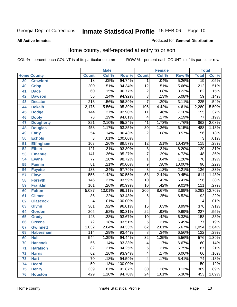#### **All Active Inmates**

#### Produced for **General Distribution**

### Home county, self-reported at entry to prison

|    |                    |                  | <b>Male</b> |                  |                         | <b>Female</b> |        | <b>Total</b>     |        |
|----|--------------------|------------------|-------------|------------------|-------------------------|---------------|--------|------------------|--------|
|    | <b>Home County</b> | <b>Count</b>     | Col %       | Row <sup>%</sup> | <b>Count</b>            | Col %         | Row %  | <b>Total</b>     | Col %  |
| 39 | <b>Crawford</b>    | $\overline{18}$  | .05%        | 94.74%           | 1.                      | .04%          | 5.26%  | $\overline{19}$  | .05%   |
| 40 | <b>Crisp</b>       | $\overline{200}$ | .51%        | 94.34%           | $\overline{12}$         | .51%          | 5.66%  | $\overline{212}$ | .51%   |
| 41 | <b>Dade</b>        | 60               | .15%        | 96.77%           | $\overline{2}$          | .08%          | 3.23%  | 62               | .15%   |
| 42 | <b>Dawson</b>      | $\overline{56}$  | .14%        | 94.92%           | $\overline{3}$          | .13%          | 5.08%  | $\overline{59}$  | .14%   |
| 43 | <b>Decatur</b>     | $\overline{218}$ | .56%        | 96.89%           | 7                       | .29%          | 3.11%  | 225              | .54%   |
| 44 | <b>Dekalb</b>      | 2,175            | 5.56%       | 95.39%           | 105                     | 4.42%         | 4.61%  | 2,280            | 5.50%  |
| 45 | <b>Dodge</b>       | 144              | .37%        | 92.90%           | 11                      | .46%          | 7.10%  | 155              | .37%   |
| 46 | <b>Dooly</b>       | $\overline{73}$  | .19%        | 94.81%           | $\overline{4}$          | .17%          | 5.19%  | $\overline{77}$  | .19%   |
| 47 | <b>Dougherty</b>   | 821              | 2.10%       | 95.24%           | $\overline{41}$         | 1.73%         | 4.76%  | 862              | 2.08%  |
| 48 | <b>Douglas</b>     | 458              | 1.17%       | 93.85%           | $\overline{30}$         | 1.26%         | 6.15%  | 488              | 1.18%  |
| 49 | <b>Early</b>       | $\overline{54}$  | .14%        | 96.43%           | $\overline{2}$          | .08%          | 3.57%  | $\overline{56}$  | .13%   |
| 50 | <b>Echols</b>      | 3                | .01%        | 100.00%          |                         |               |        | $\overline{3}$   | .01%   |
| 51 | <b>Effingham</b>   | 103              | .26%        | 89.57%           | $\overline{12}$         | .51%          | 10.43% | $\overline{115}$ | .28%   |
| 52 | <b>Elbert</b>      | $\overline{121}$ | .31%        | 93.80%           | $\overline{8}$          | .34%          | 6.20%  | 129              | .31%   |
| 53 | <b>Emanuel</b>     | 141              | .36%        | 95.27%           | $\overline{7}$          | .29%          | 4.73%  | 148              | .36%   |
| 54 | <b>Evans</b>       | $\overline{77}$  | .20%        | 98.72%           | 1                       | .04%          | 1.28%  | $\overline{78}$  | .19%   |
| 55 | <b>Fannin</b>      | $\overline{81}$  | .21%        | 90.00%           | $\overline{9}$          | .38%          | 10.00% | $\overline{90}$  | .22%   |
| 56 | <b>Fayette</b>     | 133              | .34%        | 97.79%           | $\overline{3}$          | .13%          | 2.21%  | 136              | .33%   |
| 57 | <b>Floyd</b>       | 556              | 1.42%       | 90.55%           | $\overline{58}$         | 2.44%         | 9.45%  | 614              | 1.48%  |
| 58 | <b>Forsyth</b>     | 146              | .37%        | 93.59%           | $\overline{10}$         | .42%          | 6.41%  | 156              | .38%   |
| 59 | <b>Franklin</b>    | 101              | .26%        | 90.99%           | $\overline{10}$         | .42%          | 9.01%  | $\overline{111}$ | .27%   |
| 60 | <b>Fulton</b>      | 5,087            | 13.01%      | 96.11%           | $\overline{206}$        | 8.67%         | 3.89%  | 5,293            | 12.76% |
| 61 | <b>Gilmer</b>      | 86               | .22%        | 93.48%           | $\overline{6}$          | .25%          | 6.52%  | $\overline{92}$  | .22%   |
| 62 | <b>Glascock</b>    | 4                | .01%        | 100.00%          |                         |               |        | 4                | .01%   |
| 63 | <b>Glynn</b>       | 361              | .92%        | 96.01%           | $\overline{15}$         | .63%          | 3.99%  | $\overline{376}$ | .91%   |
| 64 | <b>Gordon</b>      | $\overline{205}$ | .52%        | 90.31%           | $\overline{22}$         | .93%          | 9.69%  | $\overline{227}$ | .55%   |
| 65 | <b>Grady</b>       | 148              | .38%        | 93.67%           | $\overline{10}$         | .42%          | 6.33%  | 158              | .38%   |
| 66 | <b>Greene</b>      | $\overline{72}$  | .18%        | 93.51%           | $\overline{5}$          | .21%          | 6.49%  | $\overline{77}$  | .19%   |
| 67 | <b>Gwinnett</b>    | 1,032            | 2.64%       | 94.33%           | $\overline{62}$         | 2.61%         | 5.67%  | 1,094            | 2.64%  |
| 68 | <b>Habersham</b>   | 114              | .29%        | 93.44%           | $\overline{8}$          | .34%          | 6.56%  | 122              | .29%   |
| 69 | <b>Hall</b>        | $\overline{544}$ | 1.39%       | 94.44%           | $\overline{32}$         | 1.35%         | 5.56%  | 576              | 1.39%  |
| 70 | <b>Hancock</b>     | 56               | .14%        | 93.33%           | $\overline{\mathbf{4}}$ | .17%          | 6.67%  | 60               | .14%   |
| 71 | <b>Haralson</b>    | $\overline{82}$  | .21%        | 94.25%           | $\overline{5}$          | .21%          | 5.75%  | $\overline{87}$  | .21%   |
| 72 | <b>Harris</b>      | 62               | .16%        | 93.94%           | 4                       | .17%          | 6.06%  | 66               | .16%   |
| 73 | <b>Hart</b>        | 70               | .18%        | 94.59%           | 4                       | .17%          | 5.41%  | 74               | .18%   |
| 74 | <b>Heard</b>       | $\overline{50}$  | .13%        | 100.00%          |                         |               |        | $\overline{50}$  | .12%   |
| 75 | <b>Henry</b>       | 339              | .87%        | 91.87%           | $\overline{30}$         | 1.26%         | 8.13%  | 369              | .89%   |
| 76 | <b>Houston</b>     | 429              | 1.10%       | 94.70%           | 24                      | 1.01%         | 5.30%  | 453              | 1.09%  |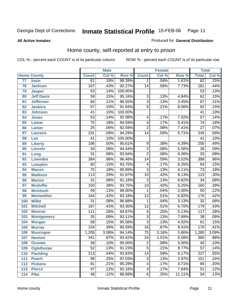#### **All Active Inmates**

#### Produced for **General Distribution**

### Home county, self-reported at entry to prison

|       |                    |                  | <b>Male</b> |         |                 | <b>Female</b> |        | <b>Total</b>     |       |
|-------|--------------------|------------------|-------------|---------|-----------------|---------------|--------|------------------|-------|
|       | <b>Home County</b> | <b>Count</b>     | Col %       | Row %   | <b>Count</b>    | Col %         | Row %  | <b>Total</b>     | Col % |
| 77    | <b>Irwin</b>       | 61               | .16%        | 98.39%  | $\mathbf 1$     | .04%          | 1.61%  | 62               | .15%  |
| 78    | <b>Jackson</b>     | 167              | .43%        | 92.27%  | $\overline{14}$ | .59%          | 7.73%  | 181              | .44%  |
| 79    | <b>Jasper</b>      | $\overline{53}$  | .14%        | 100.00% |                 |               |        | $\overline{53}$  | .13%  |
| 80    | <b>Jeff Davis</b>  | $\overline{59}$  | .15%        | 95.16%  | 3               | .13%          | 4.84%  | 62               | .15%  |
| 81    | <b>Jefferson</b>   | $\overline{84}$  | .21%        | 96.55%  | $\overline{3}$  | .13%          | 3.45%  | $\overline{87}$  | .21%  |
| 82    | <b>Jenkins</b>     | $\overline{57}$  | .15%        | 91.94%  | $\overline{5}$  | .21%          | 8.06%  | 62               | .15%  |
| 83    | <b>Johnson</b>     | $\overline{41}$  | .10%        | 100.00% |                 |               |        | $\overline{41}$  | .10%  |
| 84    | <b>Jones</b>       | $\overline{53}$  | .14%        | 92.98%  | 4               | .17%          | 7.02%  | $\overline{57}$  | .14%  |
| 85    | <b>Lamar</b>       | $\overline{70}$  | .18%        | 94.59%  | 4               | .17%          | 5.41%  | $\overline{74}$  | .18%  |
| 86    | <b>Lanier</b>      | $\overline{25}$  | .06%        | 92.59%  | $\overline{2}$  | .08%          | 7.41%  | $\overline{27}$  | .07%  |
| 87    | <b>Laurens</b>     | 231              | .59%        | 94.29%  | $\overline{14}$ | .59%          | 5.71%  | $\overline{245}$ | .59%  |
| 88    | Lee                | 41               | .10%        | 100.00% |                 |               |        | 41               | .10%  |
| 89    | <b>Liberty</b>     | 196              | .50%        | 95.61%  | $\overline{9}$  | .38%          | 4.39%  | $\overline{205}$ | .49%  |
| 90    | <b>Lincoln</b>     | $\overline{34}$  | .09%        | 94.44%  | $\overline{2}$  | .08%          | 5.56%  | $\overline{36}$  | .09%  |
| 91    | Long               | $\overline{31}$  | .08%        | 93.94%  | $\overline{2}$  | .08%          | 6.06%  | $\overline{33}$  | .08%  |
| 92    | <b>Lowndes</b>     | 384              | .98%        | 96.48%  | 14              | .59%          | 3.52%  | 398              | .96%  |
| 93    | <b>Lumpkin</b>     | 60               | .15%        | 93.75%  | 4               | .17%          | 6.25%  | 64               | .15%  |
| 94    | <b>Macon</b>       | $\overline{70}$  | .18%        | 95.89%  | $\overline{3}$  | .13%          | 4.11%  | $\overline{73}$  | .18%  |
| 95    | <b>Madison</b>     | 113              | .29%        | 91.87%  | $\overline{10}$ | .42%          | 8.13%  | $\overline{123}$ | .30%  |
| 96    | <b>Marion</b>      | $\overline{31}$  | .08%        | 91.18%  | $\overline{3}$  | .13%          | 8.82%  | $\overline{34}$  | .08%  |
| 97    | <b>Mcduffie</b>    | 150              | .38%        | 93.75%  | $\overline{10}$ | .42%          | 6.25%  | 160              | .39%  |
| 98    | <b>Mcintosh</b>    | 49               | .13%        | 98.00%  | 1               | .04%          | 2.00%  | $\overline{50}$  | .12%  |
| 99    | <b>Meriwether</b>  | 164              | .42%        | 93.18%  | $\overline{12}$ | .51%          | 6.82%  | 176              | .42%  |
| 100   | <b>Miller</b>      | $\overline{31}$  | .08%        | 96.88%  | 1               | .04%          | 3.13%  | $\overline{32}$  | .08%  |
| 101   | <b>Mitchell</b>    | 167              | .43%        | 93.30%  | $\overline{12}$ | .51%          | 6.70%  | 179              | .43%  |
| 102   | <b>Monroe</b>      | 111              | .28%        | 94.87%  | $\overline{6}$  | .25%          | 5.13%  | $\overline{117}$ | .28%  |
| 103   | <b>Montgomery</b>  | $\overline{35}$  | .09%        | 92.11%  | $\overline{3}$  | .13%          | 7.89%  | $\overline{38}$  | .09%  |
| 104   | <b>Morgan</b>      | $\overline{58}$  | .15%        | 95.08%  | $\overline{3}$  | .13%          | 4.92%  | 61               | .15%  |
| 105   | <b>Murray</b>      | 154              | .39%        | 90.59%  | $\overline{16}$ | .67%          | 9.41%  | 170              | .41%  |
| 106   | <b>Muscogee</b>    | 1,205            | 3.08%       | 94.14%  | $\overline{75}$ | 3.16%         | 5.86%  | 1,280            | 3.09% |
| 107   | <b>Newton</b>      | 341              | .87%        | 93.42%  | $\overline{24}$ | 1.01%         | 6.58%  | 365              | .88%  |
| 108   | <b>Oconee</b>      | 38               | .10%        | 95.00%  | 2               | .08%          | 5.00%  | 40               | .10%  |
| 109   | <b>Oglethorpe</b>  | $\overline{52}$  | .13%        | 91.23%  | $\overline{5}$  | .21%          | 8.77%  | $\overline{57}$  | .14%  |
| 110   | <b>Paulding</b>    | $\overline{213}$ | .54%        | 93.83%  | 14              | .59%          | 6.17%  | $\overline{227}$ | .55%  |
| 111   | <b>Peach</b>       | $\overline{98}$  | .25%        | 97.03%  | $\overline{3}$  | .13%          | 2.97%  | 101              | .24%  |
| 112   | <b>Pickens</b>     | 81               | .21%        | 95.29%  | 4               | .17%          | 4.71%  | 85               | .20%  |
| 113   | <b>Pierce</b>      | $\overline{47}$  | .12%        | 92.16%  | 4               | .17%          | 7.84%  | $\overline{51}$  | .12%  |
| $114$ | <b>Pike</b>        | 48               | .12%        | 88.89%  | $\overline{6}$  | .25%          | 11.11% | 54               | .13%  |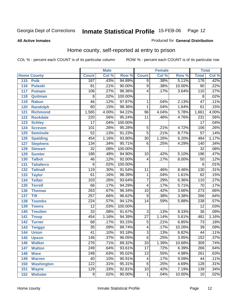#### **All Active Inmates**

#### Produced for **General Distribution**

### Home county, self-reported at entry to prison

|                    |                   |                  | <b>Male</b> |         |                 | <b>Female</b>              |        | <b>Total</b>     |       |
|--------------------|-------------------|------------------|-------------|---------|-----------------|----------------------------|--------|------------------|-------|
| <b>Home County</b> |                   | <b>Count</b>     | Col %       | Row %   | <b>Count</b>    | $\overline{\text{Col }^9}$ | Row %  | <b>Total</b>     | Col % |
| 115                | <b>Polk</b>       | 167              | .43%        | 94.89%  | $\overline{9}$  | .38%                       | 5.11%  | 176              | .42%  |
| 116                | <b>Pulaski</b>    | 81               | .21%        | 90.00%  | $\overline{9}$  | .38%                       | 10.00% | $\overline{90}$  | .22%  |
| 117                | <b>Putnam</b>     | 106              | .27%        | 96.36%  | 4               | .17%                       | 3.64%  | 110              | .27%  |
| 118                | Quitman           | $\overline{8}$   | .02%        | 100.00% |                 |                            |        | $\overline{8}$   | .02%  |
| 119                | <b>Rabun</b>      | $\overline{46}$  | .12%        | 97.87%  | 1               | .04%                       | 2.13%  | $\overline{47}$  | .11%  |
| 120                | <b>Randolph</b>   | $\overline{60}$  | .15%        | 98.36%  | $\mathbf{1}$    | .04%                       | 1.64%  | $\overline{61}$  | .15%  |
| 121                | <b>Richmond</b>   | 1,565            | 4.00%       | 94.22%  | 96              | 4.04%                      | 5.78%  | 1,661            | 4.00% |
| 122                | <b>Rockdale</b>   | $\overline{220}$ | .56%        | 95.24%  | $\overline{11}$ | .46%                       | 4.76%  | $\overline{231}$ | .56%  |
| 123                | <b>Schley</b>     | $\overline{17}$  | .04%        | 100.00% |                 |                            |        | $\overline{17}$  | .04%  |
| 124                | <b>Screven</b>    | 101              | .26%        | 95.28%  | $\overline{5}$  | .21%                       | 4.72%  | 106              | .26%  |
| 125                | <b>Seminole</b>   | $\overline{52}$  | .13%        | 91.23%  | $\overline{5}$  | .21%                       | 8.77%  | $\overline{57}$  | .14%  |
| 126                | <b>Spalding</b>   | 454              | 1.16%       | 93.80%  | $\overline{30}$ | 1.26%                      | 6.20%  | 484              | 1.17% |
| 127                | <b>Stephens</b>   | 134              | .34%        | 95.71%  | $\overline{6}$  | .25%                       | 4.29%  | 140              | .34%  |
| 128                | <b>Stewart</b>    | $\overline{32}$  | .08%        | 100.00% |                 |                            |        | $\overline{32}$  | .08%  |
| 129                | <b>Sumter</b>     | 186              | .48%        | 94.90%  | 10              | .42%                       | 5.10%  | 196              | .47%  |
| 130                | <b>Talbot</b>     | 46               | .12%        | 92.00%  | $\overline{4}$  | .17%                       | 8.00%  | $\overline{50}$  | .12%  |
| 131                | <b>Taliaferro</b> | $\overline{6}$   | .02%        | 100.00% |                 |                            |        | $\overline{6}$   | .01%  |
| 132                | <b>Tattnall</b>   | 119              | .30%        | 91.54%  | $\overline{11}$ | .46%                       | 8.46%  | 130              | .31%  |
| 133                | <b>Taylor</b>     | 61               | .16%        | 98.39%  | 1               | .04%                       | 1.61%  | 62               | .15%  |
| 134                | <b>Telfair</b>    | 103              | .26%        | 93.64%  | $\overline{7}$  | .29%                       | 6.36%  | 110              | .27%  |
| 135                | <b>Terrell</b>    | $\overline{66}$  | .17%        | 94.29%  | $\overline{4}$  | .17%                       | 5.71%  | $\overline{70}$  | .17%  |
| 136                | <b>Thomas</b>     | $\overline{263}$ | .67%        | 96.34%  | $\overline{10}$ | .42%                       | 3.66%  | $\overline{273}$ | .66%  |
| 137                | <b>Tift</b>       | 257              | .66%        | 96.62%  | 9               | .38%                       | 3.38%  | 266              | .64%  |
| 138                | <b>Toombs</b>     | $\overline{224}$ | .57%        | 94.12%  | $\overline{14}$ | .59%                       | 5.88%  | 238              | .57%  |
| 139                | <b>Towns</b>      | $\overline{12}$  | .03%        | 100.00% |                 |                            |        | $\overline{12}$  | .03%  |
| 140                | <b>Treutlen</b>   | $\overline{33}$  | .08%        | 91.67%  | $\overline{3}$  | .13%                       | 8.33%  | $\overline{36}$  | .09%  |
| 141                | <b>Troup</b>      | 454              | 1.16%       | 94.39%  | $\overline{27}$ | 1.14%                      | 5.61%  | 481              | 1.16% |
| 142                | <b>Turner</b>     | 68               | .17%        | 93.15%  | $\overline{5}$  | .21%                       | 6.85%  | $\overline{73}$  | .18%  |
| 143                | <b>Twiggs</b>     | $\overline{35}$  | .09%        | 89.74%  | 4               | .17%                       | 10.26% | $\overline{39}$  | .09%  |
| 144                | <b>Union</b>      | $\overline{41}$  | .10%        | 93.18%  | $\overline{3}$  | .13%                       | 6.82%  | 44               | .11%  |
| 145                | <b>Upson</b>      | 146              | .37%        | 96.05%  | $\overline{6}$  | .25%                       | 3.95%  | 152              | .37%  |
| 146                | <b>Walker</b>     | $\overline{276}$ | .71%        | 89.32%  | $\overline{33}$ | 1.39%                      | 10.68% | $\overline{309}$ | .74%  |
| 147                | <b>Walton</b>     | 249              | .64%        | 93.61%  | $\overline{17}$ | .72%                       | 6.39%  | 266              | .64%  |
| 148                | <b>Ware</b>       | 248              | .63%        | 95.02%  | 13              | .55%                       | 4.98%  | 261              | .63%  |
| 149                | <b>Warren</b>     | 40               | .10%        | 90.91%  | 4               | .17%                       | 9.09%  | 44               | .11%  |
| 150                | <b>Washington</b> | 122              | .31%        | 95.31%  | 6               | .25%                       | 4.69%  | 128              | .31%  |
| 151                | <b>Wayne</b>      | 129              | .33%        | 92.81%  | 10              | .42%                       | 7.19%  | 139              | .34%  |
| 152                | <b>Webster</b>    | 9                | .02%        | 90.00%  | $\mathbf{1}$    | .04%                       | 10.00% | 10               | .02%  |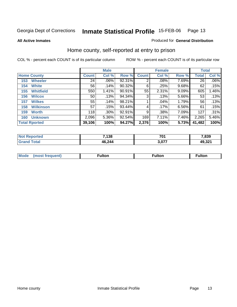#### **All Active Inmates**

#### Produced for **General Distribution**

### Home county, self-reported at entry to prison

|     |                      |              | <b>Male</b> |        |              | <b>Female</b> |       | <b>Total</b>    |         |
|-----|----------------------|--------------|-------------|--------|--------------|---------------|-------|-----------------|---------|
|     | <b>Home County</b>   | <b>Count</b> | Col %       | Row %  | <b>Count</b> | Col %         | Row % | <b>Total</b>    | Col %   |
| 153 | <b>Wheeler</b>       | 24           | $.06\%$     | 92.31% | 2            | .08%          | 7.69% | $\overline{26}$ | $.06\%$ |
| 154 | <b>White</b>         | 56           | .14%        | 90.32% | 6            | .25%          | 9.68% | 62              | .15%    |
| 155 | <b>Whitfield</b>     | 550          | 1.41%       | 90.91% | 55           | 2.31%         | 9.09% | 605             | 1.46%   |
| 156 | <b>Wilcox</b>        | 50           | .13%        | 94.34% | 3            | .13%          | 5.66% | 53              | .13%    |
| 157 | <b>Wilkes</b>        | 55           | .14%        | 98.21% |              | .04%          | 1.79% | 56              | .13%    |
| 158 | <b>Wilkinson</b>     | 57           | .15%        | 93.44% | 4            | .17%          | 6.56% | 61              | .15%    |
| 159 | <b>Worth</b>         | 118          | $.30\%$     | 92.91% | 9            | .38%          | 7.09% | 127             | .31%    |
| 160 | <b>Unknown</b>       | 2,096        | 5.36%       | 92.54% | 169          | 7.11%         | 7.46% | 2,265           | 5.46%   |
|     | <b>Total Rported</b> | 39,106       | 100%        | 94.27% | 2,376        | 100%          | 5.73% | 41,482          | 100%    |

| <b>Not</b><br>วorted | 7,138  | 704   | 7,839  |
|----------------------|--------|-------|--------|
| `otal                | 46,244 | 3,077 | 49,321 |

| <b>Mode</b> | - 14 - -<br>τοι. | . . 14. | .<br>unon |
|-------------|------------------|---------|-----------|
|             |                  |         |           |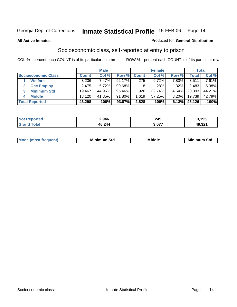#### **All Active Inmates**

#### Produced for **General Distribution**

### Socioeconomic class, self-reported at entry to prison

|                            | <b>Male</b>  |        |           | <b>Female</b> |          |       | <b>Total</b> |        |
|----------------------------|--------------|--------|-----------|---------------|----------|-------|--------------|--------|
| <b>Socioeconomic Class</b> | <b>Count</b> | Col %  | Row %     | <b>Count</b>  | Col %    | Row % | Total        | Col %  |
| <b>Welfare</b>             | 3,236        | 7.47%  | $92.17\%$ | 275           | $9.72\%$ | 7.83% | 3,511        | 7.61%  |
| <b>Occ Employ</b>          | 2,475        | 5.72%  | 99.68%    |               | .28%     | .32%  | 2,483        | 5.38%  |
| <b>Minimum Std</b><br>3    | 19,467       | 44.96% | 95.46%    | 926           | 32.74%   | 4.54% | 20,393       | 44.21% |
| <b>Middle</b><br>4         | 18,120       | 41.85% | 91.80%    | 1.619         | 57.25%   | 8.20% | 19,739       | 42.79% |
| <b>Total Reported</b>      | 43,298       | 100%   | 93.87%    | 2,828         | 100%     | 6.13% | 46,126       | 100%   |

| <b>Not Reported</b> | 2,946  | 249   | 3,195  |
|---------------------|--------|-------|--------|
| Total               | 46,244 | 3,077 | 49,321 |

|  | $-$<br>IM 6 | Std<br>M. | . | Mil<br>84J<br>ວເບ<br>$   -$ |
|--|-------------|-----------|---|-----------------------------|
|--|-------------|-----------|---|-----------------------------|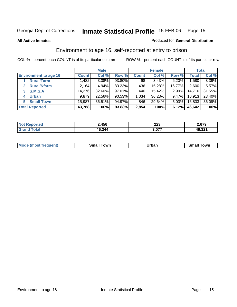**All Active Inmates**

#### Produced for **General Distribution**

### Environment to age 16, self-reported at entry to prison

|                              |              | <b>Male</b> |           |              | <b>Female</b> |          |              | <b>Total</b> |
|------------------------------|--------------|-------------|-----------|--------------|---------------|----------|--------------|--------------|
| <b>Environment to age 16</b> | <b>Count</b> | Col %       | Row %     | <b>Count</b> | Col %         | Row %    | <b>Total</b> | Col %        |
| <b>Rural/Farm</b>            | 1,482        | 3.38%       | 93.80%    | 98           | 3.43%         | 6.20%    | .580         | 3.39%        |
| <b>Rural/Nfarm</b>           | 2,164        | 4.94%       | 83.23%    | 436          | 15.28%        | 16.77%   | 2,600        | 5.57%        |
| <b>S.M.S.A</b><br>3          | 14,276       | 32.60%      | 97.01%    | 440          | 15.42%        | 2.99%    | 14,716       | 31.55%       |
| <b>Urban</b><br>4            | 9,879        | 22.56%      | $90.53\%$ | 1.034        | 36.23%        | $9.47\%$ | 10,913       | 23.40%       |
| <b>Small Town</b><br>5       | 15,987       | 36.51%      | 94.97%    | 846          | 29.64%        | $5.03\%$ | 16,833       | 36.09%       |
| <b>Total Reported</b>        | 43,788       | 100%        | 93.88%    | 2,854        | 100%          | 6.12%    | 46,642       | 100%         |

| <b>Reported</b><br><b>Not</b> | 2,456  | 223   | 2,679  |
|-------------------------------|--------|-------|--------|
| ™otal                         | 46,244 | 3,077 | 49,321 |

| Mode (most frequent)<br>Towr<br>Towr<br>.<br>rban<br>small<br>əmall<br>_____<br>_____ |  |  |
|---------------------------------------------------------------------------------------|--|--|
|                                                                                       |  |  |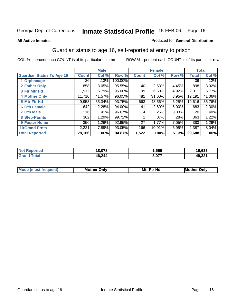#### **All Active Inmates**

#### Produced for **General Distribution**

### Guardian status to age 16, self-reported at entry to prison

|                                  |              | <b>Male</b> |         |              | <b>Female</b> |       |              | <b>Total</b> |
|----------------------------------|--------------|-------------|---------|--------------|---------------|-------|--------------|--------------|
| <b>Guardian Status To Age 16</b> | <b>Count</b> | Col %       | Row %   | <b>Count</b> | Col %         | Row % | <b>Total</b> | Col %        |
| 1 Orphanage                      | 36           | .13%        | 100.00% |              |               |       | 36           | .12%         |
| 2 Father Only                    | 858          | 3.05%       | 95.55%  | 40           | 2.63%         | 4.45% | 898          | 3.02%        |
| 3 Ftr Mtr Hd                     | 1,912        | 6.79%       | 95.08%  | 99           | 6.50%         | 4.92% | 2,011        | 6.77%        |
| <b>4 Mother Only</b>             | 11,710       | 41.57%      | 96.05%  | 481          | 31.60%        | 3.95% | 12,191       | 41.06%       |
| 5 Mtr Ftr Hd                     | 9,953        | 35.34%      | 93.75%  | 663          | 43.56%        | 6.25% | 10,616       | 35.76%       |
| <b>6 Oth Female</b>              | 642          | 2.28%       | 94.00%  | 41           | 2.69%         | 6.00% | 683          | 2.30%        |
| <b>7 Oth Male</b>                | 116          | .41%        | 96.67%  | 4            | .26%          | 3.33% | 120          | .40%         |
| 8 Step-Parnts                    | 362          | 1.29%       | 99.72%  |              | $.07\%$       | .28%  | 363          | 1.22%        |
| <b>9 Foster Home</b>             | 356          | 1.26%       | 92.95%  | 27           | 1.77%         | 7.05% | 383          | 1.29%        |
| <b>10 Grand Prnts</b>            | 2,221        | 7.89%       | 93.05%  | 166          | 10.91%        | 6.95% | 2,387        | 8.04%        |
| <b>Total Reported</b>            | 28,166       | 100%        | 94.87%  | 1,522        | 100%          | 5.13% | 29,688       | 100%         |

| <b>Not Reported</b>   | 18,078 | l,555 | 19,633 |
|-----------------------|--------|-------|--------|
| <b>Total</b><br>Grand | 46,244 | 3,077 | 49,321 |

| Mode              | Mother | Mtr Ftr Hd                                                                                                      | Only   |
|-------------------|--------|-----------------------------------------------------------------------------------------------------------------|--------|
| (most frequent) د | Only   | the contract of the contract of the contract of the contract of the contract of the contract of the contract of | Mother |
|                   |        |                                                                                                                 |        |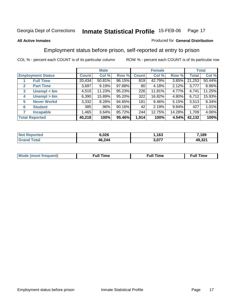#### **All Active Inmates**

#### Produced for **General Distribution**

### Employment status before prison, self-reported at entry to prison

|                                  |              | <b>Male</b> |        |                 | <b>Female</b> |        |              | <b>Total</b> |
|----------------------------------|--------------|-------------|--------|-----------------|---------------|--------|--------------|--------------|
| <b>Employment Status</b>         | <b>Count</b> | Col %       | Row %  | <b>Count</b>    | Col %         | Row %  | <b>Total</b> | Col %        |
| <b>Full Time</b>                 | 20,434       | $50.81\%$   | 96.15% | 819             | 42.79%        | 3.85%  | 21,253       | 50.44%       |
| <b>Part Time</b><br>$\mathbf{2}$ | 3,697        | 9.19%       | 97.88% | 80 <sub>1</sub> | 4.18%         | 2.12%  | 3,777        | 8.96%        |
| Unempl $<$ 6m<br>3               | 4,515        | 11.23%      | 95.23% | 226             | 11.81%        | 4.77%  | 4,741        | 11.25%       |
| Unempl $> 6m$<br>4               | 6,390        | 15.89%      | 95.20% | 322             | 16.82%        | 4.80%  | 6,712        | 15.93%       |
| <b>Never Workd</b><br>5          | 3,332        | 8.28%       | 94.85% | 181             | $9.46\%$      | 5.15%  | 3,513        | 8.34%        |
| <b>Student</b><br>6              | 385          | .96%        | 90.16% | 42              | 2.19%         | 9.84%  | 427          | 1.01%        |
| 7<br><b>Incapable</b>            | 1,465        | 3.64%       | 85.72% | 244             | 12.75%        | 14.28% | 1,709        | 4.06%        |
| <b>Total Reported</b>            | 40,218       | 100%        | 95.46% | 1,914           | 100%          | 4.54%  | 42,132       | 100%         |

| 7ењ<br>N | 6,026  | 163   | ,189   |
|----------|--------|-------|--------|
|          | 46,244 | דדה ה | 49,321 |

| M | - - 1<br>un. | <b>Full Time</b> |
|---|--------------|------------------|
|   |              |                  |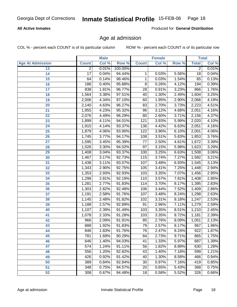#### **All Active Inmates**

Produced for **General Distribution**

### Age at admission

|                         |                | <b>Male</b> |         |                  | <b>Female</b> |       | <b>Total</b>    |       |
|-------------------------|----------------|-------------|---------|------------------|---------------|-------|-----------------|-------|
| <b>Age At Admission</b> | <b>Count</b>   | Col %       | Row %   | <b>Count</b>     | Col %         | Row % | <b>Total</b>    | Col % |
| 13                      | $\overline{2}$ | 0.01%       | 100.00% |                  |               |       | $\overline{2}$  | 0.01% |
| $\overline{14}$         | 17             | 0.04%       | 94.44%  | 1                | 0.03%         | 5.56% | $\overline{18}$ | 0.04% |
| 15                      | 64             | 0.14%       | 98.46%  | $\mathbf{1}$     | 0.03%         | 1.54% | 65              | 0.13% |
| 16                      | 186            | 0.40%       | 95.88%  | $\overline{8}$   | 0.26%         | 4.12% | 194             | 0.39% |
| 17                      | 838            | 1.81%       | 96.77%  | $\overline{28}$  | 0.91%         | 3.23% | 866             | 1.76% |
| 18                      | 1,564          | 3.38%       | 97.51%  | 40               | 1.30%         | 2.49% | 1,604           | 3.25% |
| 19                      | 2,006          | 4.34%       | 97.10%  | 60               | 1.95%         | 2.90% | 2,066           | 4.19% |
| 20                      | 2,140          | 4.63%       | 96.27%  | $\overline{83}$  | 2.70%         | 3.73% | 2,223           | 4.51% |
| 21                      | 1,955          | 4.23%       | 95.32%  | 96               | 3.12%         | 4.68% | 2,051           | 4.16% |
| $\overline{22}$         | 2,076          | 4.49%       | 96.29%  | 80               | 2.60%         | 3.71% | 2,156           | 4.37% |
| 23                      | 1,899          | 4.11%       | 94.01%  | $\overline{121}$ | 3.93%         | 5.99% | 2,020           | 4.10% |
| 24                      | 1,915          | 4.14%       | 93.37%  | 136              | 4.42%         | 6.63% | 2,051           | 4.16% |
| $\overline{25}$         | 1,879          | 4.06%       | 93.90%  | $\overline{122}$ | 3.96%         | 6.10% | 2,001           | 4.06% |
| 26                      | 1,745          | 3.77%       | 94.17%  | 108              | 3.51%         | 5.83% | 1,853           | 3.76% |
| 27                      | 1,595          | 3.45%       | 95.39%  | 77               | 2.50%         | 4.61% | 1,672           | 3.39% |
| 28                      | 1,526          | 3.30%       | 94.02%  | 97               | 3.15%         | 5.98% | 1,623           | 3.29% |
| 29                      | 1,408          | 3.04%       | 93.37%  | 100              | 3.25%         | 6.63% | 1,508           | 3.06% |
| 30                      | 1,467          | 3.17%       | 92.73%  | 115              | 3.74%         | 7.27% | 1,582           | 3.21% |
| 31                      | 1,438          | 3.11%       | 93.07%  | 107              | 3.48%         | 6.93% | 1,545           | 3.13% |
| 32                      | 1,343          | 2.90%       | 92.75%  | 105              | 3.41%         | 7.25% | 1,448           | 2.94% |
| 33                      | 1,353          | 2.93%       | 92.93%  | 103              | 3.35%         | 7.07% | 1,456           | 2.95% |
| 34                      | 1,298          | 2.81%       | 92.19%  | 110              | 3.57%         | 7.81% | 1,408           | 2.85% |
| 35                      | 1,281          | 2.77%       | 91.83%  | 114              | 3.70%         | 8.17% | 1,395           | 2.83% |
| 36                      | 1,303          | 2.82%       | 92.48%  | 106              | 3.44%         | 7.52% | 1,409           | 2.86% |
| 37                      | 1,191          | 2.58%       | 91.76%  | 107              | 3.48%         | 8.24% | 1,298           | 2.63% |
| 38                      | 1,145          | 2.48%       | 91.82%  | 102              | 3.31%         | 8.18% | 1,247           | 2.53% |
| 39                      | 1,188          | 2.57%       | 92.89%  | 91               | 2.96%         | 7.11% | 1,279           | 2.59% |
| 40                      | 1,107          | 2.39%       | 91.49%  | 103              | 3.35%         | 8.51% | 1,210           | 2.45% |
| 41                      | 1,078          | 2.33%       | 91.28%  | 103              | 3.35%         | 8.72% | 1,181           | 2.39% |
| 42                      | 966            | 2.09%       | 91.91%  | 85               | 2.76%         | 8.09% | 1,051           | 2.13% |
| 43                      | 888            | 1.92%       | 91.83%  | 79               | 2.57%         | 8.17% | 967             | 1.96% |
| 44                      | 846            | 1.83%       | 91.76%  | 76               | 2.47%         | 8.24% | 922             | 1.87% |
| 45                      | 781            | 1.69%       | 90.29%  | 84               | 2.73%         | 9.71% | 865             | 1.75% |
| 46                      | 646            | 1.40%       | 94.03%  | 41               | 1.33%         | 5.97% | 687             | 1.39% |
| 47                      | 574            | 1.24%       | 91.11%  | 56               | 1.82%         | 8.89% | 630             | 1.28% |
| 48                      | 556            | 1.20%       | 92.82%  | 43               | 1.40%         | 7.18% | 599             | 1.21% |
| 49                      | 426            | 0.92%       | 91.42%  | 40               | 1.30%         | 8.58% | 466             | 0.94% |
| 50                      | 389            | 0.84%       | 92.84%  | 30               | 0.97%         | 7.16% | 419             | 0.85% |
| 51                      | 348            | 0.75%       | 94.57%  | $\overline{20}$  | 0.65%         | 5.43% | 368             | 0.75% |
| 52                      | 308            | 0.67%       | 94.48%  | 18               | 0.58%         | 5.52% | 326             | 0.66% |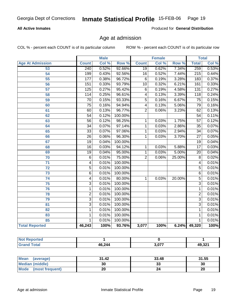#### **All Active Inmates**

Produced for **General Distribution**

### Age at admission

|                         |                  | <b>Male</b> |         |                 | <b>Female</b> |        | <b>Total</b>     |       |
|-------------------------|------------------|-------------|---------|-----------------|---------------|--------|------------------|-------|
| <b>Age At Admission</b> | <b>Count</b>     | Col %       | Row %   | <b>Count</b>    | Col %         | Row %  | <b>Total</b>     | Col % |
| 53                      | 240              | 0.52%       | 92.66%  | $\overline{19}$ | 0.62%         | 7.34%  | 259              | 0.53% |
| 54                      | 199              | 0.43%       | 92.56%  | $\overline{16}$ | 0.52%         | 7.44%  | $\overline{215}$ | 0.44% |
| 55                      | 177              | 0.38%       | 96.72%  | $\overline{6}$  | 0.19%         | 3.28%  | 183              | 0.37% |
| 56                      | 151              | 0.33%       | 93.79%  | $\overline{10}$ | 0.32%         | 6.21%  | 161              | 0.33% |
| 57                      | $\overline{125}$ | 0.27%       | 95.42%  | $\overline{6}$  | 0.19%         | 4.58%  | 131              | 0.27% |
| 58                      | 114              | 0.25%       | 96.61%  | $\overline{4}$  | 0.13%         | 3.39%  | $\overline{118}$ | 0.24% |
| 59                      | $\overline{70}$  | 0.15%       | 93.33%  | $\overline{5}$  | 0.16%         | 6.67%  | $\overline{75}$  | 0.15% |
| 60                      | $\overline{75}$  | 0.16%       | 94.94%  | 4               | 0.13%         | 5.06%  | 79               | 0.16% |
| 61                      | 60               | 0.13%       | 96.77%  | $\overline{2}$  | 0.06%         | 3.23%  | 62               | 0.13% |
| 62                      | $\overline{54}$  | 0.12%       | 100.00% |                 |               |        | $\overline{54}$  | 0.11% |
| 63                      | $\overline{56}$  | 0.12%       | 98.25%  | 1               | 0.03%         | 1.75%  | $\overline{57}$  | 0.12% |
| 64                      | $\overline{34}$  | 0.07%       | 97.14%  | 1               | 0.03%         | 2.86%  | $\overline{35}$  | 0.07% |
| 65                      | $\overline{33}$  | 0.07%       | 97.06%  | 1               | 0.03%         | 2.94%  | $\overline{34}$  | 0.07% |
| 66                      | $\overline{26}$  | 0.06%       | 96.30%  | 1               | 0.03%         | 3.70%  | $\overline{27}$  | 0.05% |
| 67                      | $\overline{19}$  | 0.04%       | 100.00% |                 |               |        | $\overline{19}$  | 0.04% |
| 68                      | $\overline{16}$  | 0.03%       | 94.12%  | 1               | 0.03%         | 5.88%  | $\overline{17}$  | 0.03% |
| 69                      | $\overline{19}$  | 0.04%       | 95.00%  | 1               | 0.03%         | 5.00%  | $\overline{20}$  | 0.04% |
| 70                      | $\overline{6}$   | 0.01%       | 75.00%  | $\overline{2}$  | 0.06%         | 25.00% | $\overline{8}$   | 0.02% |
| $\overline{71}$         | 4                | 0.01%       | 100.00% |                 |               |        | 4                | 0.01% |
| $\overline{72}$         | $\overline{5}$   | 0.01%       | 100.00% |                 |               |        | $\overline{5}$   | 0.01% |
| $\overline{73}$         | $\overline{6}$   | 0.01%       | 100.00% |                 |               |        | $\overline{6}$   | 0.01% |
| $\overline{74}$         | $\overline{4}$   | 0.01%       | 80.00%  | 1               | 0.03%         | 20.00% | $\overline{5}$   | 0.01% |
| $\overline{75}$         | $\overline{3}$   | 0.01%       | 100.00% |                 |               |        | $\overline{3}$   | 0.01% |
| 76                      | $\mathbf{1}$     | 0.01%       | 100.00% |                 |               |        | 1                | 0.01% |
| 78                      | $\overline{2}$   | 0.01%       | 100.00% |                 |               |        | $\overline{2}$   | 0.01% |
| 79                      | $\overline{3}$   | 0.01%       | 100.00% |                 |               |        | $\overline{3}$   | 0.01% |
| $\overline{81}$         | $\overline{3}$   | 0.01%       | 100.00% |                 |               |        | $\overline{3}$   | 0.01% |
| $\overline{82}$         | $\overline{1}$   | 0.01%       | 100.00% |                 |               |        | 1                | 0.01% |
| 83                      | $\mathbf{1}$     | 0.01%       | 100.00% |                 |               |        | 1                | 0.01% |
| 85                      | 1                | 0.01%       | 100.00% |                 |               |        | 1                | 0.01% |
| <b>Total Reported</b>   | 46,243           | 100%        | 93.76%  | 3,077           | 100%          |        | 6.24% 49,320     | 100%  |

| <b>Not Reported</b> |        |       |        |
|---------------------|--------|-------|--------|
| Total<br>'Grand .   | 46,244 | 3,077 | 49,321 |

| <b>Mean</b><br>(average) | 31.42 | 33.48    | 31.55 |
|--------------------------|-------|----------|-------|
| <b>Median (middle)</b>   | 30    | າາ<br>აა | 30    |
| Mode<br>(most frequent)  | 20    |          | 20    |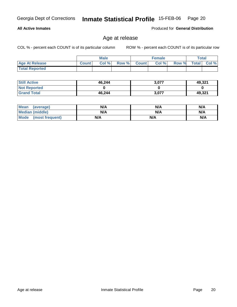**Total Reported**

| <b>Still Active</b> | 46,244 | 3,077 | 49,321 |
|---------------------|--------|-------|--------|
| <b>Not Reported</b> |        |       |        |
| <b>Grand Total</b>  | 46,244 | 3,077 | 49,321 |

 **Age At Release Count Col % Row % Count Col % Row % Total Col %** 

| <b>Mean</b><br>(average)       | N/A | N/A | N/A |
|--------------------------------|-----|-----|-----|
| <b>Median (middle)</b>         | N/A | N/A | N/A |
| <b>Mode</b><br>(most frequent) | N/A | N/A | N/A |

**Male**

COL % - percent each COUNT is of its particular column ROW % - percent each COUNT is of its particular row

**Female Total**

Georgia Dept of Corrections **Inmate Statistical Profile** 15-FEB-06 Page 20

### **All Active Inmates**

Age at release

Produced for **General Distribution**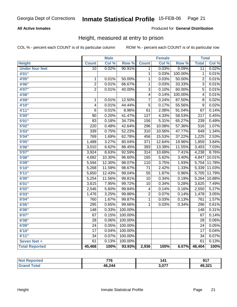#### **All Active Inmates**

#### Produced for **General Distribution**

### Height, measured at entry to prison

|                        |                  | <b>Male</b> |                  |                  | <b>Female</b> |         | <b>Total</b>     |        |
|------------------------|------------------|-------------|------------------|------------------|---------------|---------|------------------|--------|
| <b>Height</b>          | <b>Count</b>     | Col %       | Row <sup>7</sup> | <b>Count</b>     | Col %         | Row %   | <b>Total</b>     | Col %  |
| <b>Under four feet</b> | 10               | 0.02%       | 90.91%           | 1                | 0.03%         | 9.09%   | $\overline{11}$  | 0.02%  |
| 4'01''                 |                  |             |                  | 1                | 0.03%         | 100.00% | 1                | 0.01%  |
| 4'05''                 | 1                | 0.01%       | 50.00%           | 1                | 0.03%         | 50.00%  | $\overline{2}$   | 0.01%  |
| 4'06"                  | $\overline{2}$   | 0.01%       | 66.67%           | 1                | 0.03%         | 33.33%  | $\overline{3}$   | 0.01%  |
| 4'07"                  | $\overline{2}$   | 0.01%       | 40.00%           | $\overline{3}$   | 0.10%         | 60.00%  | 5                | 0.01%  |
| 4'08"                  |                  |             |                  | 4                | 0.14%         | 100.00% | 4                | 0.01%  |
| 4'09"                  | 1                | 0.01%       | 12.50%           | 7                | 0.24%         | 87.50%  | 8                | 0.02%  |
| 4'10"                  | 4                | 0.01%       | 44.44%           | $\overline{5}$   | 0.17%         | 55.56%  | 9                | 0.02%  |
| 4'11''                 | $\overline{6}$   | 0.01%       | 8.96%            | $\overline{61}$  | 2.08%         | 91.04%  | $\overline{67}$  | 0.14%  |
| 5'00''                 | $\overline{90}$  | 0.20%       | 41.47%           | $\overline{127}$ | 4.33%         | 58.53%  | $\overline{217}$ | 0.45%  |
| 5'01''                 | $\overline{83}$  | 0.18%       | 34.73%           | 156              | 5.31%         | 65.27%  | 239              | 0.49%  |
| 5'02"                  | $\overline{220}$ | 0.48%       | 42.64%           | 296              | 10.08%        | 57.36%  | 516              | 1.07%  |
| 5'03''                 | 339              | 0.75%       | 52.23%           | $\overline{310}$ | 10.56%        | 47.77%  | 649              | 1.34%  |
| 5'04"                  | 769              | 1.69%       | 62.78%           | 456              | 15.53%        | 37.22%  | 1,225            | 2.53%  |
| 5'05''                 | 1,488            | 3.27%       | 80.04%           | 371              | 12.64%        | 19.96%  | 1,859            | 3.84%  |
| 5'06''                 | 3,010            | 6.62%       | 88.45%           | 393              | 13.39%        | 11.55%  | 3,403            | 7.03%  |
| 5'07''                 | 3,924            | 8.63%       | 92.59%           | $\overline{314}$ | 10.69%        | 7.41%   | 4,238            | 8.76%  |
| 5'08''                 | 4,682            | 10.30%      | 96.60%           | 165              | 5.62%         | 3.40%   | 4,847            | 10.01% |
| 5'09''                 | 5,594            | 12.30%      | 98.07%           | $\overline{110}$ | 3.75%         | 1.93%   | 5,704            | 11.78% |
| 5'10''                 | 5,268            | 11.59%      | 98.67%           | $\overline{71}$  | 2.42%         | 1.33%   | 5,339            | 11.03% |
| 5'11''                 | 5,650            | 12.43%      | 99.04%           | $\overline{55}$  | 1.87%         | 0.96%   | 5,705            | 11.79% |
| 6'00''                 | 5,254            | 11.56%      | 99.81%           | $\overline{10}$  | 0.34%         | 0.19%   | 5,264            | 10.88% |
| 6'01''                 | 3,615            | 7.95%       | 99.72%           | 10               | 0.34%         | 0.28%   | 3,625            | 7.49%  |
| 6'02''                 | 2,546            | 5.60%       | 99.84%           | 4                | 0.14%         | 0.16%   | 2,550            | 5.27%  |
| 6'03''                 | 1,476            | 3.25%       | 99.86%           | 2                | 0.07%         | 0.14%   | 1,478            | 3.05%  |
| 6'04''                 | 760              | 1.67%       | 99.87%           | $\overline{1}$   | 0.03%         | 0.13%   | 761              | 1.57%  |
| 6'05''                 | 295              | 0.65%       | 99.66%           | 1                | 0.03%         | 0.34%   | 296              | 0.61%  |
| 6'06''                 | $\overline{148}$ | 0.33%       | 100.00%          |                  |               |         | $\overline{148}$ | 0.31%  |
| 6'07''                 | 67               | 0.15%       | 100.00%          |                  |               |         | 67               | 0.14%  |
| 6'08''                 | $\overline{28}$  | 0.06%       | 100.00%          |                  |               |         | $\overline{28}$  | 0.06%  |
| 6'09''                 | $\overline{24}$  | 0.05%       | 100.00%          |                  |               |         | $\overline{24}$  | 0.05%  |
| 6'10''                 | $\overline{17}$  | 0.04%       | 100.00%          |                  |               |         | $\overline{17}$  | 0.04%  |
| 6'11''                 | $\overline{34}$  | 0.07%       | 100.00%          |                  |               |         | $\overline{34}$  | 0.07%  |
| Seven feet +           | $\overline{61}$  | 0.13%       | 100.00%          |                  |               |         | $\overline{61}$  | 0.13%  |
| <b>Total Reported</b>  | 45,468           | 100%        | 93.93%           | 2,936            | 100%          | 6.07%   | 48,404           | 100%   |

| orted | 77C<br>r o | . л-  | 017<br>J          |
|-------|------------|-------|-------------------|
|       | 46,244     | 177 ג | AO 324<br>49.JZ I |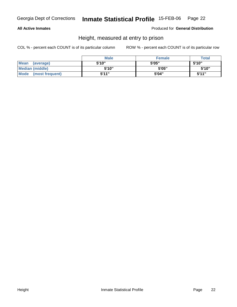#### **All Active Inmates**

Produced for **General Distribution**

### Height, measured at entry to prison

|                      | <b>Male</b> | <b>Female</b> | <b>Total</b> |
|----------------------|-------------|---------------|--------------|
| Mean (average)       | 5'10"       | 5'05"         | 5'10"        |
| Median (middle)      | 5'10"       | 5'05"         | 5'10''       |
| Mode (most frequent) | 5'11"       | 5'04"         | 5'11"        |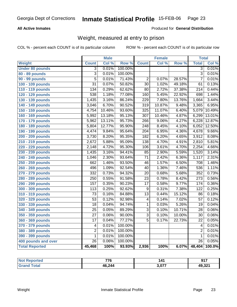#### **All Active Inmates**

#### Produced for **General Distribution**

### Weight, measured at entry to prison

|                        |                         | <b>Male</b> |                  |                  | <b>Female</b> |        | <b>Total</b>     |        |
|------------------------|-------------------------|-------------|------------------|------------------|---------------|--------|------------------|--------|
| Weight                 | <b>Count</b>            | Col %       | Row <sup>%</sup> | <b>Count</b>     | Col %         | Row %  | <b>Total</b>     | Col %  |
| <b>Under 80 pounds</b> | $\overline{3}$          | 0.01%       | 100.00%          |                  |               |        | $\overline{3}$   | 0.01%  |
| 80 - 89 pounds         | $\overline{3}$          | 0.01%       | 100.00%          |                  |               |        | $\overline{3}$   | 0.01%  |
| <b>90 - 99 pounds</b>  | $\overline{5}$          | 0.01%       | 71.43%           | $\overline{2}$   | 0.07%         | 28.57% | $\overline{7}$   | 0.01%  |
| 100 - 109 pounds       | $\overline{31}$         | 0.07%       | 50.82%           | $\overline{30}$  | 1.02%         | 49.18% | 61               | 0.13%  |
| 110 - 119 pounds       | 134                     | 0.29%       | 62.62%           | 80               | 2.72%         | 37.38% | $\overline{214}$ | 0.44%  |
| 120 - 129 pounds       | 538                     | 1.18%       | 77.08%           | 160              | 5.45%         | 22.92% | 698              | 1.44%  |
| 130 - 139 pounds       | 1,435                   | 3.16%       | 86.24%           | 229              | 7.80%         | 13.76% | 1,664            | 3.44%  |
| 140 - 149 pounds       | 3,046                   | 6.70%       | 90.52%           | $\overline{319}$ | 10.87%        | 9.48%  | 3,365            | 6.95%  |
| 150 - 159 pounds       | 4,754                   | 10.46%      | 93.60%           | 325              | 11.07%        | 6.40%  | 5,079            | 10.49% |
| 160 - 169 pounds       | 5,992                   | 13.18%      | 95.13%           | $\overline{307}$ | 10.46%        | 4.87%  | 6,299            | 13.01% |
| 170 - 179 pounds       | 5,962                   | 13.11%      | 95.73%           | 266              | 9.06%         | 4.27%  | 6,228            | 12.87% |
| 180 - 189 pounds       | 5,804                   | 12.77%      | 95.90%           | 248              | 8.45%         | 4.10%  | 6,052            | 12.50% |
| 190 - 199 pounds       | 4,474                   | 9.84%       | 95.64%           | $\overline{204}$ | 6.95%         | 4.36%  | 4,678            | 9.66%  |
| 200 - 209 pounds       | 3,730                   | 8.20%       | 95.35%           | $\overline{182}$ | 6.20%         | 4.65%  | 3,912            | 8.08%  |
| 210 - 219 pounds       | 2,672                   | 5.88%       | 95.09%           | 138              | 4.70%         | 4.91%  | 2,810            | 5.81%  |
| 220 - 229 pounds       | 2,148                   | 4.72%       | 95.30%           | $\overline{106}$ | 3.61%         | 4.70%  | 2,254            | 4.66%  |
| 230 - 239 pounds       | 1,435                   | 3.16%       | 94.41%           | 85               | 2.90%         | 5.59%  | 1,520            | 3.14%  |
| 240 - 249 pounds       | 1,046                   | 2.30%       | 93.64%           | $\overline{71}$  | 2.42%         | 6.36%  | 1,117            | 2.31%  |
| 250 - 259 pounds       | 662                     | 1.46%       | 93.50%           | 46               | 1.57%         | 6.50%  | 708              | 1.46%  |
| 260 - 269 pounds       | 496                     | 1.09%       | 92.54%           | 40               | 1.36%         | 7.46%  | 536              | 1.11%  |
| 270 - 279 pounds       | 332                     | 0.73%       | 94.32%           | $\overline{20}$  | 0.68%         | 5.68%  | 352              | 0.73%  |
| 280 - 289 pounds       | $\overline{250}$        | 0.55%       | 91.58%           | $\overline{23}$  | 0.78%         | 8.42%  | $\overline{273}$ | 0.56%  |
| 290 - 299 pounds       | 157                     | 0.35%       | 90.23%           | $\overline{17}$  | 0.58%         | 9.77%  | 174              | 0.36%  |
| 300 - 309 pounds       | 113                     | 0.25%       | 92.62%           | $\overline{9}$   | 0.31%         | 7.38%  | 122              | 0.25%  |
| 310 - 319 pounds       | $\overline{73}$         | 0.16%       | 84.88%           | $\overline{13}$  | 0.44%         | 15.12% | 86               | 0.18%  |
| 320 - 329 pounds       | $\overline{53}$         | 0.12%       | 92.98%           | 4                | 0.14%         | 7.02%  | $\overline{57}$  | 0.12%  |
| 330 - 339 pounds       | 18                      | 0.04%       | 94.74%           | 1                | 0.03%         | 5.26%  | 19               | 0.04%  |
| 340 - 349 pounds       | $\overline{25}$         | 0.05%       | 89.29%           | 3                | 0.10%         | 10.71% | 28               | 0.06%  |
| 350 - 359 pounds       | $\overline{27}$         | 0.06%       | 90.00%           | $\overline{3}$   | 0.10%         | 10.00% | 30               | 0.06%  |
| 360 - 369 pounds       | $\overline{17}$         | 0.04%       | 77.27%           | 5                | 0.17%         | 22.73% | 22               | 0.05%  |
| 370 - 379 pounds       | $\overline{\mathbf{4}}$ | 0.01%       | 100.00%          |                  |               |        | 4                | 0.01%  |
| 380 - 389 pounds       | $\overline{2}$          | 0.01%       | 100.00%          |                  |               |        | $\overline{2}$   | 0.01%  |
| 390 - 399 pounds       | $\mathbf{1}$            | 0.01%       | 100.00%          |                  |               |        | 1                | 0.01%  |
| 400 pounds and over    | $\overline{26}$         | 0.06%       | 100.00%          |                  |               |        | $\overline{26}$  | 0.05%  |
| <b>Total Reported</b>  | 45,468                  | 100%        | 93.93%           | 2,936            | 100%          | 6.07%  | 48,404           | 100.0% |

| 'eported<br>NO. | 776    | 141   | 017    |
|-----------------|--------|-------|--------|
| . Gr            | 46,244 | . ሰ77 | 49,321 |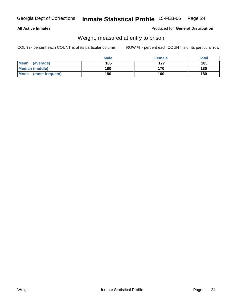#### **All Active Inmates**

#### Produced for **General Distribution**

### Weight, measured at entry to prison

|                         | <b>Male</b> | <b>Female</b> | <b>Total</b> |
|-------------------------|-------------|---------------|--------------|
| Mean<br>(average)       | 185         | 177           | 185          |
| <b>Median (middle)</b>  | 180         | 170           | 180          |
| Mode<br>(most frequent) | 180         | 160           | 180          |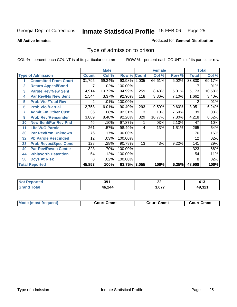**All Active Inmates**

#### Produced for **General Distribution**

### Type of admission to prison

|                |                             |              | <b>Male</b> |                    |     | <b>Female</b> |       |              | <b>Total</b> |
|----------------|-----------------------------|--------------|-------------|--------------------|-----|---------------|-------|--------------|--------------|
|                | <b>Type of Admission</b>    | <b>Count</b> | Col %       | <b>Row % Count</b> |     | Col %         | Row % | <b>Total</b> | Col %        |
| 1              | <b>Committed From Court</b> | 31,795       | 69.34%      | 93.98% 2,035       |     | 66.61%        | 6.02% | 33,830       | 69.17%       |
| $\overline{2}$ | <b>Return Appeal/Bond</b>   |              | .02%        | 100.00%            |     |               |       |              | .01%         |
| 3              | <b>Parole Rev/New Sent</b>  | 4,914        | 10.72%      | 94.99%             | 259 | 8.48%         | 5.01% | 5,173        | 10.58%       |
| 4              | <b>Par Rev/No New Sent</b>  | 1,544        | 3.37%       | 92.90%             | 118 | 3.86%         | 7.10% | 1,662        | 3.40%        |
| 5              | <b>Prob Viol/Total Rev</b>  | 2            | .01%        | 100.00%            |     |               |       | 2            | .01%         |
| 6              | <b>Prob Viol/Partial</b>    | 2,758        | 6.01%       | 90.40%             | 293 | 9.59%         | 9.60% | 3,051        | 6.24%        |
| 7              | <b>Admit Fm Other Cust</b>  | 36           | .08%        | 92.31%             | 3   | .10%          | 7.69% | 39           | .08%         |
| 9              | <b>Prob Rev/Remainder</b>   | 3,889        | 8.48%       | 92.20%             | 329 | 10.77%        | 7.80% | 4,218        | 8.62%        |
| 10             | <b>New Sent/Par Rev Pnd</b> | 46           | .10%        | 97.87%             |     | .03%          | 2.13% | 47           | .10%         |
| 11             | <b>Life W/O Parole</b>      | 261          | .57%        | 98.49%             | 4   | .13%          | 1.51% | 265          | .54%         |
| 30             | <b>Par Rev/Rsn Unknown</b>  | 76           | .17%        | 100.00%            |     |               |       | 76           | .16%         |
| 32             | <b>Pb Parole Rescinded</b>  | 12           | .03%        | 100.00%            |     |               |       | 12           | .02%         |
| 33             | <b>Prob Revoc/Spec Cond</b> | 128          | .28%        | 90.78%             | 13  | .43%          | 9.22% | 141          | .29%         |
| 40             | <b>Par Rev/Revoc Center</b> | 323          | .70%        | 100.00%            |     |               |       | 323          | .66%         |
| 44             | <b>Whitworth Detention</b>  | 54           | .12%        | 100.00%            |     |               |       | 54           | .11%         |
| 50             | <b>Dcys At Risk</b>         | 8            | .02%        | 100.00%            |     |               |       | 8            | .02%         |
|                | <b>Total Reported</b>       | 45,853       | 100%        | 93.75% 3,055       |     | 100%          | 6.25% | 48,908       | 100%         |

| ימא<br>prτed | 391    | ^^<br>LL |     |
|--------------|--------|----------|-----|
| _____        | 46.244 | . ሰ77    | .22 |

| <b>Mou</b><br>วmmt<br>freauent)<br>.ourtث<br>$\cdots$ | Cmmt<br>Court - | Cmmu<br>∵יווח… |
|-------------------------------------------------------|-----------------|----------------|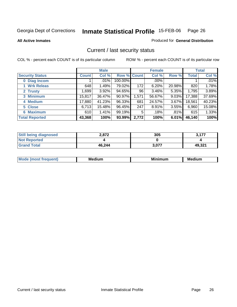**All Active Inmates**

#### Produced for **General Distribution**

### Current / last security status

|                        |              | <b>Male</b> |             |       | <b>Female</b> |          |        | <b>Total</b> |
|------------------------|--------------|-------------|-------------|-------|---------------|----------|--------|--------------|
| <b>Security Status</b> | <b>Count</b> | Col %       | Row % Count |       | Col %         | Row %    | Total  | Col %        |
| 0 Diag Incom           |              | .01%        | 100.00%     |       | .00%          |          |        | $.01\%$      |
| 1 Wrk Releas           | 648          | 1.49%       | 79.02%      | 172   | 6.20%         | 20.98%   | 820    | 1.78%        |
| 2 Trusty               | 1,699        | 3.92%       | 94.65%      | 96    | 3.46%         | 5.35%    | 1,795  | 3.89%        |
| 3 Minimum              | 15,817       | 36.47%      | 90.97%      | 1,571 | 56.67%        | $9.03\%$ | 17,388 | 37.69%       |
| 4 Medium               | 17,880       | 41.23%      | 96.33%      | 681   | 24.57%        | $3.67\%$ | 18,561 | 40.23%       |
| 5 Close                | 6,713        | 15.48%      | 96.45%      | 247   | 8.91%         | $3.55\%$ | 6,960  | 15.08%       |
| 6 Maximum              | 610          | 1.41%       | 99.19%      | 5     | .18%          | .81%     | 615    | 1.33%        |
| <b>Total Reported</b>  | 43,368       | 100%        | 93.99%      | 2,772 | 100%          | 6.01%    | 46,140 | 100%         |

| <b>Still being diagnosed</b> | 2.872  | 305   | う イフフ  |
|------------------------------|--------|-------|--------|
| <b>Not Reported</b>          |        |       |        |
| <b>Grand Total</b>           | 46,244 | 3,077 | 49,321 |

| M | <br>М | Mi<br>чшнг | ıum<br>ма |
|---|-------|------------|-----------|
|   |       |            |           |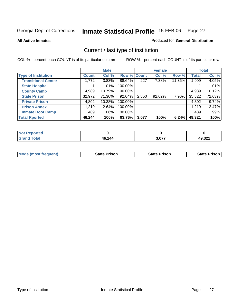**All Active Inmates**

#### Produced for **General Distribution**

### Current / last type of institution

|                            |              | <b>Male</b> |             |       | <b>Female</b> |        |              | <b>Total</b> |
|----------------------------|--------------|-------------|-------------|-------|---------------|--------|--------------|--------------|
| <b>Type of Institution</b> | <b>Count</b> | Col %       | Row % Count |       | Col %         | Row %  | <b>Total</b> | Col %        |
| <b>Transitional Center</b> | 1,772        | 3.83%       | 88.64%      | 227   | 7.38%         | 11.36% | 1,999        | 4.05%        |
| <b>State Hospital</b>      |              | $.01\%$     | 100.00%     |       |               |        |              | .01%         |
| <b>County Camp</b>         | 4,989        | 10.79%      | 100.00%     |       |               |        | 4,989        | 10.12%       |
| <b>State Prison</b>        | 32,972       | 71.30%      | 92.04%      | 2,850 | $92.62\%$     | 7.96%  | 35,822       | 72.63%       |
| <b>Private Prison</b>      | 4,802        | $10.38\%$   | 100.00%     |       |               |        | 4,802        | 9.74%        |
| <b>Prison Annex</b>        | 1,219        | 2.64%       | 100.00%     |       |               |        | 1,219        | 2.47%        |
| <b>Inmate Boot Camp</b>    | 489          | 1.06%       | 100.00%     |       |               |        | 489          | .99%         |
| <b>Total Rported</b>       | 46,244       | 100%        | 93.76%      | 3,077 | 100%          | 6.24%  | 49,321       | 100%         |

| rted<br>N  |        |       |                     |
|------------|--------|-------|---------------------|
| <b>ota</b> | 46,244 | 3,077 | AQ 221<br>$-3,32$ . |

| <b>Mode (most frequent)</b> | <b>State Prison</b> | <b>State Prison</b> | State Prison |
|-----------------------------|---------------------|---------------------|--------------|
|                             |                     |                     |              |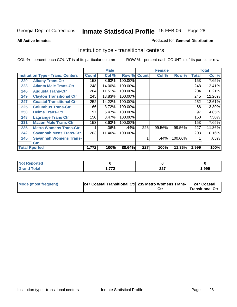**All Active Inmates**

#### Produced for **General Distribution**

### Institution type - transitional centers

|     |                                          |              | <b>Male</b> |                    |     | <b>Female</b> |         |              | <b>Total</b> |
|-----|------------------------------------------|--------------|-------------|--------------------|-----|---------------|---------|--------------|--------------|
|     | <b>Institution Type - Trans. Centers</b> | <b>Count</b> | Col %       | <b>Row % Count</b> |     | Col %         | Row %   | <b>Total</b> | Col %        |
| 220 | <b>Albany Trans-Ctr</b>                  | 153          | 8.63%       | 100.00%            |     |               |         | 153          | 7.65%        |
| 223 | <b>Atlanta Male Trans-Ctr</b>            | 248          | 14.00%      | 100.00%            |     |               |         | 248          | 12.41%       |
| 246 | <b>Augusta Trans-Ctr</b>                 | 204          | 11.51%      | 100.00%            |     |               |         | 204          | 10.21%       |
| 249 | <b>Clayton Transitional Ctr</b>          | 245          | 13.83%      | 100.00%            |     |               |         | 245          | 12.26%       |
| 247 | <b>Coastal Transitional Ctr</b>          | 252          | 14.22%      | 100.00%            |     |               |         | 252          | 12.61%       |
| 225 | <b>Columbus Trans-Ctr</b>                | 66           | 3.72%       | 100.00%            |     |               |         | 66           | $3.30\%$     |
| 250 | <b>Helms Trans-Ctr</b>                   | 97           | 5.47%       | 100.00%            |     |               |         | 97           | 4.85%        |
| 248 | <b>Lagrange Trans Ctr</b>                | 150          | 8.47%       | 100.00%            |     |               |         | 150          | 7.50%        |
| 231 | <b>Macon Male Trans-Ctr</b>              | 153          | 8.63%       | 100.00%            |     |               |         | 153          | 7.65%        |
| 235 | <b>Metro Womens Trans-Ctr</b>            |              | .06%        | $.44\%$            | 226 | 99.56%        | 99.56%  | 227          | 11.36%       |
| 242 | <b>Savannah Mens Trans-Ctr</b>           | 203          | 11.46%      | 100.00%            |     |               |         | 203          | 10.16%       |
| 245 | <b>Savannah Womens Trans-</b>            |              |             |                    |     | .44%          | 100.00% |              | .05%         |
|     | Ctr                                      |              |             |                    |     |               |         |              |              |
|     | <b>Total Rported</b>                     | 1,772        | 100%        | 88.64%             | 227 | 100%          | 11.36%  | 1,999        | 100%         |

| <b>orted</b>          |            |                       |      |
|-----------------------|------------|-----------------------|------|
| <b>otal</b><br>------ | 770<br>. . | $\sim$<br><i>LL</i> 1 | ,999 |

| Mode (most frequent) | 247 Coastal Transitional Ctr 235 Metro Womens Trans- | 247 Coastal      |
|----------------------|------------------------------------------------------|------------------|
|                      |                                                      | Transitional Ctr |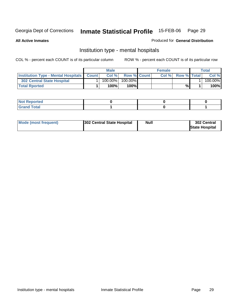**All Active Inmates**

#### Produced for **General Distribution**

### Institution type - mental hospitals

|                                                      | Male       |                    | <b>Female</b> |                    | $\tau$ otal |
|------------------------------------------------------|------------|--------------------|---------------|--------------------|-------------|
| <b>Institution Type - Mental Hospitals   Count  </b> | Col %      | <b>Row % Count</b> | Col%          | <b>Row % Total</b> | Col %       |
| 302 Central State Hospital                           | $100.00\%$ | $100.00\%$         |               |                    | 100.00%     |
| <b>Total Rported</b>                                 | 100%       | $100\%$            |               | %                  | 100%        |

| $\mathsf{I}$ Not Reported |  |  |
|---------------------------|--|--|
| $int^{\bullet}$<br>____   |  |  |

| Mode (most frequent) | <b>Null</b><br>302 Central State Hospital | 302 Central<br><b>State Hospital</b> |
|----------------------|-------------------------------------------|--------------------------------------|
|----------------------|-------------------------------------------|--------------------------------------|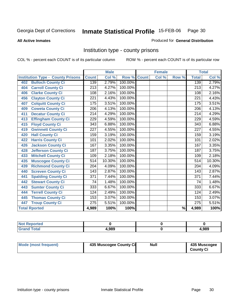#### **All Active Inmates**

#### Produced for **General Distribution**

### Institution type - county prisons

|                                          | <b>Male</b>      |        |         | <b>Female</b> |       |       | <b>Total</b>     |        |
|------------------------------------------|------------------|--------|---------|---------------|-------|-------|------------------|--------|
| <b>Institution Type - County Prisons</b> | <b>Count</b>     | Col %  | Row %   | <b>Count</b>  | Col % | Row % | <b>Total</b>     | Col %  |
| <b>Bulloch County Ci</b><br>402          | 139              | 2.79%  | 100.00% |               |       |       | 139              | 2.79%  |
| <b>Carroll County Ci</b><br>404          | $\overline{213}$ | 4.27%  | 100.00% |               |       |       | $\overline{213}$ | 4.27%  |
| <b>Clarke County Ci</b><br>406           | 108              | 2.16%  | 100.00% |               |       |       | 108              | 2.16%  |
| <b>Clayton County Ci</b><br>456          | 221              | 4.43%  | 100.00% |               |       |       | 221              | 4.43%  |
| <b>Colquitt County Ci</b><br>407         | $\overline{175}$ | 3.51%  | 100.00% |               |       |       | 175              | 3.51%  |
| <b>Coweta County Ci</b><br>409           | $\overline{206}$ | 4.13%  | 100.00% |               |       |       | $\overline{206}$ | 4.13%  |
| <b>Decatur County Ci</b><br>411          | $\overline{214}$ | 4.29%  | 100.00% |               |       |       | $\overline{214}$ | 4.29%  |
| <b>Effingham County Ci</b><br>413        | 229              | 4.59%  | 100.00% |               |       |       | 229              | 4.59%  |
| <b>Floyd County Ci</b><br>415            | 343              | 6.88%  | 100.00% |               |       |       | 343              | 6.88%  |
| <b>Gwinnett County Ci</b><br>419         | $\overline{227}$ | 4.55%  | 100.00% |               |       |       | 227              | 4.55%  |
| <b>Hall County Ci</b><br>420             | 159              | 3.19%  | 100.00% |               |       |       | 159              | 3.19%  |
| <b>Harris County Ci</b><br>422           | 101              | 2.02%  | 100.00% |               |       |       | 101              | 2.02%  |
| <b>Jackson County Ci</b><br>426          | 167              | 3.35%  | 100.00% |               |       |       | 167              | 3.35%  |
| <b>Jefferson County Ci</b><br>428        | 187              | 3.75%  | 100.00% |               |       |       | 187              | 3.75%  |
| <b>Mitchell County Ci</b><br>433         | 109              | 2.18%  | 100.00% |               |       |       | 109              | 2.18%  |
| <b>Muscogee County Ci</b><br>435         | $\overline{514}$ | 10.30% | 100.00% |               |       |       | $\overline{514}$ | 10.30% |
| <b>Richmond County Ci</b><br>439         | 204              | 4.09%  | 100.00% |               |       |       | 204              | 4.09%  |
| <b>Screven County Ci</b><br>440          | 143              | 2.87%  | 100.00% |               |       |       | 143              | 2.87%  |
| <b>Spalding County Ci</b><br>441         | $\overline{371}$ | 7.44%  | 100.00% |               |       |       | $\overline{371}$ | 7.44%  |
| <b>Stewart County Ci</b><br>442          | 74               | 1.48%  | 100.00% |               |       |       | 74               | 1.48%  |
| <b>Sumter County Ci</b><br>443           | 333              | 6.67%  | 100.00% |               |       |       | 333              | 6.67%  |
| <b>Terrell County Ci</b><br>444          | 124              | 2.49%  | 100.00% |               |       |       | 124              | 2.49%  |
| <b>Thomas County Ci</b><br>445           | 153              | 3.07%  | 100.00% |               |       |       | 153              | 3.07%  |
| <b>Troup County Ci</b><br>447            | $\overline{275}$ | 5.51%  | 100.00% |               |       |       | $\overline{275}$ | 5.51%  |
| <b>Total Rported</b>                     | 4,989            | 100%   | 100%    |               |       | $\%$  | 4,989            | 100%   |

| _____ | .989 | .989 |
|-------|------|------|

| Mode (most frequent) | 435 Muscogee County Ci | Null | 435 Muscogee     |
|----------------------|------------------------|------|------------------|
|                      |                        |      | <b>County Ci</b> |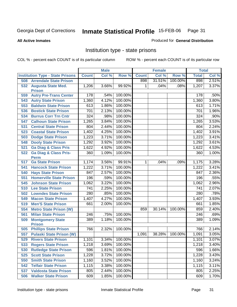Produced for **General Distribution**

#### **All Active Inmates**

### Institution type - state prisons

|     |                                                 |              | <b>Male</b> |         |              | <b>Female</b> |         | <b>Total</b> |       |
|-----|-------------------------------------------------|--------------|-------------|---------|--------------|---------------|---------|--------------|-------|
|     | <b>Institution Type - State Prisons</b>         | <b>Count</b> | Col %       | Row %   | <b>Count</b> | Col %         | Row %   | <b>Total</b> | Col % |
| 508 | <b>Arrendale State Prison</b>                   |              |             |         | 898          | 31.51%        | 100.00% | 898          | 2.51% |
| 532 | <b>Augusta State Med.</b><br><b>Prison</b>      | 1,206        | 3.66%       | 99.92%  | $\mathbf 1$  | .04%          | .08%    | 1,207        | 3.37% |
| 559 | <b>Autry Pre-Trans Center</b>                   | 178          | .54%        | 100.00% |              |               |         | 178          | .50%  |
| 543 | <b>Autry State Prison</b>                       | 1,360        | 4.12%       | 100.00% |              |               |         | 1,360        | 3.80% |
| 553 | <b>Baldwin State Prison</b>                     | 613          | 1.86%       | 100.00% |              |               |         | 613          | 1.71% |
| 536 | <b>Bostick State Prison</b>                     | 701          | 2.13%       | 100.00% |              |               |         | 701          | 1.96% |
| 534 | <b>Burrus Corr Trn Cntr</b>                     | 324          | .98%        | 100.00% |              |               |         | 324          | .90%  |
| 547 | <b>Calhoun State Prison</b>                     | 1,265        | 3.84%       | 100.00% |              |               |         | 1,265        | 3.53% |
| 531 | <b>Central State Prison</b>                     | 804          | 2.44%       | 100.00% |              |               |         | 804          | 2.24% |
| 523 | <b>Coastal State Prison</b>                     | 1,402        | 4.25%       | 100.00% |              |               |         | 1,402        | 3.91% |
| 503 | <b>Dodge State Prison</b>                       | 1,223        | 3.71%       | 100.00% |              |               |         | 1,223        | 3.41% |
| 548 | <b>Dooly State Prison</b>                       | 1,292        | 3.92%       | 100.00% |              |               |         | 1,292        | 3.61% |
| 521 | <b>Ga Diag &amp; Class Pris</b>                 | 1,622        | 4.92%       | 100.00% |              |               |         | 1,622        | 4.53% |
| 522 | <b>Ga Diag &amp; Class Pris-</b><br><b>Perm</b> | 360          | 1.09%       | 100.00% |              |               |         | 360          | 1.00% |
| 517 | <b>Ga State Prison</b>                          | 1,174        | 3.56%       | 99.91%  | $\mathbf 1$  | .04%          | .09%    | 1,175        | 3.28% |
| 541 | <b>Hancock State Prison</b>                     | 1,222        | 3.71%       | 100.00% |              |               |         | 1,222        | 3.41% |
| 540 | <b>Hays State Prison</b>                        | 847          | 2.57%       | 100.00% |              |               |         | 847          | 2.36% |
| 551 | <b>Homerville State Prison</b>                  | 196          | .59%        | 100.00% |              |               |         | 196          | .55%  |
| 545 | <b>Johnson State Prison</b>                     | 1,062        | 3.22%       | 100.00% |              |               |         | 1,062        | 2.96% |
| 510 | <b>Lee State Prison</b>                         | 741          | 2.25%       | 100.00% |              |               |         | 741          | 2.07% |
| 502 | <b>Lowndes State Prison</b>                     | 280          | .85%        | 100.00% |              |               |         | 280          | .78%  |
| 549 | <b>Macon State Prison</b>                       | 1,407        | 4.27%       | 100.00% |              |               |         | 1,407        | 3.93% |
| 519 | <b>Men'S State Prison</b>                       | 661          | 2.00%       | 100.00% |              |               |         | 661          | 1.85% |
| 554 | <b>Metro State Prison (W)</b>                   |              |             |         | 859          | 30.14%        | 100.00% | 859          | 2.40% |
| 561 | <b>Milan State Prison</b>                       | 246          | .75%        | 100.00% |              |               |         | 246          | .69%  |
| 509 | <b>Montgomery State</b><br><b>Prison</b>        | 389          | 1.18%       | 100.00% |              |               |         | 389          | 1.09% |
| 505 | <b>Phillips State Prison</b>                    | 766          | 2.32%       | 100.00% |              |               |         | 766          | 2.14% |
| 557 | <b>Pulaski State Prison (W)</b>                 |              |             |         | 1,091        | 38.28%        | 100.00% | 1,091        | 3.05% |
| 529 | <b>Rivers State Prison</b>                      | 1,101        | $3.34\%$    | 100.00% |              |               |         | 1,101        | 3.07% |
| 533 | <b>Rogers State Prison</b>                      | 1,218        | 3.69%       | 100.00% |              |               |         | 1,218        | 3.40% |
| 530 | <b>Rutledge State Prison</b>                    | 596          | 1.81%       | 100.00% |              |               |         | 596          | 1.66% |
| 525 | <b>Scott State Prison</b>                       | 1,228        | 3.72%       | 100.00% |              |               |         | 1,228        | 3.43% |
| 550 | <b>Smith State Prison</b>                       | 1,160        | 3.52%       | 100.00% |              |               |         | 1,160        | 3.24% |
| 542 | <b>Telfair State Prison</b>                     | 1,115        | 3.38%       | 100.00% |              |               |         | 1,115        | 3.11% |
| 537 | <b>Valdosta State Prison</b>                    | 805          | 2.44%       | 100.00% |              |               |         | 805          | 2.25% |
| 506 | <b>Walker State Prison</b>                      | 609          | 1.85%       | 100.00% |              |               |         | 609          | 1.70% |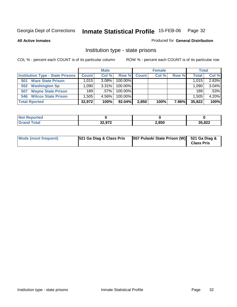**All Active Inmates**

#### Produced for **General Distribution**

### Institution type - state prisons

|                                         | <b>Male</b>  |          |            | <b>Female</b> |       |       | <b>Total</b> |       |
|-----------------------------------------|--------------|----------|------------|---------------|-------|-------|--------------|-------|
| <b>Institution Type - State Prisons</b> | <b>Count</b> | Col %    | Row %      | <b>Count</b>  | Col % | Row % | Total        | Col % |
| <b>Ware State Prison</b><br>501         | ا 015. ا     | $3.08\%$ | 100.00%    |               |       |       | 1.015        | 2.83% |
| <b>Washington Sp</b><br>552             | .090         | $3.31\%$ | $100.00\%$ |               |       |       | 1,090        | 3.04% |
| <b>Wayne State Prison</b><br>507        | 189          | $.57\%$  | $100.00\%$ |               |       |       | 189          | .53%  |
| 546 Wilcox State Prison                 | .505         | 4.56%    | $100.00\%$ |               |       |       | 1,505        | 4.20% |
| <b>Total Rported</b>                    | 32,972       | 100%     | $92.04\%$  | 2,850         | 100%  | 7.96% | 35,822       | 100%  |

| <b>ported</b><br>NOT |                   |       |        |
|----------------------|-------------------|-------|--------|
| <b>otal</b>          | 22.272<br>34.YI 4 | 2,850 | 35,822 |

| Mode (most frequent) | 521 Ga Diag & Class Pris | [557 Pulaski State Prison (W) 521 Ga Diag & | <b>Class Pris</b> |
|----------------------|--------------------------|---------------------------------------------|-------------------|
|----------------------|--------------------------|---------------------------------------------|-------------------|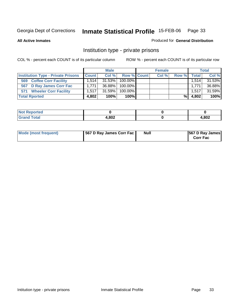**All Active Inmates**

#### Produced for **General Distribution**

### Institution type - private prisons

|                                           | <b>Male</b>  |           |             | <b>Female</b> |       |       | <b>Total</b> |        |
|-------------------------------------------|--------------|-----------|-------------|---------------|-------|-------|--------------|--------|
| <b>Institution Type - Private Prisons</b> | <b>Count</b> | Col %     | Row % Count |               | Col % | Row % | Total        | Col %  |
| <b>Coffee Corr Facility</b><br>569        | 1.514        | $31.53\%$ | 100.00%     |               |       |       | 1,514        | 31.53% |
| 567 D Ray James Corr Fac                  | 1.771        | 36.88%    | $100.00\%$  |               |       |       | 1.771        | 36.88% |
| <b>Wheeler Corr Facility</b><br>571       | 1.517        | 31.59%    | $100.00\%$  |               |       |       | 1.517        | 31.59% |
| <b>Total Rported</b>                      | 4,802        | 100%      | 100%        |               |       | %     | 4,802        | 100%   |

| 'tea                  |       |      |
|-----------------------|-------|------|
| <b>otal</b><br>------ | 4,802 | ,802 |

| Mode (most frequent) | 567 D Ray James Corr Fac | Null | <b>567 D Ray James</b><br><b>Corr Fac</b> |
|----------------------|--------------------------|------|-------------------------------------------|
|----------------------|--------------------------|------|-------------------------------------------|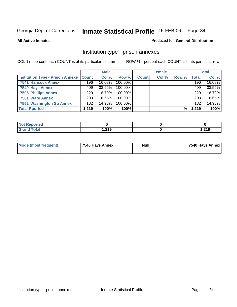**All Active Inmates**

Produced for **General Distribution**

### Institution type - prison annexes

|                                                   | <b>Male</b>      |        |            | <b>Female</b> |       |       | <b>Total</b> |        |
|---------------------------------------------------|------------------|--------|------------|---------------|-------|-------|--------------|--------|
| <b>Institution Type - Prison Annexe   Count  </b> |                  | Col %  | Row %      | <b>Count</b>  | Col % | Row % | Total        | Col %  |
| <b>7541 Hancock Annex</b>                         | 196              | 16.08% | 100.00%    |               |       |       | 196          | 16.08% |
| 7540 Hays Annex                                   | 409              | 33.55% | 100.00%    |               |       |       | 409          | 33.55% |
| <b>7505 Phillips Annex</b>                        | 229              | 18.79% | $100.00\%$ |               |       |       | 229          | 18.79% |
| 7501 Ware Annex                                   | 203 <sub>1</sub> | 16.65% | $100.00\%$ |               |       |       | 203          | 16.65% |
| 7552 Washington Sp Annex                          | 182              | 14.93% | 100.00%    |               |       |       | 182          | 14.93% |
| <b>Total Rported</b>                              | 1,219            | 100%   | 100%       |               |       | %     | 1,219        | 100%   |

| <b>Reported</b>      |        |                |
|----------------------|--------|----------------|
| <b>Total</b><br>Grar | 219. ا | 210<br>1,4 I J |

| Mode (most frequent) | 7540 Hays Annex | Null | 7540 Hays Annex |
|----------------------|-----------------|------|-----------------|
|                      |                 |      |                 |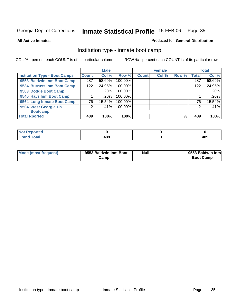**All Active Inmates**

#### Produced for **General Distribution**

### Institution type - inmate boot camp

|                                      |                    | <b>Male</b> |         |              | <b>Female</b> |       |       | <b>Total</b> |
|--------------------------------------|--------------------|-------------|---------|--------------|---------------|-------|-------|--------------|
| <b>Institution Type - Boot Camps</b> | Count <sup>1</sup> | Col %       | Row %   | <b>Count</b> | Col %         | Row % | Total | Col %        |
| 9553 Baldwin Inm Boot Camp           | 287                | 58.69%      | 100.00% |              |               |       | 287   | 58.69%       |
| 9534 Burruss Inm Boot Camp           | 122                | 24.95%      | 100.00% |              |               |       | 122   | 24.95%       |
| 9503 Dodge Boot Camp                 |                    | .20%        | 100.00% |              |               |       |       | .20%         |
| 9540 Hays Inm Boot Camp              |                    | .20%        | 100.00% |              |               |       |       | .20%         |
| 9564 Long Inmate Boot Camp           | 76                 | 15.54%      | 100.00% |              |               |       | 76    | 15.54%       |
| 9504 West Georgia Pb                 | ⌒                  | .41%        | 100.00% |              |               |       | 2     | .41%         |
| <b>Bootcamp</b>                      |                    |             |         |              |               |       |       |              |
| <b>Total Rported</b>                 | 489                | 100%        | 100%    |              |               | %     | 489   | 100%         |

| <b>'eported</b><br>. |     |            |
|----------------------|-----|------------|
| _______              | 489 | 400<br>409 |

| Mode (most frequent) | 9553 Baldwin Inm Boot | Null | 9553 Baldwin Inm |
|----------------------|-----------------------|------|------------------|
|                      | Camp                  |      | <b>Boot Camp</b> |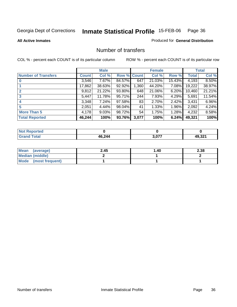Produced for **General Distribution**

#### **All Active Inmates**

#### Number of transfers

|                            |        | <b>Male</b> |             |       | <b>Female</b> |          |              | <b>Total</b> |
|----------------------------|--------|-------------|-------------|-------|---------------|----------|--------------|--------------|
| <b>Number of Transfers</b> | Count  | Col %       | Row % Count |       | Col %         | Row %    | <b>Total</b> | Col %        |
|                            | 3,546  | $7.67\%$    | 84.57%      | 647   | 21.03%        | 15.43%   | 4,193        | 8.50%        |
|                            | 17,862 | 38.63%      | 92.92%      | 1,360 | 44.20%        | 7.08%    | 19,222       | 38.97%       |
| $\mathbf{2}$               | 9,812  | 21.22%      | 93.80%      | 648   | 21.06%        | 6.20%    | 10,460       | 21.21%       |
| 3                          | 5,447  | 11.78%      | 95.71%      | 244   | 7.93%         | 4.29%    | 5,691        | 11.54%       |
|                            | 3,348  | 7.24%       | 97.58%      | 83    | 2.70%         | $2.42\%$ | 3,431        | 6.96%        |
| 5                          | 2,051  | 4.44%       | 98.04%      | 41    | 1.33%         | 1.96%    | 2,092        | 4.24%        |
| <b>More Than 5</b>         | 4,178  | $9.03\%$    | 98.72%      | 54    | 1.75%         | 1.28%    | 4,232        | 8.58%        |
| <b>Total Reported</b>      | 46,244 | 100%        | 93.76%      | 3,077 | 100%          | 6.24%    | 49,321       | 100%         |

| ted<br>'N (       |     |       |                              |
|-------------------|-----|-------|------------------------------|
| $\Delta + \gamma$ | 211 | 3 በ77 | $\mathbf{A} \cap \mathbf{A}$ |
|                   | AG. |       | __                           |

| Mean (average)       | 2.45 | 1.40 | 2.38 |
|----------------------|------|------|------|
| Median (middle)      |      |      |      |
| Mode (most frequent) |      |      |      |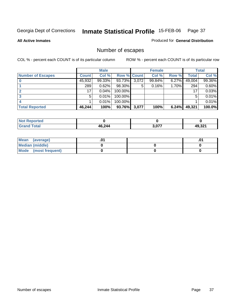**All Active Inmates**

#### Produced for **General Distribution**

# Number of escapes

|                          |              | <b>Male</b> |                    |       | <b>Female</b> |       |              | <b>Total</b> |
|--------------------------|--------------|-------------|--------------------|-------|---------------|-------|--------------|--------------|
| <b>Number of Escapes</b> | <b>Count</b> | Col %       | <b>Row % Count</b> |       | Col %         | Row % | <b>Total</b> | Col %        |
|                          | 45,932       | 99.33%      | 93.73%             | 3,072 | 99.84%        | 6.27% | 49,004       | 99.36%       |
|                          | 289          | 0.62%       | 98.30%             | 5     | 0.16%         | 1.70% | 294          | 0.60%        |
|                          | 17           | 0.04%       | $100.00\%$         |       |               |       | 17           | 0.03%        |
|                          | 5            | 0.01%       | 100.00%            |       |               |       | 5            | 0.01%        |
|                          |              | 0.01%       | 100.00%            |       |               |       |              | 0.01%        |
| <b>Total Reported</b>    | 46,244       | 100%        | 93.76%             | 3,077 | 100%          | 6.24% | 49,321       | 100.0%       |

| тео. |        |              |                |
|------|--------|--------------|----------------|
|      | 46,244 | 2.077<br>. u | AQ 321<br>.JZ. |

| Mean<br>(average)       |  | .01 |
|-------------------------|--|-----|
| Median (middle)         |  |     |
| Mode<br>(most frequent) |  |     |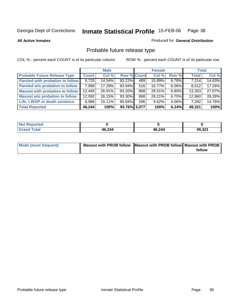#### **All Active Inmates**

# Produced for **General Distribution**

# Probable future release type

|                                         |        | <b>Male</b> |                    |                  | <b>Female</b> |          | <b>Total</b> |        |
|-----------------------------------------|--------|-------------|--------------------|------------------|---------------|----------|--------------|--------|
| <b>Probable Future Release Type</b>     | Count  | Col %       | <b>Row % Count</b> |                  | Col %         | Row %    | <b>Total</b> | Col %  |
| <b>Paroled with probation to follow</b> | 6,725  | 14.54%      | 93.22%             | 489              | 15.89%        | $6.78\%$ | 7,214        | 14.63% |
| Paroled w/o probation to follow         | 7,996  | 17.29%      | 93.94%             | 516              | 16.77%        | $6.06\%$ | 8,512        | 17.26% |
| Maxout with probation to follow         | 12,445 | 26.91%      | 93.20%             | 908 <sub>1</sub> | 29.51%        | $6.80\%$ | 13,353       | 27.07% |
| <b>Maxout w/o probation to follow</b>   | 12,092 | 26.15%      | 93.30%             | 868              | 28.21%        | $6.70\%$ | 12,960       | 26.28% |
| Life, LWOP or death sentence            | 6,986  | $15.11\%$   | 95.94%             | 296              | 9.62%         | 4.06%    | 7,282        | 14.76% |
| <b>Total Reported</b>                   | 46,244 | 100%        | 93.76% 3,077       |                  | 100%          | 6.24%    | 49,321       | 100%   |

| Not F<br>Reported    |        |        |        |
|----------------------|--------|--------|--------|
| <b>Total</b><br>Gran | 46,244 | 46,244 | 49,321 |

| Mode (most frequent) | Maxout with PROB follow Maxout with PROB follow Maxout with PROB |        |
|----------------------|------------------------------------------------------------------|--------|
|                      |                                                                  | follow |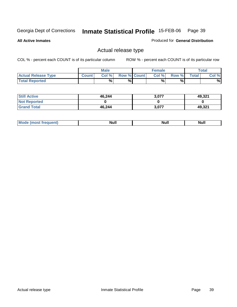**All Active Inmates**

Produced for **General Distribution**

# Actual release type

|                            |              | <b>Male</b> |                    | <b>Female</b> |       |              | Total |
|----------------------------|--------------|-------------|--------------------|---------------|-------|--------------|-------|
| <b>Actual Release Type</b> | <b>Count</b> | Col %       | <b>Row % Count</b> | Col %1        | Row % | <b>Total</b> | Col % |
| <b>Total Reported</b>      |              | %           | %                  | %             | %     |              | %     |

| <b>Still Active</b> | 46,244 | 3.077 | 49,321 |
|---------------------|--------|-------|--------|
| <b>Not Reported</b> |        |       |        |
| <b>Grand Total</b>  | 46,244 | 3,077 | 49,321 |

| M | <b>Null</b> | ичин | Null |
|---|-------------|------|------|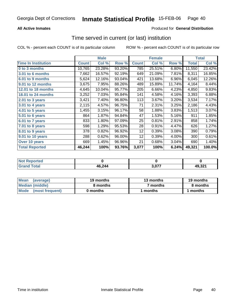### **All Active Inmates**

### Produced for **General Distribution**

## Time served in current (or last) institution

|                              |              | <b>Male</b> |        |              | <b>Female</b> |        |              | <b>Total</b> |
|------------------------------|--------------|-------------|--------|--------------|---------------|--------|--------------|--------------|
| <b>Time In Institution</b>   | <b>Count</b> | Col %       | Row %  | <b>Count</b> | Col %         | Row %  | <b>Total</b> | Col %        |
| 0 to 3 months                | 10,765       | 23.28%      | 93.20% | 785          | 25.51%        | 6.80%  | 11,550       | 23.42%       |
| 3.01 to 6 months             | 7,662        | 16.57%      | 92.19% | 649          | 21.09%        | 7.81%  | 8,311        | 16.85%       |
| 6.01 to 9 months             | 5,624        | 12.16%      | 93.04% | 421          | 13.68%        | 6.96%  | 6,045        | 12.26%       |
| 9.01 to 12 months            | 3,675        | 7.95%       | 88.26% | 489          | 15.89%        | 11.74% | 4,164        | 8.44%        |
| 12.01 to 18 months           | 4,645        | 10.04%      | 95.77% | 205          | 6.66%         | 4.23%  | 4,850        | 9.83%        |
| 18.01 to 24 months           | 3,252        | 7.03%       | 95.84% | 141          | 4.58%         | 4.16%  | 3,393        | 6.88%        |
| 2.01 to 3 years              | 3,421        | 7.40%       | 96.80% | 113          | 3.67%         | 3.20%  | 3,534        | 7.17%        |
| 3.01 to 4 years              | 2,115        | 4.57%       | 96.75% | 71           | 2.31%         | 3.25%  | 2,186        | 4.43%        |
| $\overline{4.01}$ to 5 years | 1,455        | 3.15%       | 96.17% | 58           | 1.88%         | 3.83%  | 1,513        | 3.07%        |
| 5.01 to 6 years              | 864          | 1.87%       | 94.84% | 47           | 1.53%         | 5.16%  | 911          | 1.85%        |
| 6.01 to 7 years              | 833          | 1.80%       | 97.09% | 25           | 0.81%         | 2.91%  | 858          | 1.74%        |
| 7.01 to 8 years              | 598          | 1.29%       | 95.53% | 28           | 0.91%         | 4.47%  | 626          | 1.27%        |
| 8.01 to 9 years              | 378          | 0.82%       | 96.92% | 12           | 0.39%         | 3.08%  | 390          | 0.79%        |
| 9.01 to 10 years             | 288          | 0.62%       | 96.00% | 12           | 0.39%         | 4.00%  | 300          | 0.61%        |
| Over 10 years                | 669          | 1.45%       | 96.96% | 21           | 0.68%         | 3.04%  | 690          | 1.40%        |
| <b>Total Reported</b>        | 46,244       | 100%        | 93.76% | 3,077        | 100%          | 6.24%  | 49,321       | 100.0%       |

| Not R<br><b>Reported</b> |        |            |        |
|--------------------------|--------|------------|--------|
| Cota'                    | 46,244 | <u>ሰ77</u> | 49 321 |

| <b>Mean</b><br>(average) | 19 months | 13 months | 19 months |  |
|--------------------------|-----------|-----------|-----------|--|
| Median (middle)          | 8 months  | 7 months  | 8 months  |  |
| Mode (most frequent)     | 0 months  | ' months  | 1 months  |  |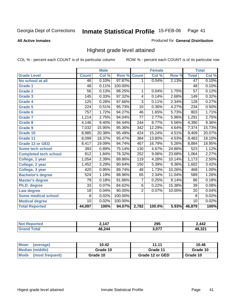#### **All Active Inmates**

#### Produced for **General Distribution**

# Highest grade level attained

|                              |                  | <b>Male</b> |         |                  | <b>Female</b> |        |                 | <b>Total</b> |
|------------------------------|------------------|-------------|---------|------------------|---------------|--------|-----------------|--------------|
| <b>Grade Level</b>           | <b>Count</b>     | Col %       | Row %   | <b>Count</b>     | Col %         | Row %  | <b>Total</b>    | Col %        |
| No school at all             | 46               | 0.10%       | 97.87%  | 1                | 0.04%         | 2.13%  | 47              | 0.10%        |
| <b>Grade 1</b>               | 48               | 0.11%       | 100.00% |                  |               |        | 48              | 0.10%        |
| <b>Grade 2</b>               | $\overline{56}$  | 0.13%       | 98.25%  | 1                | 0.04%         | 1.75%  | $\overline{57}$ | 0.12%        |
| <b>Grade 3</b>               | 145              | 0.33%       | 97.32%  | 4                | 0.14%         | 2.68%  | 149             | 0.32%        |
| Grade 4                      | 125              | 0.28%       | 97.66%  | $\overline{3}$   | 0.11%         | 2.34%  | 128             | 0.27%        |
| Grade 5                      | $\overline{224}$ | 0.51%       | 95.73%  | 10               | 0.36%         | 4.27%  | 234             | 0.50%        |
| Grade 6                      | 757              | 1.72%       | 94.27%  | 46               | 1.65%         | 5.73%  | 803             | 1.71%        |
| <b>Grade 7</b>               | 1,214            | 2.75%       | 94.04%  | $\overline{77}$  | 2.77%         | 5.96%  | 1,291           | 2.75%        |
| Grade 8                      | 4,146            | 9.40%       | 94.44%  | 244              | 8.77%         | 5.56%  | 4,390           | 9.36%        |
| Grade 9                      | 7,032            | 15.95%      | 95.36%  | $\frac{1}{342}$  | 12.29%        | 4.64%  | 7,374           | 15.73%       |
| Grade 10                     | 8,985            | 20.38%      | 95.49%  | 424              | 15.24%        | 4.51%  | 9,409           | 20.07%       |
| Grade 11                     | 8,099            | 18.37%      | 95.47%  | 384              | 13.80%        | 4.53%  | 8,483           | 18.10%       |
| <b>Grade 12 or GED</b>       | 8,417            | 19.09%      | 94.74%  | 467              | 16.79%        | 5.26%  | 8,884           | 18.95%       |
| Some tech school             | 393              | 0.89%       | 75.14%  | 130              | 4.67%         | 24.86% | 523             | 1.12%        |
| <b>Completed tech school</b> | $\overline{812}$ | 1.84%       | 76.32%  | 252              | 9.06%         | 23.68% | 1,064           | 2.27%        |
| College, 1 year              | 1,054            | 2.39%       | 89.86%  | $\overline{119}$ | 4.28%         | 10.14% | 1,173           | 2.50%        |
| College, 2 year              | 1,452            | 3.29%       | 90.64%  | 150              | 5.39%         | 9.36%  | 1,602           | 3.42%        |
| College, 3 year              | 420              | 0.95%       | 89.74%  | 48               | 1.73%         | 10.26% | 468             | 1.00%        |
| <b>Bachelor's degree</b>     | 524              | 1.19%       | 88.96%  | 65               | 2.34%         | 11.04% | 589             | 1.26%        |
| <b>Master's degree</b>       | 79               | 0.18%       | 91.86%  | 7                | 0.25%         | 8.14%  | 86              | 0.18%        |
| Ph.D. degree                 | $\overline{33}$  | 0.07%       | 84.62%  | $\overline{6}$   | 0.22%         | 15.38% | 39              | 0.08%        |
| Law degree                   | $\overline{18}$  | 0.04%       | 90.00%  | $\overline{2}$   | 0.07%         | 10.00% | $\overline{20}$ | 0.04%        |
| <b>Some medical school</b>   | 8                | 0.02%       | 100.00% |                  |               |        | 8               | 0.02%        |
| <b>Medical degree</b>        | 10               | 0.02%       | 100.00% |                  |               |        | 10              | 0.02%        |
| <b>Total Reported</b>        | 44,097           | 100%        | 94.07%  | 2,782            | 100.0%        | 5.93%  | 46,879          | 100%         |

| $\overline{A}$ | 295 | 2442 |
|----------------|-----|------|
| $AB$ $21/$     | 077 | ົດດ⊿ |

| Mean<br>(average)       | 10.42    | 11.11           | 10.46    |
|-------------------------|----------|-----------------|----------|
| Median (middle)         | Grade 10 | Grade 11        | Grade 10 |
| Mode<br>(most frequent) | Grade 10 | Grade 12 or GED | Grade 10 |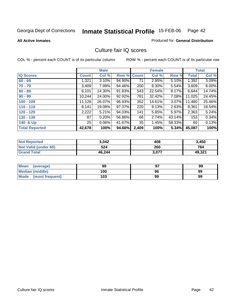Produced for **General Distribution**

#### **All Active Inmates**

### Culture fair IQ scores

|                       |              | <b>Male</b> |        |              | <b>Female</b> |          |              | <b>Total</b> |
|-----------------------|--------------|-------------|--------|--------------|---------------|----------|--------------|--------------|
| <b>IQ Scores</b>      | <b>Count</b> | Col %       | Row %  | <b>Count</b> | Col %         | Row %    | <b>Total</b> | Col %        |
| $60 - 69$             | 1,321        | 3.10%       | 94.90% | 71           | 2.95%         | 5.10%    | 1,392        | 3.09%        |
| $70 - 79$             | 3,409        | 7.99%       | 94.46% | 200          | 8.30%         | 5.54%    | 3,609        | 8.00%        |
| $80 - 89$             | 6,101        | 14.30%      | 91.83% | 543          | 22.54%        | 8.17%    | 6,644        | 14.74%       |
| $90 - 99$             | 10,244       | 24.00%      | 92.92% | 781          | 32.42%        | 7.08%    | 11,025       | 24.45%       |
| $100 - 109$           | 11,128       | 26.07%      | 96.93% | 352          | 14.61%        | $3.07\%$ | 11,480       | 25.46%       |
| $110 - 119$           | 8,141        | 19.08%      | 97.37% | 220          | 9.13%         | $2.63\%$ | 8,361        | 18.54%       |
| $120 - 129$           | 2,222        | 5.21%       | 94.03% | 141          | 5.85%         | $5.97\%$ | 2,363        | 5.24%        |
| $130 - 139$           | 87           | 0.20%       | 56.86% | 66           | 2.74%         | 43.14%   | 153          | 0.34%        |
| 140 & Up              | 25           | 0.06%       | 41.67% | 35           | 1.45%         | 58.33%   | 60           | 0.13%        |
| <b>Total Reported</b> | 42,678       | 100%        | 94.66% | 2,409        | 100%          | 5.34%    | 45,087       | 100%         |

| <b>Not Reported</b>  | 3,042  | 408   | 3,450  |
|----------------------|--------|-------|--------|
| Not Valid (under 60) | 524    | 260   | 784    |
| <b>Grand Total</b>   | 46.244 | 3,077 | 49,321 |

| Mean<br>(average)       | 99  | 97 | 99 |
|-------------------------|-----|----|----|
| Median (middle)         | 100 | 96 | 99 |
| Mode<br>(most frequent) | 103 | 99 | 99 |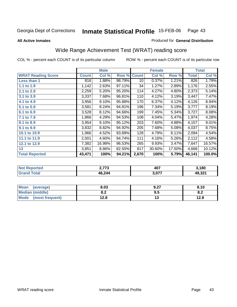#### **All Active Inmates**

#### Produced for **General Distribution**

# Wide Range Achievement Test (WRAT) reading score

|                           |              | <b>Male</b> |        |              | <b>Female</b> |        |              | <b>Total</b> |
|---------------------------|--------------|-------------|--------|--------------|---------------|--------|--------------|--------------|
| <b>WRAT Reading Score</b> | <b>Count</b> | Col %       | Row %  | <b>Count</b> | Col %         | Row %  | <b>Total</b> | Col %        |
| Less than 1               | 816          | 1.88%       | 98.79% | 10           | 0.37%         | 1.21%  | 826          | 1.79%        |
| 1.1 to 1.9                | 1,142        | 2.63%       | 97.11% | 34           | 1.27%         | 2.89%  | 1,176        | 2.55%        |
| 2.1 to 2.9                | 2,259        | 5.20%       | 95.20% | 114          | 4.27%         | 4.80%  | 2,373        | 5.14%        |
| 3.1 to 3.9                | 3,337        | 7.68%       | 96.81% | 110          | 4.12%         | 3.19%  | 3,447        | 7.47%        |
| 4.1 to 4.9                | 3,956        | 9.10%       | 95.88% | 170          | 6.37%         | 4.12%  | 4,126        | 8.94%        |
| 5.1 to 5.9                | 3,581        | 8.24%       | 94.81% | 196          | 7.34%         | 5.19%  | 3,777        | 8.19%        |
| 6.1 to 6.9                | 3,528        | 8.12%       | 94.66% | 199          | 7.45%         | 5.34%  | 3,727        | 8.08%        |
| 7.1 to 7.9                | 1,866        | 4.29%       | 94.53% | 108          | 4.04%         | 5.47%  | 1,974        | 4.28%        |
| 8.1 to 8.9                | 3,954        | 9.10%       | 95.12% | 203          | 7.60%         | 4.88%  | 4,157        | 9.01%        |
| 9.1 to 9.9                | 3,832        | 8.82%       | 94.92% | 205          | 7.68%         | 5.08%  | 4,037        | 8.75%        |
| 10.1 to 10.9              | 1,966        | 4.52%       | 93.89% | 128          | 4.79%         | 6.11%  | 2,094        | 4.54%        |
| 11.1 to 11.9              | 2,001        | 4.60%       | 94.74% | 111          | 4.16%         | 5.26%  | 2,112        | 4.58%        |
| 12.1 to 12.9              | 7,382        | 16.98%      | 96.53% | 265          | 9.93%         | 3.47%  | 7,647        | 16.57%       |
| 13                        | 3,851        | 8.86%       | 82.50% | 817          | 30.60%        | 17.50% | 4,668        | 10.12%       |
| <b>Total Reported</b>     | 43,471       | 100%        | 94.21% | 2,670        | 100%          | 5.79%  | 46,141       | 100.0%       |

| orted<br><b>NO</b> | ^ מדי<br>70 | 407                 | $\,^{\backprime}$ ,180 |
|--------------------|-------------|---------------------|------------------------|
| <b>c</b> otal      | 46,244      | 077<br><b>J.VI.</b> | 49,321                 |

| Mean<br>(average)      | 8.03       | 9.27 | 8.10       |
|------------------------|------------|------|------------|
| <b>Median (middle)</b> | ה ה<br>o.z | 9.5  | 0 O<br>0.Z |
| Mode (most frequent)   | 12.8       |      | 12.8       |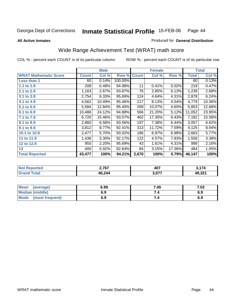**All Active Inmates**

#### Produced for **General Distribution**

# Wide Range Achievement Test (WRAT) math score

|                              |              | <b>Male</b> |         |              | <b>Female</b> |        |              | <b>Total</b> |
|------------------------------|--------------|-------------|---------|--------------|---------------|--------|--------------|--------------|
| <b>WRAT Mathematic Score</b> | <b>Count</b> | Col %       | Row %   | <b>Count</b> | Col %         | Row %  | <b>Total</b> | Col %        |
| Less than 1                  | 60           | 0.14%       | 100.00% |              |               |        | 60           | 0.13%        |
| 1.1 to 1.9                   | 208          | 0.48%       | 94.98%  | 11           | 0.41%         | 5.02%  | 219          | 0.47%        |
| 2.1 to 2.9                   | 1,163        | 2.67%       | 93.87%  | 76           | 2.85%         | 6.13%  | 1,239        | 2.68%        |
| 3.1 to 3.9                   | 2,754        | 6.33%       | 95.69%  | 124          | 4.64%         | 4.31%  | 2,878        | 6.24%        |
| 4.1 to 4.9                   | 4,562        | 10.49%      | 95.46%  | 217          | 8.13%         | 4.54%  | 4,779        | 10.36%       |
| 5.1 to 5.9                   | 5,584        | 12.84%      | 95.40%  | 269          | 10.07%        | 4.60%  | 5,853        | 12.68%       |
| 6.1 to 6.9                   | 10,486       | 24.12%      | 94.88%  | 566          | 21.20%        | 5.12%  | 11,052       | 23.95%       |
| 7.1 to 7.9                   | 6,720        | 15.46%      | 93.57%  | 462          | 17.30%        | 6.43%  | 7,182        | 15.56%       |
| 8.1 to 8.9                   | 2,860        | 6.58%       | 93.56%  | 197          | 7.38%         | 6.44%  | 3,057        | 6.62%        |
| 9.1 to 9.9                   | 3,812        | 8.77%       | 92.41%  | 313          | 11.72%        | 7.59%  | 4,125        | 8.94%        |
| 10.1 to 10.9                 | 2,477        | 5.70%       | 93.02%  | 186          | 6.97%         | 6.98%  | 2,663        | 5.77%        |
| 11 to 11.9                   | 1,436        | 3.30%       | 92.17%  | 122          | 4.57%         | 7.83%  | 1,558        | 3.38%        |
| 12 to 12.9                   | 955          | 2.20%       | 95.69%  | 43           | 1.61%         | 4.31%  | 998          | 2.16%        |
| 13                           | 400          | $0.92\%$    | 82.64%  | 84           | 3.15%         | 17.36% | 484          | 1.05%        |
| <b>Total Reported</b>        | 43,477       | 100%        | 94.21%  | 2,670        | 100%          | 5.79%  | 46,147       | 100%         |

| 2,767  | 407                   | $\rightarrow$ |
|--------|-----------------------|---------------|
| 46,244 | 077<br>. <b>10.</b> U | 49,321        |

| <b>Mean</b><br>(average) | 6.99 | 7.45 | 7.02 |
|--------------------------|------|------|------|
| <b>Median (middle)</b>   | 6.9  |      | 6.9  |
| Mode<br>(most frequent)  | 6.9  | 7.4  | 6.9  |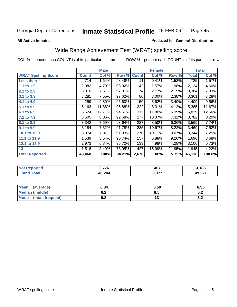#### **All Active Inmates**

### Produced for **General Distribution**

# Wide Range Achievement Test (WRAT) spelling score

|                            |              | <b>Male</b> |        |              | <b>Female</b> |          |              | <b>Total</b> |
|----------------------------|--------------|-------------|--------|--------------|---------------|----------|--------------|--------------|
| <b>WRAT Spelling Score</b> | <b>Count</b> | Col %       | Row %  | <b>Count</b> | Col %         | Row %    | <b>Total</b> | Col %        |
| Less than 1                | 714          | 1.64%       | 98.48% | 11           | 0.41%         | 1.52%    | 725          | 1.57%        |
| 1.1 to 1.9                 | 2,082        | 4.79%       | 98.02% | 42           | 1.57%         | 1.98%    | 2,124        | 4.60%        |
| 2.1 to 2.9                 | 3,310        | 7.61%       | 97.81% | 74           | 2.77%         | 2.19%    | 3,384        | 7.33%        |
| 3.1 to 3.9                 | 3,281        | 7.55%       | 97.62% | 80           | 3.00%         | 2.38%    | 3,361        | 7.28%        |
| 4.1 to 4.9                 | 4,259        | 9.80%       | 96.60% | 150          | 5.62%         | 3.40%    | 4,409        | 9.56%        |
| 5.1 to 5.9                 | 5,163        | 11.88%      | 95.88% | 222          | 8.31%         | 4.12%    | 5,385        | 11.67%       |
| 6.1 to 6.9                 | 5,524        | 12.71%      | 94.61% | 315          | 11.80%        | 5.39%    | 5,839        | 12.66%       |
| 7.1 to 7.9                 | 3,505        | 8.06%       | 92.68% | 277          | 10.37%        | 7.32%    | 3,782        | 8.20%        |
| 8.1 to 8.9                 | 3,342        | 7.69%       | 93.64% | 227          | 8.50%         | $6.36\%$ | 3,569        | 7.74%        |
| 9.1 to 9.9                 | 3,184        | 7.32%       | 91.78% | 285          | 10.67%        | 8.22%    | 3,469        | 7.52%        |
| 10.1 to 10.9               | 3,074        | 7.07%       | 91.93% | 270          | 10.11%        | 8.07%    | 3,344        | 7.25%        |
| 11.1 to 11.9               | 1,539        | 3.54%       | 90.74% | 157          | 5.88%         | 9.26%    | 1,696        | 3.68%        |
| 12.1 to 12.9               | 2,973        | 6.84%       | 95.72% | 133          | 4.98%         | 4.28%    | 3,106        | 6.73%        |
| 13                         | 1,518        | 3.49%       | 78.05% | 427          | 15.99%        | 21.95%   | 1,945        | 4.22%        |
| <b>Total Reported</b>      | 43,468       | 100%        | 94.21% | 2,670        | 100%          | 5.79%    | 46,138       | 100.0%       |

| orted<br><b>NO</b> | 2.776  | 407                   | 3,183  |
|--------------------|--------|-----------------------|--------|
| <b>c</b> otal      | 46,244 | - 677<br><b>J.VI.</b> | 49,321 |

| <b>Mean</b><br>(average) | 6.84       | 8.59 | 6.95       |
|--------------------------|------------|------|------------|
| <b>Median (middle)</b>   | v.z        | Ծ. : | . .<br>ο.Ζ |
| Mode<br>(most frequent)  | . .<br>◡.∠ | ں ،  | . .<br>0.Z |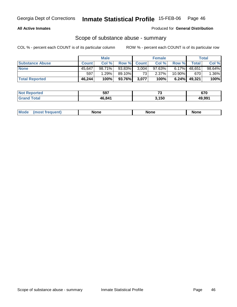### **All Active Inmates**

Produced for **General Distribution**

## Scope of substance abuse - summary

|                        |              | <b>Male</b> |                    |       | <b>Female</b> |           |                 | <b>Total</b> |
|------------------------|--------------|-------------|--------------------|-------|---------------|-----------|-----------------|--------------|
| <b>Substance Abuse</b> | <b>Count</b> | Col %       | <b>Row % Count</b> |       | Col %         | Row %     | <b>Total</b>    | Col %        |
| <b>None</b>            | 45.647       | $98.71\%$   | 93.83%             | 3,004 | $97.63\%$     |           | $6.17\%$ 48,651 | 98.64%       |
|                        | 597          | 1.29%       | 89.10% I           | 731   | $2.37\%$      | $10.90\%$ | 670             | $1.36\%$     |
| <b>Total Reported</b>  | 46,244       | 100%        | 93.76%             | 3,077 | 100%          |           | $6.24\%$ 49,321 | 100%         |

| <b>Not</b><br><b>Reported</b> | 597    | $\sim$<br>- 11 | 670    |
|-------------------------------|--------|----------------|--------|
| <b>cotal</b>                  | 46.841 | 3,150          | 49,991 |

|  | Mode | lone | None | <b>None</b> |
|--|------|------|------|-------------|
|--|------|------|------|-------------|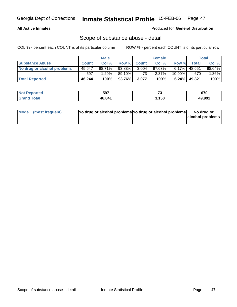### **All Active Inmates**

#### Produced for **General Distribution**

### Scope of substance abuse - detail

|                             |              | <b>Male</b> |                 |                 | <b>Female</b> |           |              | <b>Total</b> |
|-----------------------------|--------------|-------------|-----------------|-----------------|---------------|-----------|--------------|--------------|
| <b>Substance Abuse</b>      | <b>Count</b> | Col %       | Row % Count     |                 | Col %         | Row %     | <b>Total</b> | Col %        |
| No drug or alcohol problems | 45.647       | 98.71%      | 93.83%          | 3,004           | $97.63\%$     | $6.17\%$  | 48.651       | 98.64%       |
|                             | 597          | $1.29\%$    | 89.10% <b>I</b> | 73 <sub>1</sub> | 2.37%         | $10.90\%$ | 670          | $1.36\%$     |
| <b>Total Reported</b>       | 46,244       | 100%        | 93.76%          | 3,077           | 100%          | 6.24%     | 49,321       | $100\%$      |

| <b>Not Reported</b> | 597    | $\rightarrow$ | 670    |
|---------------------|--------|---------------|--------|
| <b>Grand Total</b>  | 46.841 | 3,150         | 49,991 |

| Mode (most frequent) | No drug or alcohol problems No drug or alcohol problems | No drug or       |
|----------------------|---------------------------------------------------------|------------------|
|                      |                                                         | alcohol problems |
|                      |                                                         |                  |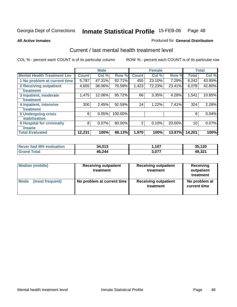Produced for **General Distribution**

#### **All Active Inmates**

### Current / last mental health treatment level

|                                    |              | <b>Male</b> |         |              | <b>Female</b> |        |              | <b>Total</b> |
|------------------------------------|--------------|-------------|---------|--------------|---------------|--------|--------------|--------------|
| <b>Mental Health Treatment Lev</b> | <b>Count</b> | Col %       | Row %   | <b>Count</b> | Col %         | Row %  | <b>Total</b> | Col %        |
| 1 No problem at current time       | 5,787        | 47.31%      | 92.71%  | 455          | 23.10%        | 7.29%  | 6,242        | 43.95%       |
| <b>2 Receiving outpatient</b>      | 4,655        | 38.06%      | 76.59%  | 1,423        | 72.23%        | 23.41% | 6,078        | 42.80%       |
| treatment                          |              |             |         |              |               |        |              |              |
| 3 Inpatient, moderate              | 1,475        | 12.06%      | 95.72%  | 66           | 3.35%         | 4.28%  | 1,541        | 10.85%       |
| treatment                          |              |             |         |              |               |        |              |              |
| 4 Inpatient, intensive             | 300          | 2.45%       | 92.59%  | 24           | 1.22%         | 7.41%  | 324          | 2.28%        |
| treatment                          |              |             |         |              |               |        |              |              |
| <b>5 Undergoing crisis</b>         | 6            | 0.05%       | 100.00% |              |               |        | 6            | 0.04%        |
| stabilization                      |              |             |         |              |               |        |              |              |
| <b>6 Hospital for criminally</b>   | 8            | 0.07%       | 80.00%  | 2            | 0.10%         | 20.00% | 10           | 0.07%        |
| insane                             |              |             |         |              |               |        |              |              |
| <b>Total Evaluated</b>             | 12,231       | 100%        | 86.13%  | 1,970        | 100%          | 13.87% | 14,201       | 100%         |

| Never had MH evaluation      | 34,013 | ,107  | 35,120 |
|------------------------------|--------|-------|--------|
| <b>Total</b><br><b>Grand</b> | 46,244 | 3,077 | 49,321 |

| <b>Median (middle)</b> | <b>Receiving outpatient</b><br>treatment | <b>Receiving outpatient</b><br>treatment | Receiving<br>outpatient<br>treatment |  |
|------------------------|------------------------------------------|------------------------------------------|--------------------------------------|--|
| Mode                   | No problem at current time               | <b>Receiving outpatient</b>              | No problem at                        |  |
| (most frequent)        |                                          | treatment                                | current time                         |  |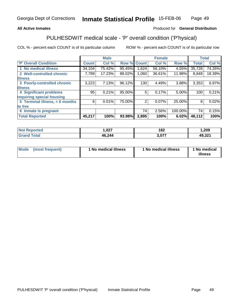#### **All Active Inmates**

### Produced for **General Distribution**

# PULHESDWIT medical scale - 'P' overall condition ('P'hysical)

|                                |              | <b>Male</b> |             |       | <b>Female</b> |         | <b>Total</b> |        |
|--------------------------------|--------------|-------------|-------------|-------|---------------|---------|--------------|--------|
| 'P' Overall Condition          | <b>Count</b> | Col %       | Row % Count |       | Col %         | Row %   | <b>Total</b> | Col %  |
| 1 No medical illness           | 34,104       | 75.42%      | 95.45%      | ,624  | 56.10%        | 4.55%   | 35,728       | 74.26% |
| 2 Well-controlled chronic      | 7,789        | 17.23%      | 88.02%      | 1,060 | 36.61%        | 11.98%  | 8,849        | 18.39% |
| <b>illness</b>                 |              |             |             |       |               |         |              |        |
| 3 Poorly-controlled chronic    | 3,223        | 7.13%       | 96.12%      | 130   | 4.49%         | 3.88%   | 3,353        | 6.97%  |
| <b>illness</b>                 |              |             |             |       |               |         |              |        |
| <b>4 Significant problems</b>  | 95           | 0.21%       | 95.00%      | 5     | 0.17%         | 5.00%   | 100          | 0.21%  |
| requiring special housing      |              |             |             |       |               |         |              |        |
| 5 Terminal illness, < 6 months | 6            | $0.01\%$    | 75.00%      | 2     | $0.07\%$      | 25.00%  | 8            | 0.02%  |
| to live                        |              |             |             |       |               |         |              |        |
| 6 Inmate is pregnant           |              |             |             | 74    | 2.56%         | 100.00% | 74           | 0.15%  |
| <b>Total Reported</b>          | 45,217       | 100%        | 93.98%      | 2,895 | 100%          | 6.02%   | 48,112       | 100%   |

| <b>Not</b><br><b>Reported</b> | ,027   | 182        | ,209   |
|-------------------------------|--------|------------|--------|
| ⊺otal<br>Grand                | 46,244 | $3.07^{2}$ | 49,321 |

| <b>Mode</b> | (most frequent) | 1 No medical illness | 1 No medical illness | 1 No medical<br>illness |
|-------------|-----------------|----------------------|----------------------|-------------------------|
|-------------|-----------------|----------------------|----------------------|-------------------------|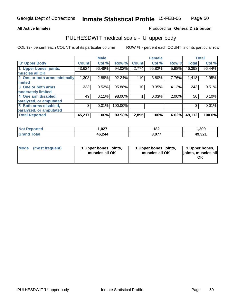#### **All Active Inmates**

#### Produced for **General Distribution**

## PULHESDWIT medical scale - 'U' upper body

|                              |              | <b>Male</b> |         |              | <b>Female</b> |       |              | <b>Total</b> |
|------------------------------|--------------|-------------|---------|--------------|---------------|-------|--------------|--------------|
| <b>U' Upper Body</b>         | <b>Count</b> | Col %       | Row %   | <b>Count</b> | Col %         | Row % | <b>Total</b> | Col %        |
| 1 Upper bones, joints,       | 43,624       | 96.48%      | 94.02%  | 2,774        | 95.82%        | 5.98% | 46,398       | 96.44%       |
| muscles all OK               |              |             |         |              |               |       |              |              |
| 2 One or both arms minimally | 1,308        | 2.89%       | 92.24%  | 110          | 3.80%         | 7.76% | 1,418        | 2.95%        |
| <b>limited</b>               |              |             |         |              |               |       |              |              |
| 3 One or both arms           | 233          | 0.52%       | 95.88%  | 10           | 0.35%         | 4.12% | 243          | 0.51%        |
| moderately limited           |              |             |         |              |               |       |              |              |
| 4 One arm disabled,          | 49           | 0.11%       | 98.00%  |              | 0.03%         | 2.00% | 50           | 0.10%        |
| paralyzed, or amputated      |              |             |         |              |               |       |              |              |
| 5 Both arms disabled,        | 3            | 0.01%       | 100.00% |              |               |       | 3            | 0.01%        |
| paralyzed, or amputated      |              |             |         |              |               |       |              |              |
| <b>Total Reported</b>        | 45,217       | 100%        | 93.98%  | 2,895        | 100%          | 6.02% | 48,112       | 100.0%       |

| <b>Not Reported</b>         | 027, ا | 182   | 1,209  |
|-----------------------------|--------|-------|--------|
| $\tau$ otal<br><b>Grano</b> | 46,244 | 2.077 | 49,321 |

| Mode | (most frequent) | 1 Upper bones, joints,<br>muscles all OK | 1 Upper bones, joints,<br>muscles all OK | 1 Upper bones,<br>joints, muscles all<br>ΟK |
|------|-----------------|------------------------------------------|------------------------------------------|---------------------------------------------|
|------|-----------------|------------------------------------------|------------------------------------------|---------------------------------------------|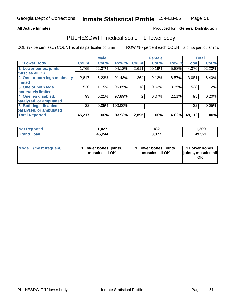#### **All Active Inmates**

### Produced for **General Distribution**

### PULHESDWIT medical scale - 'L' lower body

|                              |              | <b>Male</b> |         |              | <b>Female</b> |       |              | <b>Total</b> |
|------------------------------|--------------|-------------|---------|--------------|---------------|-------|--------------|--------------|
| 'L' Lower Body               | <b>Count</b> | Col %       | Row %   | <b>Count</b> | Col %         | Row % | <b>Total</b> | Col %        |
| 1 Lower bones, joints,       | 41,765       | 92.37%      | 94.12%  | 2,611        | 90.19%        | 5.88% | 44,376       | 92.23%       |
| muscles all OK               |              |             |         |              |               |       |              |              |
| 2 One or both legs minimally | 2,817        | 6.23%       | 91.43%  | 264          | 9.12%         | 8.57% | 3,081        | 6.40%        |
| limited                      |              |             |         |              |               |       |              |              |
| 3 One or both legs           | 520          | 1.15%       | 96.65%  | 18           | 0.62%         | 3.35% | 538          | 1.12%        |
| moderately limited           |              |             |         |              |               |       |              |              |
| 4 One leg disabled,          | 93           | 0.21%       | 97.89%  | 2            | 0.07%         | 2.11% | 95           | 0.20%        |
| paralyzed, or amputated      |              |             |         |              |               |       |              |              |
| 5 Both legs disabled,        | 22           | 0.05%       | 100.00% |              |               |       | 22           | 0.05%        |
| paralyzed, or amputated      |              |             |         |              |               |       |              |              |
| <b>Total Reported</b>        | 45,217       | 100%        | 93.98%  | 2,895        | 100%          | 6.02% | 48,112       | 100%         |

| <b>Not Reported</b>         | 027, ا | 182   | 1,209  |
|-----------------------------|--------|-------|--------|
| $\tau$ otal<br><b>Grano</b> | 46,244 | 2.077 | 49,321 |

| Mode | (most frequent) | 1 Lower bones, joints,<br>muscles all OK | 1 Lower bones, joints,<br>muscles all OK | 1 Lower bones,<br>ljoints, muscles all<br>OK |
|------|-----------------|------------------------------------------|------------------------------------------|----------------------------------------------|
|------|-----------------|------------------------------------------|------------------------------------------|----------------------------------------------|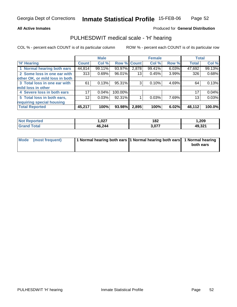#### **All Active Inmates**

### Produced for **General Distribution**

## PULHESDWIT medical scale - 'H' hearing

|                                |              | <b>Male</b> |             |       | <b>Female</b> |       | <b>Total</b> |        |
|--------------------------------|--------------|-------------|-------------|-------|---------------|-------|--------------|--------|
| <b>H'</b> Hearing              | <b>Count</b> | Col %       | Row % Count |       | Col %         | Row % | <b>Total</b> | Col %  |
| 1 Normal hearing both ears     | 44,814       | 99.11%      | 93.97%      | 2,878 | 99.41%        | 6.03% | 47,692       | 99.13% |
| 2 Some loss in one ear with    | 313          | 0.69%       | 96.01%      | 13    | 0.45%         | 3.99% | 326          | 0.68%  |
| other OK, or mild loss in both |              |             |             |       |               |       |              |        |
| 3 Total loss in one ear with   | 61           | 0.13%       | 95.31%      | 3     | 0.10%         | 4.69% | 64           | 0.13%  |
| mild loss in other             |              |             |             |       |               |       |              |        |
| 4 Severe loss in both ears     | 17           | 0.04%       | 100.00%     |       |               |       | 17           | 0.04%  |
| 5 Total loss in both ears,     | 12           | 0.03%       | 92.31%      |       | 0.03%         | 7.69% | 13           | 0.03%  |
| requiring special housing      |              |             |             |       |               |       |              |        |
| <b>Total Reported</b>          | 45,217       | 100%        | 93.98%      | 2,895 | 100%          | 6.02% | 48,112       | 100.0% |

| <b>ortec</b> | דמה ו<br>,vzi | 182   | ,209   |
|--------------|---------------|-------|--------|
|              | 46.244        | 3.077 | 49,321 |

| Mode (most frequent) | 1 Normal hearing both ears 1 Normal hearing both ears 1 Normal hearing |           |
|----------------------|------------------------------------------------------------------------|-----------|
|                      |                                                                        | both ears |
|                      |                                                                        |           |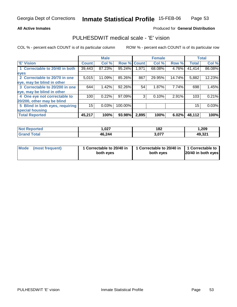#### **All Active Inmates**

### Produced for **General Distribution**

### PULHESDWIT medical scale - 'E' vision

|                                 |              | <b>Male</b> |                    |       | <b>Female</b> |        |              | <b>Total</b> |
|---------------------------------|--------------|-------------|--------------------|-------|---------------|--------|--------------|--------------|
| 'E' Vision                      | <b>Count</b> | Col %       | <b>Row % Count</b> |       | Col %         | Row %  | <b>Total</b> | Col %        |
| 1 Correctable to 20/40 in both  | 39,443       | 87.23%      | 95.24%             | 1,971 | 68.08%        | 4.76%  | 41,414       | 86.08%       |
| eyes                            |              |             |                    |       |               |        |              |              |
| 2 Correctable to 20/70 in one   | 5,015        | 11.09%      | 85.26%             | 867   | 29.95%        | 14.74% | 5,882        | 12.23%       |
| eye, may be blind in other      |              |             |                    |       |               |        |              |              |
| 3 Correctable to 20/200 in one  | 644          | 1.42%       | 92.26%             | 54    | 1.87%         | 7.74%  | 698          | 1.45%        |
| eye, may be blind in other      |              |             |                    |       |               |        |              |              |
| 4 One eye not correctable to    | 100          | 0.22%       | 97.09%             | 3     | 0.10%         | 2.91%  | 103          | 0.21%        |
| 20/200, other may be blind      |              |             |                    |       |               |        |              |              |
| 5 Blind in both eyes, requiring | 15           | 0.03%       | 100.00%            |       |               |        | 15           | 0.03%        |
| special housing                 |              |             |                    |       |               |        |              |              |
| <b>Total Reported</b>           | 45,217       | 100%        | 93.98%             | 2,895 | 100%          | 6.02%  | 48,112       | 100%         |

| <b>Not</b><br><b>Reported</b> | .027   | 182   | 1,209  |
|-------------------------------|--------|-------|--------|
| $\tau$ otal<br>'Grano         | 46,244 | 3,077 | 49,321 |

| Mode            | 1 Correctable to 20/40 in | 1 Correctable to 20/40 in   1 Correctable to | 20/40 in both eyes |
|-----------------|---------------------------|----------------------------------------------|--------------------|
| (most frequent) | both eyes                 | both eyes                                    |                    |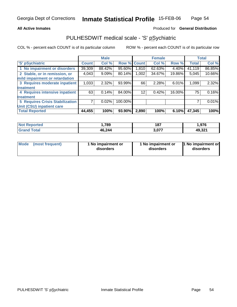#### **All Active Inmates**

#### Produced for **General Distribution**

# PULHESDWIT medical scale - 'S' pSychiatric

|                                        |              | <b>Male</b> |             |       | <b>Female</b> |        |              | <b>Total</b> |
|----------------------------------------|--------------|-------------|-------------|-------|---------------|--------|--------------|--------------|
| 'S' pSychiatric                        | <b>Count</b> | Col %       | Row % Count |       | Col %         | Row %  | <b>Total</b> | Col %        |
| 1 No impairment or disorders           | 39,309       | 88.42%      | 95.60%      | 1,810 | 62.63%        | 4.40%  | 41,119       | 86.85%       |
| 2 Stable, or in remission, or          | 4,043        | 9.09%       | 80.14%      | 1,002 | 34.67%        | 19.86% | 5,045        | 10.66%       |
| mild impairment or retardation         |              |             |             |       |               |        |              |              |
| 3 Requires moderate inpatient          | 1,033        | $2.32\%$    | 93.99%      | 66    | 2.28%         | 6.01%  | 1,099        | 2.32%        |
| treatment                              |              |             |             |       |               |        |              |              |
| 4 Requires intensive inpatient         | 63           | 0.14%       | 84.00%      | 12    | 0.42%         | 16.00% | 75           | 0.16%        |
| treatment                              |              |             |             |       |               |        |              |              |
| <b>5 Requires Crisis Stabilization</b> |              | 0.02%       | 100.00%     |       |               |        |              | 0.01%        |
| Unit (CSU) inpatient care              |              |             |             |       |               |        |              |              |
| <b>Total Reported</b>                  | 44,455       | 100%        | 93.90%      | 2,890 | 100%          | 6.10%  | 47,345       | 100%         |

| <b>Not Reported</b>    | ,789   | 187   | 1,976  |
|------------------------|--------|-------|--------|
| <b>Total</b><br>.Granc | 46,244 | 3,077 | 49,321 |

| Mode            | 1 No impairment or | 1 No impairment or | <b>11 No impairment orl</b> |
|-----------------|--------------------|--------------------|-----------------------------|
| (most frequent) | disorders          | disorders          | disorders                   |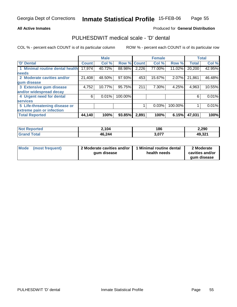#### **All Active Inmates**

#### Produced for **General Distribution**

### PULHESDWIT medical scale - 'D' dental

|                                 |              | <b>Male</b> |                    |       | <b>Female</b> |         |              | <b>Total</b> |
|---------------------------------|--------------|-------------|--------------------|-------|---------------|---------|--------------|--------------|
| 'D' Dental                      | <b>Count</b> | Col %       | <b>Row % Count</b> |       | Col %         | Row %   | <b>Total</b> | Col %        |
| 1 Minimal routine dental health | 17,974       | 40.72%      | 88.98%             | 2,226 | 77.00%        | 11.02%  | 20,200       | 42.95%       |
| <b>needs</b>                    |              |             |                    |       |               |         |              |              |
| 2 Moderate cavities and/or      | 21,408       | 48.50%      | 97.93%             | 453   | 15.67%        | 2.07%   | 21,861       | 46.48%       |
| gum disease                     |              |             |                    |       |               |         |              |              |
| 3 Extensive gum disease         | 4,752        | 10.77%      | 95.75%             | 211   | 7.30%         | 4.25%   | 4,963        | 10.55%       |
| and/or widespread decay         |              |             |                    |       |               |         |              |              |
| 4 Urgent need for dental        | 6            | 0.01%       | 100.00%            |       |               |         | 6            | 0.01%        |
| <b>services</b>                 |              |             |                    |       |               |         |              |              |
| 5 Life-threatening disease or   |              |             |                    |       | 0.03%         | 100.00% |              | 0.01%        |
| extreme pain or infection       |              |             |                    |       |               |         |              |              |
| <b>Total Reported</b>           | 44,140       | 100%        | 93.85%             | 2,891 | 100%          | 6.15%   | 47,031       | 100%         |

| <b>Not Reported</b> | 2,104  | 186   | 2,290  |
|---------------------|--------|-------|--------|
| Tota<br>' Grand     | 46,244 | 3,077 | 49,321 |

| Mode | (most frequent) | 2 Moderate cavities and/or<br>qum disease | 1 Minimal routine dental<br>health needs | 2 Moderate<br>cavities and/or |
|------|-----------------|-------------------------------------------|------------------------------------------|-------------------------------|
|      |                 |                                           |                                          | qum disease                   |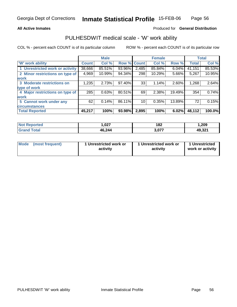#### **All Active Inmates**

#### Produced for **General Distribution**

### PULHESDWIT medical scale - 'W' work ability

|                                 |              | <b>Male</b> |             |       | <b>Female</b> |          |              | <b>Total</b> |
|---------------------------------|--------------|-------------|-------------|-------|---------------|----------|--------------|--------------|
| <b>W' work ability</b>          | <b>Count</b> | Col %       | Row % Count |       | Col %         | Row %    | <b>Total</b> | Col %        |
| 1 Unrestricted work or activity | 38,666       | 85.51%      | 93.96%      | 2,485 | 85.84%        | $6.04\%$ | 41,151       | 85.53%       |
| 2 Minor restrictions on type of | 4,969        | 10.99%      | 94.34%      | 298   | 10.29%        | 5.66%    | 5,267        | 10.95%       |
| <b>work</b>                     |              |             |             |       |               |          |              |              |
| 3 Moderate restrictions on      | 1,235        | 2.73%       | 97.40%      | 33    | 1.14%         | 2.60%    | 1,268        | 2.64%        |
| type of work                    |              |             |             |       |               |          |              |              |
| 4 Major restrictions on type of | 285          | 0.63%       | 80.51%      | 69    | 2.38%         | 19.49%   | 354          | 0.74%        |
| work                            |              |             |             |       |               |          |              |              |
| 5 Cannot work under any         | 62           | 0.14%       | 86.11%      | 10    | 0.35%         | 13.89%   | 72           | 0.15%        |
| <b>circumstances</b>            |              |             |             |       |               |          |              |              |
| <b>Total Reported</b>           | 45,217       | 100%        | 93.98%      | 2,895 | 100%          | 6.02%    | 48,112       | 100.0%       |

| <b>Not Reported</b>             | ,027   | 182   | 209. ا |
|---------------------------------|--------|-------|--------|
| <b>Total</b><br><b>'Grand</b> . | 46,244 | 3,077 | 49,321 |

| Mode | (most frequent) | 1 Unrestricted work or<br>activity | 1 Unrestricted work or<br>activity | 1 Unrestricted<br>work or activity |
|------|-----------------|------------------------------------|------------------------------------|------------------------------------|
|------|-----------------|------------------------------------|------------------------------------|------------------------------------|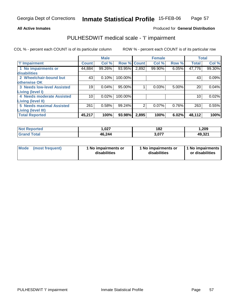#### **All Active Inmates**

### Produced for **General Distribution**

# PULHESDWIT medical scale - 'I' impairment

|                                   |              | <b>Male</b> |             |       | <b>Female</b> |       |              | <b>Total</b> |
|-----------------------------------|--------------|-------------|-------------|-------|---------------|-------|--------------|--------------|
| <b>T' Impairment</b>              | <b>Count</b> | Col %       | Row % Count |       | Col %         | Row % | <b>Total</b> | Col %        |
| 1 No impairments or               | 44,884       | 99.26%      | 93.95%      | 2,892 | 99.90%        | 6.05% | 47,776       | 99.30%       |
| disabilities                      |              |             |             |       |               |       |              |              |
| 2 Wheelchair-bound but            | 43           | 0.10%       | 100.00%     |       |               |       | 43           | 0.09%        |
| otherwise OK                      |              |             |             |       |               |       |              |              |
| <b>3 Needs low-level Assisted</b> | 19           | 0.04%       | 95.00%      | 1     | 0.03%         | 5.00% | 20           | 0.04%        |
| Living (level I)                  |              |             |             |       |               |       |              |              |
| 4 Needs moderate Assisted         | 10           | 0.02%       | 100.00%     |       |               |       | 10           | 0.02%        |
| <b>Living (level II)</b>          |              |             |             |       |               |       |              |              |
| <b>5 Needs maximal Assisted</b>   | 261          | 0.58%       | 99.24%      | 2     | 0.07%         | 0.76% | 263          | 0.55%        |
| <b>Living (level III)</b>         |              |             |             |       |               |       |              |              |
| <b>Total Reported</b>             | 45,217       | 100%        | 93.98%      | 2,895 | 100%          | 6.02% | 48,112       | 100%         |

| <b>Not</b><br>Reported  | 027, ا | 182<br>$\sim$ $\sim$ | 1,209  |
|-------------------------|--------|----------------------|--------|
| Total<br><b>'</b> Gran⊾ | 46,244 | 3,077                | 49,321 |

|  | Mode (most frequent) | 1 No impairments or<br>disabilities | 1 No impairments or<br>disabilities | 1 No impairments<br>or disabilities |
|--|----------------------|-------------------------------------|-------------------------------------|-------------------------------------|
|--|----------------------|-------------------------------------|-------------------------------------|-------------------------------------|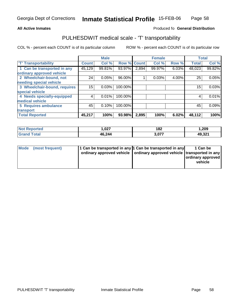#### **Inmate Statistical Profile** 15-FEB-06 Page Page 58

### **All Active Inmates Allowski** Produced fo **General Distribution**

# PULHESDWIT medical scale - 'T' transportability

|                              |              | <b>Male</b> |                    |       | <b>Female</b> |       | <b>Total</b> |        |
|------------------------------|--------------|-------------|--------------------|-------|---------------|-------|--------------|--------|
| <b>T' Transportability</b>   | <b>Count</b> | Col %       | <b>Row % Count</b> |       | Col %         | Row % | <b>Total</b> | Col %  |
| 1 Can be transported in any  | 45,129       | 99.81%      | 93.97%             | 2,894 | 99.97%        | 6.03% | 48,023       | 99.82% |
| ordinary approved vehicle    |              |             |                    |       |               |       |              |        |
| 2 Wheelchair-bound, not      | 24           | 0.05%       | 96.00%             |       | 0.03%         | 4.00% | 25           | 0.05%  |
| needing special vehicle      |              |             |                    |       |               |       |              |        |
| 3 Wheelchair-bound, requires | 15           | 0.03%       | 100.00%            |       |               |       | 15           | 0.03%  |
| special vehicle              |              |             |                    |       |               |       |              |        |
| 4 Needs specially-equipped   |              | 0.01%       | 100.00%            |       |               |       | 4            | 0.01%  |
| medical vehicle              |              |             |                    |       |               |       |              |        |
| 5 Requires ambulance         | 45           | 0.10%       | 100.00%            |       |               |       | 45           | 0.09%  |
| transport                    |              |             |                    |       |               |       |              |        |
| <b>Total Reported</b>        | 45,217       | 100%        | 93.98%             | 2,895 | 100%          | 6.02% | 48,112       | 100%   |

| <b>Not</b><br><b>Reported</b> | 027, ا | 182<br>$ -$ | 1,209  |
|-------------------------------|--------|-------------|--------|
| Total<br><b>Grand</b>         | 46,244 | 3,077       | 49,321 |

| Mode (most frequent) | 1 Can be transported in any 1 Can be transported in any<br>ordinary approved vehicle   ordinary approved vehicle   transported in any | 1 Can be<br>ordinary approved<br>vehicle |
|----------------------|---------------------------------------------------------------------------------------------------------------------------------------|------------------------------------------|
|                      |                                                                                                                                       |                                          |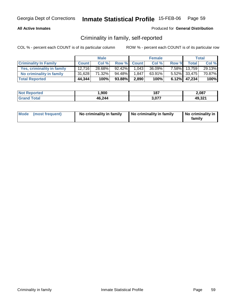### **All Active Inmates**

#### Produced for **General Distribution**

# Criminality in family, self-reported

|                              |              | <b>Male</b> |           |             | <b>Female</b> |       |                 | Total  |
|------------------------------|--------------|-------------|-----------|-------------|---------------|-------|-----------------|--------|
| <b>Criminality In Family</b> | <b>Count</b> | Col %       |           | Row % Count | Col %         | Row % | <b>Total</b>    | Col %  |
| Yes, criminality in family   | 12,716       | 28.68%      | $92.42\%$ | 1,043       | $36.09\%$     |       | 7.58% 13,759    | 29.13% |
| No criminality in family     | 31,628       | 71.32%      | 94.48%    | 1.847       | $63.91\%$     |       | $5.52\%$ 33,475 | 70.87% |
| <b>Total Reported</b>        | 44,344       | 100%        | 93.88%    | 2,890       | 100%          |       | $6.12\%$ 47,234 | 100%   |

| -N/ | 000    | 187         | 2,087             |
|-----|--------|-------------|-------------------|
|     | 46,244 | $\sim 0.77$ | 10.321<br>. ∠د. ∼ |

| Mode (most frequent) | No criminality in family | No criminality in family | No criminality in<br>family |
|----------------------|--------------------------|--------------------------|-----------------------------|
|----------------------|--------------------------|--------------------------|-----------------------------|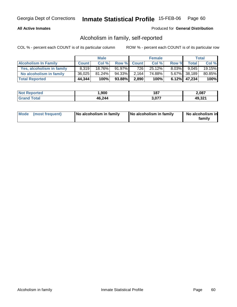### **All Active Inmates**

### Produced for **General Distribution**

# Alcoholism in family, self-reported

|                             |              | <b>Male</b> |        |              | <b>Female</b> |          |                    | Total  |
|-----------------------------|--------------|-------------|--------|--------------|---------------|----------|--------------------|--------|
| <b>Alcoholism In Family</b> | <b>Count</b> | Col %       | Row %  | <b>Count</b> | Col %         | Row %    | Total <sub>1</sub> | Col %  |
| Yes, alcoholism in family   | 8.319        | 18.76%      | 91.97% | 7261         | 25.12%        | $8.03\%$ | 9.045              | 19.15% |
| No alcoholism in family     | 36,025       | $81.24\%$   | 94.33% | 2.164        | 74.88%        |          | 5.67% 38,189       | 80.85% |
| <b>Total Reported</b>       | 44,344       | 100%        | 93.88% | 2,890        | 100%          |          | $6.12\%$ 47,234    | 100%   |

| <b>Not Reported</b>  | ,900   | 187        | 2,087  |
|----------------------|--------|------------|--------|
| <b>Tota</b><br>Grand | 46,244 | $3,07^{-}$ | 49,321 |

| Mode (most frequent)<br>No alcoholism in family | <b>No alcoholism in family</b> | No alcoholism in<br>familv |
|-------------------------------------------------|--------------------------------|----------------------------|
|-------------------------------------------------|--------------------------------|----------------------------|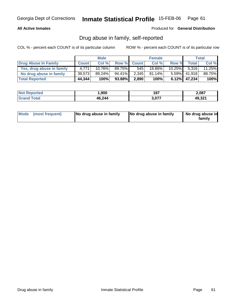### **All Active Inmates**

Produced for **General Distribution**

# Drug abuse in family, self-reported

|                           |              | <b>Male</b> |        |             | <b>Female</b> |           |                 | Total     |
|---------------------------|--------------|-------------|--------|-------------|---------------|-----------|-----------------|-----------|
| Drug Abuse In Family      | <b>Count</b> | Col %       |        | Row % Count | Col %         | Row %     | Total I         | Col %     |
| Yes, drug abuse in family | 4.771        | 10.76%      | 89.75% | 545         | 18.86%        | $10.25\%$ | 5.316           | $11.25\%$ |
| No drug abuse in family   | 39,573       | 89.24%      | 94.41% | 2,345       | $81.14\%$     | $5.59\%$  | 41.918          | 88.75%    |
| <b>Total Reported</b>     | 44,344       | 100%        | 93.88% | 2,890       | 100%          |           | $6.12\%$ 47,234 | 100%      |

| <b>Not Reported</b>  | ,900   | 187        | 2,087  |
|----------------------|--------|------------|--------|
| <b>Tota</b><br>Grand | 46,244 | $3,07^{-}$ | 49,321 |

| Mode (most frequent) |  | No drug abuse in family | No drug abuse in family | No drug abuse in<br>familv |
|----------------------|--|-------------------------|-------------------------|----------------------------|
|----------------------|--|-------------------------|-------------------------|----------------------------|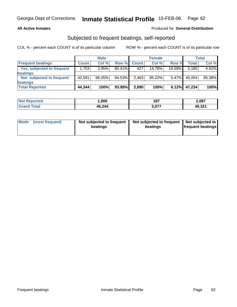#### **All Active Inmates**

### Produced for **General Distribution**

## Subjected to frequent beatings, self-reported

|                            |              | <b>Male</b> |           |              | <b>Female</b> |          |        | Total  |
|----------------------------|--------------|-------------|-----------|--------------|---------------|----------|--------|--------|
| <b>Frequent beatings</b>   | <b>Count</b> | Col%        | Row %     | <b>Count</b> | Col%          | Row %    | Total  | Col %  |
| Yes, subjected to frequent | 1.753        | 3.95%       | $80.41\%$ | 427          | $14.78\%$     | 19.59%   | 2,180  | 4.62%  |
| <b>beatings</b>            |              |             |           |              |               |          |        |        |
| Not subjected to frequent  | 42,591       | 96.05%      | 94.53%    | 2,463        | 85.22%        | $5.47\%$ | 45.054 | 95.38% |
| beatings                   |              |             |           |              |               |          |        |        |
| <b>Total Reported</b>      | 44,344       | 100%        | 93.88%    | 2,890        | 100%          | 6.12%    | 47,234 | 100%   |

| <b>Not Reported</b>             | 900, ا | 187   | 2,087  |
|---------------------------------|--------|-------|--------|
| <b>Total</b><br><b>'Grand</b> 1 | 46,244 | 3,077 | 49,321 |

| Mode            | Not subjected to frequent | Not subjected to frequent | Not subjected to         |
|-----------------|---------------------------|---------------------------|--------------------------|
| (most frequent) | beatings                  | beatings                  | <b>frequent beatings</b> |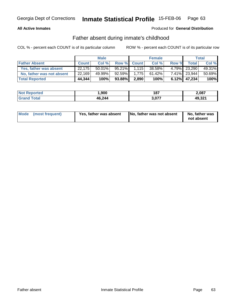### **All Active Inmates**

### Produced for **General Distribution**

# Father absent during inmate's childhood

|                           |              | <b>Male</b> |           |             | <b>Female</b> |       |                 | Total  |
|---------------------------|--------------|-------------|-----------|-------------|---------------|-------|-----------------|--------|
| <b>Father Absent</b>      | <b>Count</b> | Col %       |           | Row % Count | Col %         | Row % | Total           | Col %  |
| Yes, father was absent    | 22,175       | $50.01\%$   | $95.21\%$ | 1.115       | 38.58%        |       | 4.79% 23,290    | 49.31% |
| No, father was not absent | 22,169       | 49.99%      | $92.59\%$ | 1.775       | $61.42\%$     |       | 7.41% 23.944    | 50.69% |
| <b>Total Reported</b>     | 44,344       | 100%        | 93.88%    | 2,890       | 100%          |       | $6.12\%$ 47,234 | 100%   |

| <b>Not Reported</b>  | ,900   | 187        | 2,087  |
|----------------------|--------|------------|--------|
| <b>Tota</b><br>Grand | 46,244 | $3,07^{-}$ | 49,321 |

| Mode (most frequent)<br>Yes, father was absent | No, father was not absent | No, father was<br>not absent |
|------------------------------------------------|---------------------------|------------------------------|
|------------------------------------------------|---------------------------|------------------------------|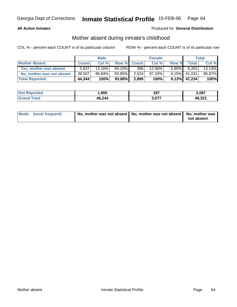#### **All Active Inmates**

### Produced for **General Distribution**

# Mother absent during inmate's childhood

|                           |              | <b>Male</b> |        |             | <b>Female</b> |          |                 | <b>Total</b> |
|---------------------------|--------------|-------------|--------|-------------|---------------|----------|-----------------|--------------|
| <b>Mother Absent</b>      | <b>Count</b> | Col %       |        | Row % Count | Col %         | Row %    | Total           | Col %        |
| Yes, mother was absent    | 5.837        | 13.16%      | 94.10% | 366         | 12.66%        | $5.90\%$ | 6,203           | 13.13%       |
| No, mother was not absent | 38,507       | 86.84%      | 93.85% | 2,524       | 87.34%        |          | $6.15\%$ 41,031 | 86.87%       |
| <b>Total Reported</b>     | 44,344       | 100%        | 93.88% | 2,890       | 100%          |          | $6.12\%$ 47,234 | 100%         |

| <b>Not Reported</b>  | ,900   | 187        | 2,087  |
|----------------------|--------|------------|--------|
| <b>Tota</b><br>Grand | 46,244 | $3,07^{-}$ | 49,321 |

| Mode (most frequent) | No, mother was not absent   No, mother was not absent   No, mother was |            |
|----------------------|------------------------------------------------------------------------|------------|
|                      |                                                                        | not absent |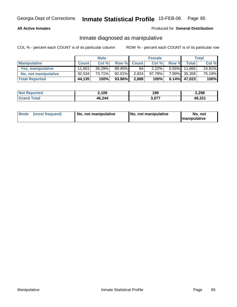#### **All Active Inmates**

### Produced for **General Distribution**

### Inmate diagnosed as manipulative

|                          | <b>Male</b>  |        |        | <b>Female</b> |           |          | Total        |        |
|--------------------------|--------------|--------|--------|---------------|-----------|----------|--------------|--------|
| <b>Manipulative</b>      | <b>Count</b> | Col %  | Row %  | <b>Count</b>  | Col %     | Row %    | <b>Total</b> | Col %  |
| <b>Yes, manipulative</b> | 11.601       | 26.29% | 99.45% | 64            | 2.22%     | $0.55\%$ | 11.665       | 24.81% |
| No, not manipulative     | 32,534       | 73.71% | 92.01% | 2,824         | $97.78\%$ | 7.99%    | 35,358       | 75.19% |
| <b>Total Reported</b>    | 44,135       | 100%   | 93.86% | 2,888         | 100%      | 6.14%    | 47,023       | 100%   |

| <b>Not Reported</b>   | 2,109  | 189   | 2,298  |
|-----------------------|--------|-------|--------|
| <b>Cotal</b><br>Grand | 46,244 | רדה ל | 49,321 |

| Mode | (most frequent) | No. not manipulative | <b>I</b> No. not manipulative | not<br>No<br><b>Imanipulative</b> |
|------|-----------------|----------------------|-------------------------------|-----------------------------------|
|------|-----------------|----------------------|-------------------------------|-----------------------------------|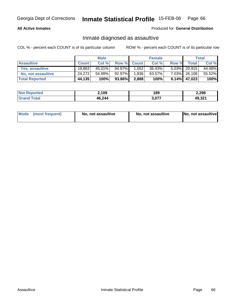#### **All Active Inmates**

#### Produced for **General Distribution**

# Inmate diagnosed as assaultive

|                       | <b>Male</b>  |           |        | <b>Female</b> |        |          | Total           |        |
|-----------------------|--------------|-----------|--------|---------------|--------|----------|-----------------|--------|
| <b>Assaultive</b>     | <b>Count</b> | Col %     |        | Row % Count   | Col %  | Row %    | Total           | Col %  |
| Yes, assaultive       | 19,863       | $45.01\%$ | 94.97% | 1,052         | 36.43% |          | $5.03\%$ 20.915 | 44.48% |
| No, not assaultive    | 24,272       | 54.99%    | 92.97% | 1,836         | 63.57% |          | 7.03% 26,108    | 55.52% |
| <b>Total Reported</b> | 44,135       | 100%      | 93.86% | 2,888         | 100%   | $6.14\%$ | 47,023          | 100%   |

| <b>Not Reported</b> | 2,109  | 189        | 2,298  |
|---------------------|--------|------------|--------|
| <b>Srand Total</b>  | 46,244 | $5.07^{-}$ | 49,321 |

| Mode (most frequent) | No, not assaultive | No, not assaultive | No, not assaultive |
|----------------------|--------------------|--------------------|--------------------|
|----------------------|--------------------|--------------------|--------------------|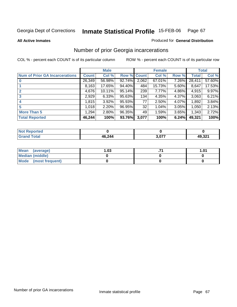**All Active Inmates**

#### Produced for **General Distribution**

# Number of prior Georgia incarcerations

|                                       |                | <b>Male</b> |                    |       | <b>Female</b> |       |        | <b>Total</b> |
|---------------------------------------|----------------|-------------|--------------------|-------|---------------|-------|--------|--------------|
| <b>Num of Prior GA Incarcerations</b> | <b>Count</b> l | Col %       | <b>Row % Count</b> |       | Col %         | Row % | Total  | Col %        |
| $\bf{0}$                              | 26,349         | 56.98%      | 92.74%             | 2,062 | 67.01%        | 7.26% | 28,411 | 57.60%       |
|                                       | 8,163          | 17.65%      | 94.40%             | 484   | 15.73%        | 5.60% | 8.647  | 17.53%       |
|                                       | 4,676          | 10.11%      | $95.14\%$          | 239   | 7.77%         | 4.86% | 4,915  | 9.97%        |
| 3                                     | 2,929          | 6.33%       | 95.63%             | 134   | 4.35%         | 4.37% | 3,063  | 6.21%        |
|                                       | 1,815          | 3.92%       | 95.93%             | 77    | 2.50%         | 4.07% | 1,892  | 3.84%        |
| 5                                     | 1,018          | 2.20%       | 96.95%             | 32    | 1.04%         | 3.05% | 1,050  | 2.13%        |
| <b>More Than 5</b>                    | 1,294          | 2.80%       | 96.35%             | 49    | 1.59%         | 3.65% | 1,343  | 2.72%        |
| <b>Total Reported</b>                 | 46,244         | 100%        | 93.76%             | 3,077 | 100%          | 6.24% | 49,321 | 100%         |

| TV.                               |               |     |                                |
|-----------------------------------|---------------|-----|--------------------------------|
| $int^{\bullet}$<br>. GP.<br>_____ | <b>AG 244</b> | ^77 | <b>AQ 321</b><br>$\sim$ $\sim$ |

| Mean (average)       | l.O3 | 1.01 |
|----------------------|------|------|
| Median (middle)      |      |      |
| Mode (most frequent) |      |      |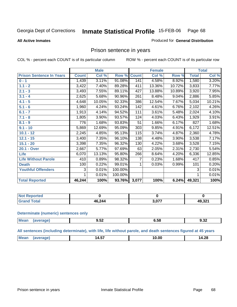#### **All Active Inmates**

#### Produced for **General Distribution**

# Prison sentence in years

COL % - percent each COUNT is of its particular column ROW % - percent each COUNT is of its particular row

|                                 |              | <b>Male</b> |                    |       | <b>Female</b> |        |                  | <b>Total</b> |
|---------------------------------|--------------|-------------|--------------------|-------|---------------|--------|------------------|--------------|
| <b>Prison Sentence In Years</b> | <b>Count</b> | Col %       | <b>Row % Count</b> |       | Col %         | Row %  | <b>Total</b>     | Col %        |
| $0 - 1$                         | 1,439        | 3.11%       | 91.08%             | 141   | 4.58%         | 8.92%  | 1,580            | 3.20%        |
| $1.1 - 2$                       | 3,422        | 7.40%       | 89.28%             | 411   | 13.36%        | 10.72% | 3,833            | 7.77%        |
| $2.1 - 3$                       | 3,493        | 7.55%       | 89.11%             | 427   | 13.88%        | 10.89% | 3,920            | 7.95%        |
| $3.1 - 4$                       | 2,625        | 5.68%       | 90.96%             | 261   | 8.48%         | 9.04%  | 2,886            | 5.85%        |
| $4.1 - 5$                       | 4,648        | 10.05%      | 92.33%             | 386   | 12.54%        | 7.67%  | 5,034            | 10.21%       |
| $5.1 - 6$                       | 1,960        | 4.24%       | 93.24%             | 142   | 4.61%         | 6.76%  | 2,102            | 4.26%        |
| $6.1 - 7$                       | 1,913        | 4.14%       | 94.52%             | 111   | 3.61%         | 5.48%  | 2,024            | 4.10%        |
| $7.1 - 8$                       | 1,805        | 3.90%       | 93.57%             | 124   | 4.03%         | 6.43%  | 1,929            | 3.91%        |
| $8.1 - 9$                       | 776          | 1.68%       | 93.83%             | 51    | 1.66%         | 6.17%  | $\overline{827}$ | 1.68%        |
| $9.1 - 10$                      | 5,869        | 12.69%      | 95.09%             | 303   | 9.85%         | 4.91%  | 6,172            | 12.51%       |
| $10.1 - 12$                     | 2,245        | 4.85%       | 95.13%             | 115   | 3.74%         | 4.87%  | 2,360            | 4.78%        |
| $12.1 - 15$                     | 3,400        | 7.35%       | 96.10%             | 138   | 4.48%         | 3.90%  | 3,538            | 7.17%        |
| $15.1 - 20$                     | 3,398        | 7.35%       | 96.32%             | 130   | 4.22%         | 3.68%  | 3,528            | 7.15%        |
| 20.1 - Over                     | 2,667        | 5.77%       | 97.69%             | 63    | 2.05%         | 2.31%  | 2,730            | 5.54%        |
| Life                            | 6,070        | 13.13%      | 95.80%             | 266   | 8.64%         | 4.20%  | 6,336            | 12.85%       |
| <b>Life Without Parole</b>      | 410          | 0.89%       | 98.32%             | 7     | 0.23%         | 1.68%  | 417              | 0.85%        |
| <b>Death</b>                    | 100          | 0.22%       | 99.01%             |       | 0.03%         | 0.99%  | 101              | 0.20%        |
| <b>Youthful Offenders</b>       | 3            | 0.01%       | 100.00%            |       |               |        | 3                | 0.01%        |
|                                 | 1            | 0.01%       | 100.00%            |       |               |        | 1                | 0.01%        |
| <b>Total Reported</b>           | 46,244       | 100%        | 93.76%             | 3,077 | 100%          | 6.24%  | 49,321           | 100%         |

| <b>eported</b><br>NOT |        |       |        |
|-----------------------|--------|-------|--------|
| <b>ctal</b>           | 16,244 | , 277 | 49,321 |

#### **Determinate (numeric) sentences only**

| M. | --<br>.ສວ∡<br>___ | 0.JO | $\overline{\phantom{a}}$<br><br>৬.১∠ |
|----|-------------------|------|--------------------------------------|

#### **All sentences (including determinate), with life, life without parole, and death sentences figured at 45 years**

|  |  | $M_{\odot}$ |  | $\mathbf{1}$<br>14.5. | $\sim$<br>ιU | 14.28 |
|--|--|-------------|--|-----------------------|--------------|-------|
|--|--|-------------|--|-----------------------|--------------|-------|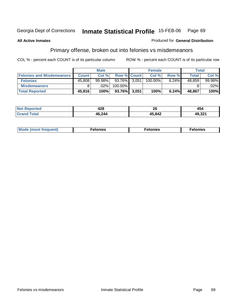#### **All Active Inmates**

### Produced for **General Distribution**

# Primary offense, broken out into felonies vs misdemeanors

|                                  |                | <b>Male</b> |                    |       | <b>Female</b> |       | <b>Total</b> |        |
|----------------------------------|----------------|-------------|--------------------|-------|---------------|-------|--------------|--------|
| <b>Felonies and Misdemeanors</b> | <b>Count</b> l | Col %       | <b>Row % Count</b> |       | Col %         | Row % | Total        | Col %  |
| <b>Felonies</b>                  | 45,808         | $99.98\%$   | 93.76%             | 3.051 | $100.00\%$    | 6.24% | 48.859       | 99.98% |
| <b>Misdemeanors</b>              |                | $.02\%$     | 100.00%            |       |               |       |              | .02%   |
| <b>Total Reported</b>            | 45,816         | 100%        | 93.76%             | 3,051 | 100%          | 6.24% | 48,867       | 100%   |

| N <sub>of</sub> | ៱៱៰ | ጎር     | 454    |
|-----------------|-----|--------|--------|
| 'eported        | 140 | Zu     |        |
| Gra             |     | 45,842 | 49,321 |

| Mod <sub>h</sub><br>reguent)<br>וז זאח | mies<br>еюн | lonies | elonies |
|----------------------------------------|-------------|--------|---------|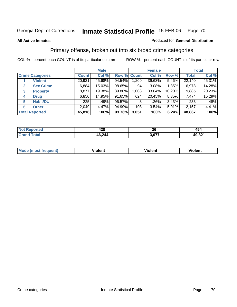#### **All Active Inmates**

#### Produced for **General Distribution**

# Primary offense, broken out into six broad crime categories

|   |                         |              | <b>Male</b> |             |       | <b>Female</b> |          |              | <b>Total</b> |
|---|-------------------------|--------------|-------------|-------------|-------|---------------|----------|--------------|--------------|
|   | <b>Crime Categories</b> | <b>Count</b> | Col %       | Row % Count |       | Col %         | Row %    | <b>Total</b> | Col %        |
|   | <b>Violent</b>          | 20,931       | 45.68%      | 94.54%      | 1,209 | 39.63%        | $5.46\%$ | 22,140       | 45.31%       |
| 2 | <b>Sex Crime</b>        | 6,884        | 15.03%      | 98.65%      | 94    | 3.08%         | $1.35\%$ | 6,978        | 14.28%       |
| 3 | <b>Property</b>         | 8,877        | 19.38%      | 89.80%      | 1,008 | 33.04%        | 10.20%   | 9,885        | 20.23%       |
| 4 | <b>Drug</b>             | 6,850        | 14.95%      | 91.65%      | 624   | 20.45%        | 8.35%    | 7,474        | 15.29%       |
| 5 | <b>Habit/DUI</b>        | 225          | .49%        | 96.57%      | 8     | .26%          | $3.43\%$ | 233          | .48%         |
| 6 | <b>Other</b>            | 2,049        | 4.47%       | 94.99%      | 108   | 3.54%         | 5.01%    | 2,157        | 4.41%        |
|   | <b>Total Reported</b>   | 45,816       | 100%        | 93.76%      | 3,051 | 100%          | 6.24%    | 48,867       | 100%         |

| Ter.<br>N     | 428    | ኅር<br>ZU | 454                   |
|---------------|--------|----------|-----------------------|
| $\sim$ $\sim$ | 46,244 | - 077    | 0.04<br>49<br>49.JZ I |

|  | <b>Mou</b> | .<br>Violent | <br>iolent | งlent |
|--|------------|--------------|------------|-------|
|--|------------|--------------|------------|-------|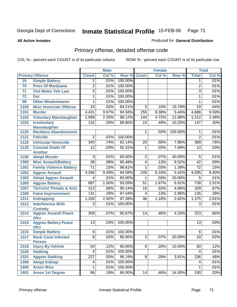Produced for **General Distribution**

#### **All Active Inmates**

# Primary offense, detailed offense code

|      |                                            |                  | <b>Male</b> |         |                  | <b>Female</b> |         |                  | <b>Total</b> |
|------|--------------------------------------------|------------------|-------------|---------|------------------|---------------|---------|------------------|--------------|
|      | <b>Primary Offense</b>                     | <b>Count</b>     | Col %       | Row %   | <b>Count</b>     | Col %         | Row %   | <b>Total</b>     | Col %        |
| 25   | <b>Simple Battery</b>                      | 1                | .01%        | 100.00% |                  |               |         | 1                | .01%         |
| 70   | <b>Poss Of Marijuana</b>                   | $\overline{2}$   | .01%        | 100.00% |                  |               |         | $\overline{2}$   | .01%         |
| 71   | <b>Viol Motor Veh Law</b>                  | $\overline{3}$   | .01%        | 100.00% |                  |               |         | $\overline{3}$   | .01%         |
| 72   | <b>Dui</b>                                 | 1                | .01%        | 100.00% |                  |               |         | $\mathbf{1}$     | .01%         |
| 99   | <b>Other Misdemeanor</b>                   | 1                | .01%        | 100.00% |                  |               |         | 1                | .01%         |
| 1100 | <b>Misc Homicide Offense</b>               | 16               | .03%        | 84.21%  | $\overline{3}$   | .10%          | 15.79%  | $\overline{19}$  | .04%         |
| 1101 | <b>Murder</b>                              | 4,431            | 9.67%       | 94.56%  | 255              | 8.36%         | 5.44%   | 4,686            | 9.59%        |
| 1102 | <b>Voluntary Manslaughter</b>              | 1,068            | 2.33%       | 88.12%  | 144              | 4.72%         | 11.88%  | 1,212            | 2.48%        |
| 1103 | <b>Involuntary</b>                         | 132              | .29%        | 89.80%  | $\overline{15}$  | .49%          | 10.20%  | $\overline{147}$ | .30%         |
|      | <b>Manslaughter</b>                        |                  |             |         |                  |               |         |                  |              |
| 1120 | <b>Reckless Abandonment</b>                |                  |             |         | 1                | .03%          | 100.00% | 1                | .01%         |
| 1121 | <b>Feticide</b>                            | $\overline{2}$   | .01%        | 100.00% |                  |               |         | $\overline{2}$   | .01%         |
| 1123 | <b>Vehicular Homicide</b>                  | $\overline{340}$ | .74%        | 92.14%  | 29               | .95%          | 7.86%   | 369              | .76%         |
| 1125 | <b>Conceal Death Of</b>                    | $\overline{12}$  | .03%        | 92.31%  | 1                | .03%          | 7.69%   | $\overline{13}$  | .03%         |
|      | <b>Another</b>                             |                  |             |         |                  |               |         |                  |              |
| 1190 | <b>Atmpt Murder</b>                        | $\overline{3}$   | .01%        | 60.00%  | $\overline{2}$   | .07%          | 40.00%  | 5                | .01%         |
| 1300 | <b>Misc Assault/Battery</b>                | $\overline{38}$  | .08%        | 90.48%  | $\overline{4}$   | .13%          | 9.52%   | $\overline{42}$  | .09%         |
| 1301 | <b>Family Violence Battery</b>             | $\overline{71}$  | .15%        | 98.61%  | 1                | .03%          | 1.39%   | $\overline{72}$  | .15%         |
| 1302 | <b>Aggrav Assault</b>                      | 4,346            | 9.49%       | 94.58%  | $\overline{249}$ | 8.16%         | 5.42%   | 4,595            | 9.40%        |
| 1303 | <b>Atmpt Aggrav Assault</b>                | 4                | .01%        | 80.00%  | 1                | .03%          | 20.00%  | 5                | .01%         |
| 1305 | <b>Aggrav Battery</b>                      | 687              | 1.50%       | 93.09%  | $\overline{51}$  | 1.67%         | 6.91%   | 738              | 1.51%        |
| 1307 | <b>Terrorist Threats &amp; Acts</b>        | $\overline{313}$ | .68%        | 95.14%  | $\overline{16}$  | .52%          | 4.86%   | 329              | .67%         |
| 1308 | <b>False Imprisonment</b>                  | 131              | .29%        | 97.04%  | 4                | .13%          | 2.96%   | 135              | .28%         |
| 1311 | <b>Kidnapping</b>                          | 1,339            | 2.92%       | 97.38%  | $\overline{36}$  | 1.18%         | 2.62%   | 1,375            | 2.81%        |
| 1312 | <b>Interference With</b>                   | $\overline{3}$   | .01%        | 100.00% |                  |               |         | $\overline{3}$   | .01%         |
|      | <b>Custody</b>                             |                  |             |         |                  |               |         |                  |              |
| 1314 | <b>Aggrav Assault Peace</b>                | $\overline{309}$ | .67%        | 95.67%  | 14               | .46%          | 4.33%   | 323              | .66%         |
| 1315 | <b>Ofcr</b><br><b>Aggrav Battery Peace</b> | $\overline{13}$  | .03%        | 100.00% |                  |               |         | 13               | .03%         |
|      | <b>Ofcr</b>                                |                  |             |         |                  |               |         |                  |              |
| 1316 | <b>Simple Battery</b>                      | $\overline{6}$   | .01%        | 100.00% |                  |               |         | 6                | .01%         |
| 1317 | <b>Reck Cond Infected</b>                  | $\overline{8}$   | .02%        | 80.00%  | $\overline{2}$   | .07%          | 20.00%  | $\overline{10}$  | .02%         |
|      | <b>Person</b>                              |                  |             |         |                  |               |         |                  |              |
| 1318 | <b>Injury By Vehicle</b>                   | 54               | .12%        | 90.00%  | $6\overline{6}$  | .20%          | 10.00%  | 60               | .12%         |
| 1320 | <b>Stalking</b>                            | 4                | .01%        | 100.00% |                  |               |         | 4                | .01%         |
| 1321 | <b>Aggrav Stalking</b>                     | 227              | .50%        | 96.19%  | 9                | .29%          | 3.81%   | 236              | .48%         |
| 1390 | <b>Atmpt Kidnap</b>                        | 4                | .01%        | 100.00% |                  |               |         | 4                | .01%         |
| 1400 | <b>Arson Misc</b>                          | 1                | .01%        | 100.00% |                  |               |         | 1                | .01%         |
| 1401 | <b>Arson 1st Degree</b>                    | 86               | .19%        | 86.00%  | 14               | .46%          | 14.00%  | 100              | .20%         |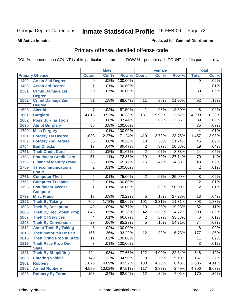**All Active Inmates**

#### Produced for **General Distribution**

# Primary offense, detailed offense code

|      |                                  |                         | <b>Male</b> |         |                 | <b>Female</b> |        |                 | <b>Total</b> |
|------|----------------------------------|-------------------------|-------------|---------|-----------------|---------------|--------|-----------------|--------------|
|      | <b>Primary Offense</b>           | <b>Count</b>            | Col %       | Row %   | <b>Count</b>    | Col %         | Row %  | <b>Total</b>    | Col %        |
| 1402 | <b>Arson 2nd Degree</b>          | $\overline{9}$          | .02%        | 100.00% |                 |               |        | $\overline{9}$  | .02%         |
| 1403 | <b>Arson 3rd Degree</b>          | 1                       | .01%        | 100.00% |                 |               |        | 1               | .01%         |
| 1501 | <b>Crmnl Damage 1st</b>          | $\overline{30}$         | .07%        | 100.00% |                 |               |        | $\overline{30}$ | .06%         |
|      | <b>Degree</b>                    |                         |             |         |                 |               |        |                 |              |
| 1502 | <b>Crmnl Damage 2nd</b>          | 81                      | .18%        | 88.04%  | 11              | .36%          | 11.96% | 92              | .19%         |
|      | <b>Degree</b>                    |                         |             |         |                 |               |        |                 |              |
| 1506 | <b>Alter Id</b>                  | 7                       | .02%        | 87.50%  | 1               | .03%          | 12.50% | 8               | .02%         |
| 1601 | <b>Burglary</b>                  | 4,818                   | 10.52%      | 96.38%  | 181             | 5.93%         | 3.62%  | 4,999           | 10.23%       |
| 1602 | <b>Poss Burglar Tools</b>        | $\overline{38}$         | .08%        | 97.44%  | $\mathbf 1$     | .03%          | 2.56%  | $\overline{39}$ | .08%         |
| 1690 | <b>Atmpt Burglary</b>            | $\overline{35}$         | .08%        | 100.00% |                 |               |        | 35              | .07%         |
| 1700 | <b>Misc Forgery</b>              | 4                       | .01%        | 100.00% |                 |               |        | 4               | .01%         |
| 1701 | <b>Forgery 1st Degree</b>        | 1,038                   | 2.27%       | 71.24%  | 419             | 13.73%        | 28.76% | 1,457           | 2.98%        |
| 1702 | <b>Forgery 2nd Degree</b>        | $\overline{36}$         | .08%        | 78.26%  | $\overline{10}$ | .33%          | 21.74% | 46              | .09%         |
| 1704 | <b>Bad Checks</b>                | $\overline{17}$         | .04%        | 89.47%  | $\overline{2}$  | .07%          | 10.53% | 19              | .04%         |
| 1751 | <b>Theft Credit Card</b>         | $\overline{22}$         | .05%        | 91.67%  | $\overline{2}$  | .07%          | 8.33%  | 24              | .05%         |
| 1753 | <b>Fraudulent Credit Card</b>    | $\overline{51}$         | .11%        | 72.86%  | $\overline{19}$ | .62%          | 27.14% | $\overline{70}$ | .14%         |
| 1756 | <b>Financial Identity Fraud</b>  | $\overline{28}$         | .06%        | 65.12%  | $\overline{15}$ | .49%          | 34.88% | 43              | .09%         |
| 1759 | <b>Telecommunications</b>        | $\overline{2}$          | .01%        | 100.00% |                 |               |        | $\overline{2}$  | .01%         |
|      | <b>Fraud</b>                     |                         |             |         |                 |               |        |                 |              |
| 1761 | <b>Computer Theft</b>            | $\overline{6}$          | .01%        | 75.00%  | $\overline{2}$  | .07%          | 25.00% | 8               | .02%         |
| 1762 | <b>Computer Trespass</b>         | $\overline{2}$          | .01%        | 100.00% |                 |               |        | $\overline{2}$  | .01%         |
| 1796 | <b>Fraudulent Access</b>         | $\overline{1}$          | .01%        | 50.00%  | $\mathbf{1}$    | .03%          | 50.00% | $\overline{2}$  | .01%         |
|      | <b>Compute</b>                   |                         |             |         |                 |               |        |                 |              |
| 1799 | <b>Misc Fraud</b>                | $\overline{13}$         | .03%        | 72.22%  | $\overline{5}$  | .16%          | 27.78% | 18              | .04%         |
| 1802 | <b>Theft By Taking</b>           | 792                     | 1.73%       | 88.69%  | 101             | 3.31%         | 11.31% | 893             | 1.83%        |
| 1803 | <b>Theft By Deception</b>        | $\overline{42}$         | .09%        | 80.77%  | 10              | .33%          | 19.23% | $\overline{52}$ | .11%         |
| 1806 | <b>Theft By Rec Stolen Prop</b>  | 848                     | 1.85%       | 95.28%  | $\overline{42}$ | 1.38%         | 4.72%  | 890             | 1.82%        |
| 1807 | <b>Theft Of Services</b>         | $\overline{\mathbf{4}}$ | .01%        | 66.67%  | $\overline{2}$  | .07%          | 33.33% | 6               | .01%         |
| 1808 | <b>Theft By Conversion</b>       | $\overline{29}$         | .06%        | 85.29%  | $\overline{5}$  | .16%          | 14.71% | $\overline{34}$ | .07%         |
| 1812 | <b>Atmpt Theft By Taking</b>     | $\overline{8}$          | .02%        | 100.00% |                 |               |        | 8               | .02%         |
| 1813 | <b>Theft Motorveh Or Part</b>    | 165                     | .36%        | 93.22%  | $\overline{12}$ | .39%          | 6.78%  | 177             | .36%         |
| 1815 | <b>Theft Bring Prop In State</b> | $\overline{11}$         | .02%        | 100.00% |                 |               |        | $\overline{11}$ | .02%         |
| 1816 | <b>Theft Recv Prop Out</b>       | $\overline{3}$          | .01%        | 100.00% |                 |               |        | 3               | .01%         |
|      | <b>State</b>                     |                         |             |         |                 |               |        |                 |              |
| 1821 | <b>Theft By Shoplifting</b>      | 424                     | .93%        | 77.66%  | 122             | 4.00%         | 22.34% | 546             | 1.12%        |
| 1880 | <b>Entering Vehicle</b>          | $\overline{149}$        | .33%        | 94.90%  | 8               | .26%          | 5.10%  | 157             | .32%         |
| 1901 | <b>Robbery</b>                   | 1,876                   | 4.09%       | 93.52%  | 130             | 4.26%         | 6.48%  | 2,006           | 4.11%        |
| 1902 | <b>Armed Robbery</b>             | 4,589                   | 10.02%      | 97.51%  | 117             | 3.83%         | 2.49%  | 4,706           | 9.63%        |
| 1903 | <b>Robbery By Force</b>          | 158                     | .34%        | 92.94%  | $\overline{12}$ | .39%          | 7.06%  | 170             | .35%         |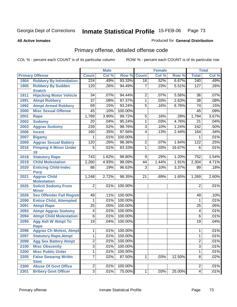#### **All Active Inmates**

#### Produced for **General Distribution**

# Primary offense, detailed offense code

|      |                                            |                  | <b>Male</b> |         |                | <b>Female</b> |        |                  | <b>Total</b> |
|------|--------------------------------------------|------------------|-------------|---------|----------------|---------------|--------|------------------|--------------|
|      | <b>Primary Offense</b>                     | <b>Count</b>     | Col %       | Row %   | <b>Count</b>   | Col %         | Row %  | <b>Total</b>     | Col %        |
| 1904 | <b>Robbery By Intimidation</b>             | 224              | .49%        | 93.33%  | 16             | .52%          | 6.67%  | 240              | .49%         |
| 1905 | <b>Robbery By Sudden</b><br><b>Snatch</b>  | 120              | .26%        | 94.49%  | 7              | .23%          | 5.51%  | $\overline{127}$ | .26%         |
| 1911 | <b>Hijacking Motor Vehicle</b>             | 34               | .07%        | 94.44%  | $\overline{2}$ | .07%          | 5.56%  | 36               | .07%         |
| 1991 | <b>Atmpt Robbery</b>                       | $\overline{37}$  | .08%        | 97.37%  | 1              | .03%          | 2.63%  | $\overline{38}$  | .08%         |
| 1992 | <b>Atmpt Armed Robbery</b>                 | 69               | .15%        | 93.24%  | $\overline{5}$ | .16%          | 6.76%  | 74               | .15%         |
| 2000 | <b>Misc Sexual Offense</b>                 | $\overline{45}$  | .10%        | 100.00% |                |               |        | $\overline{45}$  | .09%         |
| 2001 | <b>Rape</b>                                | 1,789            | 3.90%       | 99.72%  | $\overline{5}$ | .16%          | .28%   | 1,794            | 3.67%        |
| 2002 | <b>Sodomy</b>                              | 20               | .04%        | 95.24%  | 1              | .03%          | 4.76%  | 21               | .04%         |
| 2003 | <b>Aggrav Sodomy</b>                       | 239              | .52%        | 98.76%  | $\overline{3}$ | .10%          | 1.24%  | $\overline{242}$ | .50%         |
| 2006 | <b>Incest</b>                              | 160              | .35%        | 97.56%  | 4              | .13%          | 2.44%  | 164              | .34%         |
| 2007 | <b>Bigamy</b>                              |                  | .01%        | 100.00% |                |               |        | 1                | .01%         |
| 2009 | <b>Aggrav Sexual Battery</b>               | 120              | .26%        | 98.36%  | $\overline{2}$ | .07%          | 1.64%  | 122              | .25%         |
| 2016 | <b>Pimping A Minor Under</b><br>18         | $\overline{5}$   | .01%        | 83.33%  | 1              | .03%          | 16.67% | 6                | .01%         |
| 2018 | <b>Statutory Rape</b>                      | $\overline{743}$ | 1.62%       | 98.80%  | $\overline{9}$ | .29%          | 1.20%  | $\overline{752}$ | 1.54%        |
| 2019 | <b>Child Molestation</b>                   | 2,260            | 4.93%       | 98.09%  | 44             | 1.44%         | 1.91%  | 2,304            | 4.71%        |
| 2020 | <b>Enticing Child-Indec</b><br><b>Purp</b> | 86               | .19%        | 96.63%  | $\overline{3}$ | .10%          | 3.37%  | 89               | .18%         |
| 2021 | <b>Aggrav Child</b><br><b>Molestation</b>  | 1,248            | 2.72%       | 98.35%  | 21             | .69%          | 1.65%  | 1,269            | 2.60%        |
| 2025 | <b>Solicit Sodomy From</b><br><b>Minor</b> | $\overline{2}$   | .01%        | 100.00% |                |               |        | 2                | .01%         |
| 2026 | <b>Sex Offender Fail Registr</b>           | 49               | .11%        | 100.00% |                |               |        | 49               | .10%         |
| 2090 | <b>Entice Child, Attempted</b>             | 1                | .01%        | 100.00% |                |               |        | $\mathbf{1}$     | .01%         |
| 2091 | <b>Atmpt Rape</b>                          | $\overline{25}$  | .05%        | 100.00% |                |               |        | 25               | .05%         |
| 2093 | <b>Atmpt Aggrav Sodomy</b>                 | 4                | .01%        | 100.00% |                |               |        | $\overline{4}$   | .01%         |
| 2094 | <b>Atmpt Child Molestation</b>             | $\overline{6}$   | .01%        | 100.00% |                |               |        | $\overline{6}$   | .01%         |
| 2095 | <b>Agg Aslt W Atmpt To</b><br><b>Rape</b>  | $\overline{19}$  | .04%        | 100.00% |                |               |        | $\overline{19}$  | .04%         |
| 2096 | <b>Aggrav Ch Molest, Atmpt</b>             | 1                | .01%        | 100.00% |                |               |        | 1                | .01%         |
| 2097 | <b>Statutory Rape, Atmpt</b>               | 1                | .01%        | 100.00% |                |               |        | 1                | .01%         |
| 2099 | <b>Agg Sex Battery Atmpt</b>               | $\overline{2}$   | .01%        | 100.00% |                |               |        | $\overline{2}$   | .01%         |
| 2100 | <b>Misc Obscenity</b>                      | $\overline{3}$   | .01%        | 100.00% |                |               |        | $\overline{3}$   | .01%         |
| 2200 | <b>Misc Public Order</b>                   | 1                | .01%        | 100.00% |                |               |        | 1                | .01%         |
| 2205 | <b>False Swearng Writtn</b>                | $\overline{7}$   | .02%        | 87.50%  | $\mathbf{1}$   | .03%          | 12.50% | 8                | .02%         |
|      | <b>Stmt</b>                                |                  |             |         |                |               |        |                  |              |
| 2300 | <b>Abuse Of Govt Office</b>                | $\overline{2}$   | .01%        | 100.00% |                |               |        | $\overline{2}$   | .01%         |
| 2301 | <b>Bribery Govt Officer</b>                | $\overline{3}$   | .01%        | 75.00%  | $\overline{1}$ | .03%          | 25.00% | $\overline{4}$   | .01%         |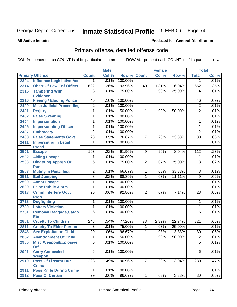**All Active Inmates**

#### Produced for **General Distribution**

# Primary offense, detailed offense code

|      |                                   |                 | <b>Male</b> |         |                | <b>Female</b> |        |                 | <b>Total</b> |
|------|-----------------------------------|-----------------|-------------|---------|----------------|---------------|--------|-----------------|--------------|
|      | <b>Primary Offense</b>            | <b>Count</b>    | Col %       | Row %   | <b>Count</b>   | Col %         | Row %  | <b>Total</b>    | Col %        |
| 2304 | <b>Influence Legislative Act</b>  | $\mathbf{1}$    | .01%        | 100.00% |                |               |        | 1               | .01%         |
| 2314 | <b>Obstr Of Law Enf Officer</b>   | 622             | 1.36%       | 93.96%  | 40             | 1.31%         | 6.04%  | 662             | 1.35%        |
| 2315 | <b>Tampering With</b>             | $\overline{3}$  | .01%        | 75.00%  | 1              | .03%          | 25.00% | 4               | .01%         |
|      | <b>Evidence</b>                   |                 |             |         |                |               |        |                 |              |
| 2316 | <b>Fleeing / Eluding Police</b>   | 46              | .10%        | 100.00% |                |               |        | 46              | .09%         |
| 2400 | <b>Misc Judicial Proceeding</b>   | $\overline{2}$  | .01%        | 100.00% |                |               |        | $\overline{2}$  | .01%         |
| 2401 | <b>Perjury</b>                    | 1               | .01%        | 50.00%  | 1              | .03%          | 50.00% | $\overline{2}$  | .01%         |
| 2402 | <b>False Swearing</b>             | 1               | .01%        | 100.00% |                |               |        | 1               | .01%         |
| 2404 | <b>Impersonation</b>              | 1               | .01%        | 100.00% |                |               |        | 1               | .01%         |
| 2405 | <b>Impersonating Officer</b>      | 1               | .01%        | 100.00% |                |               |        | $\mathbf{1}$    | .01%         |
| 2407 | <b>Embracery</b>                  | $\overline{2}$  | .01%        | 100.00% |                |               |        | $\overline{2}$  | .01%         |
| 2408 | <b>False Statements Govt</b>      | $\overline{23}$ | .05%        | 76.67%  | 7              | .23%          | 23.33% | $\overline{30}$ | .06%         |
| 2411 | <b>Impersntng In Legal</b>        | 1               | .01%        | 100.00% |                |               |        | 1               | .01%         |
|      | <b>Procd</b>                      |                 |             |         |                |               |        |                 |              |
| 2501 | <b>Escape</b>                     | 103             | .22%        | 91.96%  | 9              | .29%          | 8.04%  | 112             | .23%         |
| 2502 | <b>Aiding Escape</b>              | 1               | .01%        | 100.00% |                |               |        | 1               | .01%         |
| 2503 | <b>Hindering Appreh Or</b>        | 6               | .01%        | 75.00%  | $\overline{2}$ | .07%          | 25.00% | $\overline{8}$  | .02%         |
|      | Pun                               |                 |             |         |                |               |        |                 |              |
| 2507 | <b>Mutiny In Penal Inst</b>       | $\overline{2}$  | .01%        | 66.67%  | 1              | .03%          | 33.33% | $\overline{3}$  | .01%         |
| 2511 | <b>Bail Jumping</b>               | $\overline{8}$  | .02%        | 88.89%  | 1              | .03%          | 11.11% | $\overline{9}$  | .02%         |
| 2590 | <b>Atmpt Escape</b>               | 1               | .01%        | 100.00% |                |               |        | 1               | .01%         |
| 2609 | <b>False Public Alarm</b>         | 1               | .01%        | 100.00% |                |               |        | $\mathbf{1}$    | .01%         |
| 2613 | <b>Crmnl Interfere Govt</b>       | $\overline{26}$ | .06%        | 92.86%  | $\overline{2}$ | .07%          | 7.14%  | $\overline{28}$ | .06%         |
| 2718 | <b>Prop</b><br><b>Dogfighting</b> | 1               | .01%        | 100.00% |                |               |        | 1               | .01%         |
| 2730 | <b>Lottery Violation</b>          | 1               | .01%        | 100.00% |                |               |        | $\mathbf{1}$    | .01%         |
| 2761 | <b>Removal Baggage, Cargo</b>     | $\overline{6}$  | .01%        | 100.00% |                |               |        | $\overline{6}$  | .01%         |
|      | <b>Etc</b>                        |                 |             |         |                |               |        |                 |              |
| 2801 | <b>Cruelty To Children</b>        | 248             | .54%        | 77.26%  | 73             | 2.39%         | 22.74% | 321             | .66%         |
| 2811 | <b>Cruelty To Elder Person</b>    | $\overline{3}$  | .01%        | 75.00%  | 1              | .03%          | 25.00% | $\overline{4}$  | .01%         |
| 2843 | <b>Sex Exploitation Child</b>     | 29              | .06%        | 96.67%  | 1              | .03%          | 3.33%  | $\overline{30}$ | .06%         |
| 2852 | <b>Abandonment Of Child</b>       | 1               | .01%        | 50.00%  | 1              | .03%          | 50.00% | $\overline{2}$  | .01%         |
| 2900 | <b>Misc Weapon/Explosive</b>      | 5               | $.01\%$     | 100.00% |                |               |        | 5               | $.01\%$      |
|      | <b>Off</b>                        |                 |             |         |                |               |        |                 |              |
| 2901 | <b>Carry Concealed</b>            | 6               | .01%        | 100.00% |                |               |        | 6               | .01%         |
|      | Weapon                            |                 |             |         |                |               |        |                 |              |
| 2910 | <b>Poss Of Firearm Dur</b>        | 223             | .49%        | 96.96%  | $\overline{7}$ | .23%          | 3.04%  | 230             | .47%         |
|      | <b>Crime</b>                      |                 |             |         |                |               |        |                 |              |
| 2911 | <b>Poss Knife During Crime</b>    | 1               | .01%        | 100.00% |                |               |        | 1               | .01%         |
| 2912 | <b>Poss Of Certain</b>            | $\overline{29}$ | .06%        | 96.67%  | 1              | .03%          | 3.33%  | 30              | .06%         |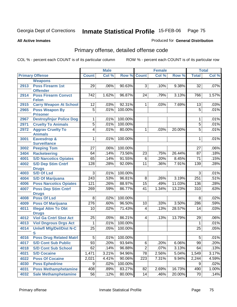Produced for **General Distribution**

#### **All Active Inmates**

# Primary offense, detailed offense code

|      |                                            |                  | <b>Male</b> |         |                         | <b>Female</b> |        |                 | <b>Total</b> |
|------|--------------------------------------------|------------------|-------------|---------|-------------------------|---------------|--------|-----------------|--------------|
|      | <b>Primary Offense</b>                     | <b>Count</b>     | Col %       |         | <b>Row % Count</b>      | Col %         | Row %  | <b>Total</b>    | CoI%         |
|      | <b>Weapons</b>                             |                  |             |         |                         |               |        |                 |              |
| 2913 | <b>Poss Firearm 1st</b><br><b>Offender</b> | 29               | .06%        | 90.63%  | $\overline{3}$          | .10%          | 9.38%  | 32              | .07%         |
| 2914 | <b>Poss Firearm Convct</b><br><b>Felon</b> | 742              | 1.62%       | 96.87%  | $\overline{24}$         | .79%          | 3.13%  | 766             | 1.57%        |
| 2915 | <b>Carry Weapon At School</b>              | $\overline{12}$  | .03%        | 92.31%  | 1                       | .03%          | 7.69%  | 13              | .03%         |
| 2965 | <b>Poss Weapon By</b>                      | $\overline{5}$   | .01%        | 100.00% |                         |               |        | $\overline{5}$  | .01%         |
|      | <b>Prisoner</b>                            |                  |             |         |                         |               |        |                 |              |
| 2967 | <b>Destroy/Injur Police Dog</b>            | 1                | .01%        | 100.00% |                         |               |        | 1               | .01%         |
| 2971 | <b>Cruelty To Animals</b>                  | $\overline{5}$   | .01%        | 100.00% |                         |               |        | $\overline{5}$  | .01%         |
| 2972 | <b>Aggrav Cruelty To</b><br><b>Animals</b> | $\overline{4}$   | .01%        | 80.00%  | $\mathbf 1$             | .03%          | 20.00% | $\overline{5}$  | .01%         |
| 3001 | Eavesdrop &                                | $\overline{1}$   | .01%        | 100.00% |                         |               |        | 1               | .01%         |
|      | <b>Surveillance</b>                        | $\overline{27}$  | .06%        | 100.00% |                         |               |        | $\overline{27}$ | .06%         |
| 3002 | <b>Peeping Tom</b>                         |                  | .14%        | 73.56%  |                         |               |        |                 |              |
| 3404 | <b>Racketeering</b>                        | 64               |             |         | $\overline{23}$         | .75%          | 26.44% | $\overline{87}$ | .18%         |
| 4001 | <b>S/D Narcotics Opiates</b>               | 65               | .14%        | 91.55%  | $\overline{6}$          | .20%          | 8.45%  | $\overline{71}$ | .15%         |
| 4002 | <b>S/D Dep Stim Cntrf</b>                  | 128              | .28%        | 92.09%  | $\overline{11}$         | .36%          | 7.91%  | 139             | .28%         |
| 4003 | <b>Drugs</b><br><b>S/D Of Lsd</b>          | $\overline{3}$   | .01%        | 100.00% |                         |               |        | $\overline{3}$  | .01%         |
| 4004 | <b>S/D Of Marijuana</b>                    | $\overline{243}$ | .53%        | 96.81%  | $\overline{8}$          | .26%          | 3.19%  | 251             | .51%         |
| 4006 | <b>Poss Narcotics Opiates</b>              | 121              | .26%        | 88.97%  | 15                      | .49%          | 11.03% | 136             | .28%         |
| 4007 | <b>Poss Dep Stim Cntrf</b>                 | 269              | .59%        | 86.77%  | 41                      | 1.34%         | 13.23% | 310             | .63%         |
|      | <b>Drugs</b>                               |                  |             |         |                         |               |        |                 |              |
| 4008 | <b>Poss Of Lsd</b>                         | 8                | .02%        | 100.00% |                         |               |        | 8               | .02%         |
| 4009 | <b>Poss Of Marijuana</b>                   | 276              | .60%        | 96.50%  | 10                      | .33%          | 3.50%  | 286             | .59%         |
| 4011 | <b>Illegal Attm To Obt</b><br><b>Drugs</b> | 10               | .02%        | 71.43%  | $\overline{\mathbf{4}}$ | .13%          | 28.57% | 14              | .03%         |
| 4012 | <b>Viol Ga Cntrl Sbst Act</b>              | 25               | .05%        | 86.21%  | $\overline{4}$          | .13%          | 13.79% | 29              | .06%         |
| 4013 | <b>Viol Dngrous Drgs Act</b>               | 1                | .01%        | 100.00% |                         |               |        | 1               | .01%         |
| 4014 | <b>Uniwfl Mfg/Del/Dist N-C</b>             | 25               | .05%        | 100.00% |                         |               |        | 25              | .05%         |
|      | S                                          |                  |             |         |                         |               |        |                 |              |
| 4016 | <b>Poss Drug Related Matri</b>             | $\overline{5}$   | .01%        | 100.00% |                         |               |        | 5               | .01%         |
| 4017 | <b>S/D Cont Sub Public</b>                 | 93               | .20%        | 93.94%  | 6                       | .20%          | 6.06%  | 99              | .20%         |
| 4018 | <b>S/D Cont Sub School</b>                 | 62               | .14%        | 96.88%  | $\overline{2}$          | .07%          | 3.13%  | 64              | .13%         |
| 4021 | <b>S/D Cocaine</b>                         | 1,471            | 3.21%       | 94.96%  | 78                      | 2.56%         | 5.04%  | 1,549           | 3.17%        |
| 4022 | <b>Poss Of Cocaine</b>                     | 2,021            | 4.41%       | 90.06%  | 223                     | 7.31%         | 9.94%  | 2,244           | 4.59%        |
| 4030 | <b>Poss Ephedrine</b>                      | 9                | .02%        | 100.00% |                         |               |        | 9               | .02%         |
| 4031 | <b>Poss Methamphetamine</b>                | 408              | .89%        | 83.27%  | 82                      | 2.69%         | 16.73% | 490             | 1.00%        |
| 4032 | <b>Sale Methamphetamine</b>                | 56               | .12%        | 80.00%  | 14                      | .46%          | 20.00% | 70              | .14%         |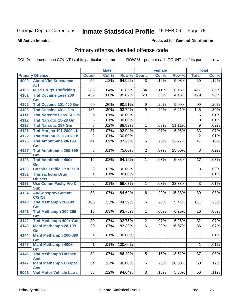**All Active Inmates**

### Produced for **General Distribution**

# Primary offense, detailed offense code

|      |                                     |                 | <b>Male</b> |         |                     | <b>Female</b> |        |                  | <b>Total</b> |
|------|-------------------------------------|-----------------|-------------|---------|---------------------|---------------|--------|------------------|--------------|
|      | <b>Primary Offense</b>              | <b>Count</b>    | Col %       | Row %   | <b>Count</b>        | Col %         | Row %  | <b>Total</b>     | Col %        |
| 4090 | <b>Atmpt Viol Substance</b>         | 56              | .12%        | 94.92%  | $\overline{3}$      | .10%          | 5.08%  | $\overline{59}$  | .12%         |
|      | <b>Act</b>                          |                 |             |         |                     |               |        |                  |              |
| 4100 | <b>Misc Drugs Trafficking</b>       | 383             | .84%        | 91.85%  | $\overline{34}$     | 1.11%         | 8.15%  | 417              | .85%         |
| 4101 | <b>Traf Cocaine Less 200</b>        | 459             | 1.00%       | 95.82%  | $\overline{20}$     | .66%          | 4.18%  | 479              | .98%         |
|      | Gm                                  |                 |             |         |                     |               |        |                  |              |
| 4102 | <b>Traf Cocaine 201-400 Gm</b>      | 90              | .20%        | 90.91%  | 9<br>$\overline{9}$ | .29%          | 9.09%  | 99               | .20%         |
| 4103 | <b>Traf Cocaine 401+ Gm</b>         | 136             | .30%        | 93.79%  |                     | .29%          | 6.21%  | $\overline{145}$ | .30%         |
| 4111 | <b>Traf Narcotic Less 14 Gm</b>     | 6               | .01%        | 100.00% |                     |               |        | 6                | .01%         |
| 4112 | <b>Traf Narcotic 15-28 Gm</b>       | $\overline{3}$  | .01%        | 100.00% |                     |               |        | $\overline{3}$   | .01%         |
| 4113 | <b>Traf Narcotic 29+ Gm</b>         | $\overline{8}$  | .02%        | 88.89%  | 1                   | .03%          | 11.11% | $\overline{9}$   | .02%         |
| 4121 | Traf Marijna 101-2000 Lb            | $\overline{31}$ | .07%        | 93.94%  | 2                   | .07%          | 6.06%  | $\overline{33}$  | .07%         |
| 4122 | Traf Marijna 2001-10k Lb            | $\overline{2}$  | .01%        | 100.00% |                     |               |        | $\overline{2}$   | .01%         |
| 4126 | <b>Traf Amphtmine 28-199</b>        | $\overline{41}$ | .09%        | 87.23%  | 6                   | .20%          | 12.77% | $\overline{47}$  | .10%         |
|      | Gm                                  |                 |             |         |                     |               |        |                  |              |
| 4127 | <b>Traf Amphtmine 200-399</b><br>Gm | 6               | .01%        | 75.00%  | 2                   | .07%          | 25.00% | 8                | .02%         |
| 4128 | <b>Traf Amphtmine 400+</b>          | 16              | .03%        | 94.12%  | 1                   | .03%          | 5.88%  | 17               | .03%         |
|      | Gm                                  |                 |             |         |                     |               |        |                  |              |
| 4130 | <b>Cnspire Traffic Cntrl Sub</b>    | 8               | .02%        | 100.00% |                     |               |        | 8                | .02%         |
| 4131 | <b>Transactions Drug</b>            | $\mathbf 1$     | .01%        | 100.00% |                     |               |        | 1                | .01%         |
|      | <b>Objects</b>                      |                 |             |         |                     |               |        |                  |              |
| 4133 | <b>Use Comm Facity Vio C</b>        | $\overline{2}$  | .01%        | 66.67%  | 1                   | .03%          | 33.33% | $\overline{3}$   | .01%         |
|      | <b>Sub</b>                          |                 |             |         |                     |               |        |                  |              |
| 4134 | <b>Att/Consprcy Commt</b><br>C/S/Of | 33              | .07%        | 84.62%  | $6\overline{6}$     | .20%          | 15.38% | 39               | .08%         |
| 4140 | <b>Traf Methamph 28-199</b>         | 105             | .23%        | 94.59%  | 6                   | .20%          | 5.41%  | 111              | .23%         |
|      | Gm                                  |                 |             |         |                     |               |        |                  |              |
| 4141 | <b>Traf Methamph 200-399</b>        | 15              | .03%        | 93.75%  | 1                   | .03%          | 6.25%  | 16               | .03%         |
|      | Gm                                  |                 |             |         |                     |               |        |                  |              |
| 4142 | <b>Traf Methamph 400+ Gm</b>        | 30              | .07%        | 93.75%  | $\overline{2}$      | .07%          | 6.25%  | 32               | .07%         |
| 4143 | <b>Manf Methamph 28-199</b>         | 30              | .07%        | 83.33%  | $\overline{6}$      | .20%          | 16.67% | 36               | .07%         |
|      | Gm                                  |                 |             |         |                     |               |        |                  |              |
| 4144 | <b>Manf Methamph 200-399</b>        | 1               | .01%        | 100.00% |                     |               |        | 1                | .01%         |
| 4145 | Gm<br>Manf Methamph 400+            | $\mathbf{1}$    | .01%        | 100.00% |                     |               |        | $\mathbf{1}$     | .01%         |
|      | Gm                                  |                 |             |         |                     |               |        |                  |              |
| 4146 | <b>Traf Methamph Unspec</b>         | 32              | $.07\%$     | 86.49%  | 5                   | .16%          | 13.51% | 37               | .08%         |
|      | <b>Amt</b>                          |                 |             |         |                     |               |        |                  |              |
| 4147 | <b>Manf Methamph Unspec</b>         | 54              | .12%        | 90.00%  | 6                   | .20%          | 10.00% | 60               | .12%         |
|      | <b>Amt</b>                          |                 |             |         |                     |               |        |                  |              |
| 5001 | <b>Viol Motor Vehicle Laws</b>      | 53              | .12%        | 94.64%  | $\overline{3}$      | .10%          | 5.36%  | 56               | .11%         |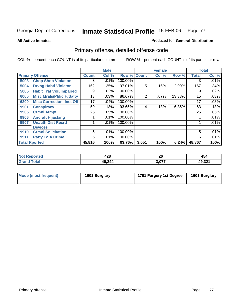**All Active Inmates**

#### Produced for **General Distribution**

# Primary offense, detailed offense code

|                      |                                  |              | <b>Male</b> |                    |                | <b>Female</b> |        |              | <b>Total</b> |
|----------------------|----------------------------------|--------------|-------------|--------------------|----------------|---------------|--------|--------------|--------------|
|                      | <b>Primary Offense</b>           | <b>Count</b> | Col %       | <b>Row % Count</b> |                | Col%          | Row %  | <b>Total</b> | Col %        |
| 5003                 | <b>Chop Shop Violation</b>       | 3            | .01%        | 100.00%            |                |               |        | 3            | $.01\%$      |
| 5004                 | <b>Drvng Habtl Violator</b>      | 162          | .35%        | 97.01%             | 5              | .16%          | 2.99%  | 167          | .34%         |
| 5005                 | <b>Habit Traf Voil/Impaired</b>  | 9            | .02%        | 100.00%            |                |               |        | 9            | .02%         |
| 6000                 | <b>Misc Mrals/Pblic H/Safty</b>  | 13           | .03%        | 86.67%             | $\overline{2}$ | .07%          | 13.33% | 15           | .03%         |
| 6200                 | <b>Misc CorrectionI Inst Off</b> | 17           | .04%        | 100.00%            |                |               |        | 17           | .03%         |
| 9901                 | <b>Conspiracy</b>                | 59           | .13%        | 93.65%             | 4              | .13%          | 6.35%  | 63           | .13%         |
| 9905                 | <b>Crmnl Atmpt</b>               | 25           | .05%        | 100.00%            |                |               |        | 25           | .05%         |
| 9906                 | <b>Aircraft Hijacking</b>        |              | .01%        | 100.00%            |                |               |        |              | .01%         |
| 9907                 | <b>Unauth Dist Recrd</b>         |              | .01%        | 100.00%            |                |               |        |              | .01%         |
|                      | <b>Devices</b>                   |              |             |                    |                |               |        |              |              |
| 9910                 | <b>Crmnl Solicitation</b>        | 5            | .01%        | 100.00%            |                |               |        | 5            | .01%         |
| 9911                 | <b>Party To A Crime</b>          | 6            | .01%        | 100.00%            |                |               |        | 6            | .01%         |
| <b>Total Rported</b> |                                  | 45,816       | 100%        | 93.76%             | 3,051          | 100%          | 6.24%  | 48,867       | 100%         |

| orted | ៱៱៰<br>440 | ጎር<br>ZU | 454              |
|-------|------------|----------|------------------|
|       | 46,244     | דדה מ    | 10 221<br>49.32. |

| Mode (most frequent) | 1601 Burglary | 1701 Forgery 1st Degree | 1601 Burglary |
|----------------------|---------------|-------------------------|---------------|
|                      |               |                         |               |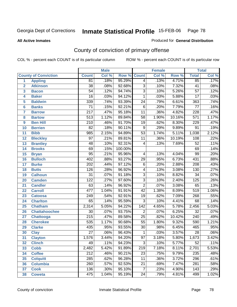#### **All Active Inmates**

#### Produced for **General Distribution**

# County of conviction of primary offense

|                 |                             |                  | <b>Male</b> |         |                  | Female |        |                  | <b>Total</b> |
|-----------------|-----------------------------|------------------|-------------|---------|------------------|--------|--------|------------------|--------------|
|                 | <b>County of Conviction</b> | <b>Count</b>     | Col %       | Row %   | <b>Count</b>     | Col %  | Row %  | <b>Total</b>     | Col %        |
| 1               | <b>Appling</b>              | 81               | .18%        | 95.29%  | 4                | .13%   | 4.71%  | 85               | .17%         |
| $\overline{2}$  | <b>Atkinson</b>             | $\overline{38}$  | .08%        | 92.68%  | $\overline{3}$   | .10%   | 7.32%  | 41               | .08%         |
| 3               | <b>Bacon</b>                | $\overline{54}$  | .12%        | 94.74%  | $\overline{3}$   | .10%   | 5.26%  | $\overline{57}$  | .12%         |
| 4               | <b>Baker</b>                | $\overline{16}$  | .03%        | 94.12%  | 1                | .03%   | 5.88%  | $\overline{17}$  | .03%         |
| 5               | <b>Baldwin</b>              | 339              | .74%        | 93.39%  | $\overline{24}$  | .79%   | 6.61%  | 363              | .74%         |
| 6               | <b>Banks</b>                | $\overline{71}$  | .15%        | 92.21%  | $\overline{6}$   | .20%   | 7.79%  | $\overline{77}$  | .16%         |
| 7               | <b>Barrow</b>               | $\overline{217}$ | .47%        | 95.18%  | $\overline{11}$  | .36%   | 4.82%  | 228              | .47%         |
| 8               | <b>Bartow</b>               | $\overline{513}$ | 1.12%       | 89.84%  | 58               | 1.90%  | 10.16% | $\overline{571}$ | 1.17%        |
| 9               | <b>Ben Hill</b>             | $\overline{210}$ | .46%        | 91.70%  | $\overline{19}$  | .62%   | 8.30%  | 229              | .47%         |
| 10              | <b>Berrien</b>              | $\overline{82}$  | .18%        | 90.11%  | $\overline{9}$   | .29%   | 9.89%  | $\overline{91}$  | .19%         |
| 11              | <b>Bibb</b>                 | 985              | 2.15%       | 94.89%  | $\overline{53}$  | 1.74%  | 5.11%  | 1,038            | 2.12%        |
| 12              | <b>Bleckley</b>             | $\overline{97}$  | .21%        | 89.81%  | 11               | .36%   | 10.19% | 108              | .22%         |
| $\overline{13}$ | <b>Brantley</b>             | 48               | .10%        | 92.31%  | 4                | .13%   | 7.69%  | $\overline{52}$  | .11%         |
| 14              | <b>Brooks</b>               | $\overline{69}$  | .15%        | 100.00% |                  |        |        | 69               | .14%         |
| 15              | <b>Bryan</b>                | $\overline{95}$  | .21%        | 95.96%  | 4                | .13%   | 4.04%  | $\overline{99}$  | .20%         |
| 16              | <b>Bulloch</b>              | 402              | .88%        | 93.27%  | 29               | .95%   | 6.73%  | 431              | .88%         |
| 17              | <b>Burke</b>                | $\overline{202}$ | .44%        | 97.12%  | $\overline{6}$   | .20%   | 2.88%  | $\overline{208}$ | .43%         |
| 18              | <b>Butts</b>                | 126              | .28%        | 96.92%  | 4                | .13%   | 3.08%  | 130              | .27%         |
| 19              | <b>Calhoun</b>              | $\overline{31}$  | .07%        | 91.18%  | $\overline{3}$   | .10%   | 8.82%  | $\overline{34}$  | .07%         |
| 20              | <b>Camden</b>               | 122              | .27%        | 97.60%  | $\overline{3}$   | .10%   | 2.40%  | 125              | .26%         |
| 21              | <b>Candler</b>              | 63               | .14%        | 96.92%  | $\overline{2}$   | .07%   | 3.08%  | 65               | .13%         |
| 22              | <b>Carroll</b>              | 477              | 1.04%       | 91.91%  | $\overline{42}$  | 1.38%  | 8.09%  | $\overline{519}$ | 1.06%        |
| 23              | <b>Catoosa</b>              | $\overline{249}$ | .54%        | 92.91%  | $\overline{19}$  | .62%   | 7.09%  | 268              | .55%         |
| 24              | <b>Charlton</b>             | 65               | .14%        | 95.59%  | $\overline{3}$   | .10%   | 4.41%  | 68               | .14%         |
| 25              | <b>Chatham</b>              | 2,314            | 5.05%       | 94.22%  | $\overline{142}$ | 4.65%  | 5.78%  | 2,456            | 5.03%        |
| 26              | <b>Chattahoochee</b>        | 30               | .07%        | 93.75%  | $\overline{2}$   | .07%   | 6.25%  | $\overline{32}$  | .07%         |
| 27              | <b>Chattooga</b>            | $\overline{215}$ | .47%        | 89.58%  | $\overline{25}$  | .82%   | 10.42% | $\overline{240}$ | .49%         |
| 28              | <b>Cherokee</b>             | $\overline{535}$ | 1.17%       | 90.68%  | $\overline{55}$  | 1.80%  | 9.32%  | 590              | 1.21%        |
| 29              | <b>Clarke</b>               | 435              | .95%        | 93.55%  | $\overline{30}$  | .98%   | 6.45%  | 465              | .95%         |
| 30              | <b>Clay</b>                 | $\overline{27}$  | .06%        | 96.43%  | $\mathbf{1}$     | .03%   | 3.57%  | $\overline{28}$  | .06%         |
| 31              | <b>Clayton</b>              | 1,576            | 3.44%       | 94.20%  | $\overline{97}$  | 3.18%  | 5.80%  | 1,673            | 3.42%        |
| 32              | <b>Clinch</b>               | 49               | .11%        | 94.23%  | 3                | .10%   | 5.77%  | 52               | .11%         |
| 33              | <b>Cobb</b>                 | 2,482            | 5.42%       | 91.89%  | 219              | 7.18%  | 8.11%  | 2,701            | 5.53%        |
| 34              | <b>Coffee</b>               | 212              | .46%        | 90.21%  | 23               | .75%   | 9.79%  | 235              | .48%         |
| 35              | <b>Colquitt</b>             | 285              | .62%        | 96.28%  | 11               | .36%   | 3.72%  | 296              | .61%         |
| 36              | <b>Columbia</b>             | 260              | .57%        | 92.53%  | 21               | .69%   | 7.47%  | 281              | .58%         |
| 37              | <b>Cook</b>                 | 136              | .30%        | 95.10%  | $\overline{7}$   | .23%   | 4.90%  | 143              | .29%         |
| 38              | <b>Coweta</b>               | 475              | 1.04%       | 95.19%  | 24               | .79%   | 4.81%  | 499              | 1.02%        |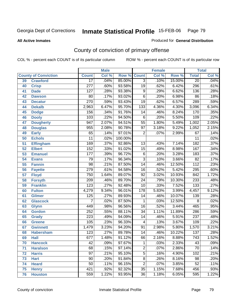#### **All Active Inmates**

#### Produced for **General Distribution**

# County of conviction of primary offense

|    |                             |                  | <b>Male</b> |         | <b>Female</b>   |       |        | <b>Total</b>     |         |
|----|-----------------------------|------------------|-------------|---------|-----------------|-------|--------|------------------|---------|
|    | <b>County of Conviction</b> | <b>Count</b>     | Col %       | Row %   | <b>Count</b>    | Col % | Row %  | <b>Total</b>     | Col %   |
| 39 | <b>Crawford</b>             | $\overline{17}$  | .04%        | 85.00%  | $\overline{3}$  | .10%  | 15.00% | $\overline{20}$  | .04%    |
| 40 | <b>Crisp</b>                | $\overline{277}$ | .60%        | 93.58%  | $\overline{19}$ | .62%  | 6.42%  | 296              | .61%    |
| 41 | <b>Dade</b>                 | 127              | .28%        | 93.38%  | $\overline{9}$  | .29%  | 6.62%  | 136              | .28%    |
| 42 | <b>Dawson</b>               | 80               | .17%        | 93.02%  | 6               | .20%  | 6.98%  | 86               | .18%    |
| 43 | <b>Decatur</b>              | 270              | .59%        | 93.43%  | $\overline{19}$ | .62%  | 6.57%  | 289              | .59%    |
| 44 | <b>Dekalb</b>               | 2,963            | 6.47%       | 95.70%  | 133             | 4.36% | 4.30%  | 3,096            | 6.34%   |
| 45 | <b>Dodge</b>                | 156              | .34%        | 91.76%  | 14              | .46%  | 8.24%  | 170              | .35%    |
| 46 | <b>Dooly</b>                | 103              | .22%        | 94.50%  | 6               | .20%  | 5.50%  | 109              | .22%    |
| 47 | <b>Dougherty</b>            | $\overline{947}$ | 2.07%       | 94.51%  | $\overline{55}$ | 1.80% | 5.49%  | 1,002            | 2.05%   |
| 48 | <b>Douglas</b>              | 955              | 2.08%       | 90.78%  | $\overline{97}$ | 3.18% | 9.22%  | 1,052            | 2.15%   |
| 49 | <b>Early</b>                | 65               | .14%        | 97.01%  | $\overline{2}$  | .07%  | 2.99%  | 67               | .14%    |
| 50 | <b>Echols</b>               | 11               | .02%        | 100.00% |                 |       |        | 11               | .02%    |
| 51 | <b>Effingham</b>            | 169              | .37%        | 92.86%  | 13              | .43%  | 7.14%  | 182              | .37%    |
| 52 | <b>Elbert</b>               | 152              | .33%        | 91.02%  | $\overline{15}$ | .49%  | 8.98%  | 167              | .34%    |
| 53 | <b>Emanuel</b>              | 177              | .39%        | 96.72%  | $\overline{6}$  | .20%  | 3.28%  | 183              | .37%    |
| 54 | <b>Evans</b>                | 79               | .17%        | 96.34%  | $\overline{3}$  | .10%  | 3.66%  | $\overline{82}$  | .17%    |
| 55 | <b>Fannin</b>               | $\overline{98}$  | .21%        | 87.50%  | 14              | .46%  | 12.50% | $\overline{112}$ | .23%    |
| 56 | <b>Fayette</b>              | 279              | .61%        | 94.58%  | 16              | .52%  | 5.42%  | 295              | .60%    |
| 57 | <b>Floyd</b>                | 750              | 1.64%       | 89.07%  | $\overline{92}$ | 3.02% | 10.93% | 842              | 1.72%   |
| 58 | <b>Forsyth</b>              | 209              | .46%        | 89.70%  | $\overline{24}$ | .79%  | 10.30% | 233              | .48%    |
| 59 | <b>Franklin</b>             | 123              | .27%        | 92.48%  | 10              | .33%  | 7.52%  | $\overline{133}$ | .27%    |
| 60 | <b>Fulton</b>               | 4,279            | 9.34%       | 96.01%  | 178             | 5.83% | 3.99%  | 4,457            | 9.12%   |
| 61 | Gilmer                      | 125              | .27%        | 89.93%  | 14              | .46%  | 10.07% | 139              | .28%    |
| 62 | <b>Glascock</b>             | 7                | .02%        | 87.50%  | $\mathbf{1}$    | .03%  | 12.50% | 8                | .02%    |
| 63 | <b>Glynn</b>                | 449              | .98%        | 96.56%  | 16              | .52%  | 3.44%  | 465              | .95%    |
| 64 | <b>Gordon</b>               | 252              | .55%        | 88.11%  | $\overline{34}$ | 1.11% | 11.89% | 286              | .59%    |
| 65 | <b>Grady</b>                | 223              | .49%        | 94.09%  | $\overline{14}$ | .46%  | 5.91%  | 237              | .48%    |
| 66 | <b>Greene</b>               | 105              | .23%        | 96.33%  | 4               | .13%  | 3.67%  | 109              | .22%    |
| 67 | <b>Gwinnett</b>             | 1,479            | 3.23%       | 94.20%  | $\overline{91}$ | 2.98% | 5.80%  | 1,570            | 3.21%   |
| 68 | <b>Habersham</b>            | 123              | .27%        | 89.78%  | 14              | .46%  | 10.22% | 137              | .28%    |
| 69 | <b>Hall</b>                 | 677              | 1.48%       | 91.12%  | 66              | 2.16% | 8.88%  | $\overline{743}$ | 1.52%   |
| 70 | <b>Hancock</b>              | 42               | .09%        | 97.67%  | 1               | .03%  | 2.33%  | 43               | $.09\%$ |
| 71 | <b>Haralson</b>             | 68               | .15%        | 97.14%  | $\overline{2}$  | .07%  | 2.86%  | $\overline{70}$  | .14%    |
| 72 | <b>Harris</b>               | $\overline{97}$  | .21%        | 95.10%  | $\overline{5}$  | .16%  | 4.90%  | 102              | .21%    |
| 73 | <b>Hart</b>                 | $\overline{90}$  | .20%        | 91.84%  | $\overline{8}$  | .26%  | 8.16%  | 98               | .20%    |
| 74 | <b>Heard</b>                | 50               | .11%        | 96.15%  | $\overline{2}$  | .07%  | 3.85%  | 52               | .11%    |
| 75 | <b>Henry</b>                | 421              | .92%        | 92.32%  | 35              | 1.15% | 7.68%  | 456              | .93%    |
| 76 | <b>Houston</b>              | 559              | 1.22%       | 93.95%  | 36              | 1.18% | 6.05%  | 595              | 1.22%   |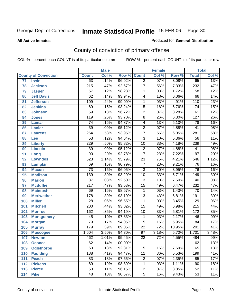**All Active Inmates**

#### Produced for **General Distribution**

# County of conviction of primary offense

|                 |                             |                  | <b>Male</b> |         |                 | <b>Female</b> |        |                  | <b>Total</b> |
|-----------------|-----------------------------|------------------|-------------|---------|-----------------|---------------|--------|------------------|--------------|
|                 | <b>County of Conviction</b> | <b>Count</b>     | Col %       | Row %   | <b>Count</b>    | Col %         | Row %  | <b>Total</b>     | Col %        |
| $\overline{77}$ | <b>Irwin</b>                | 63               | .14%        | 96.92%  | $\overline{2}$  | .07%          | 3.08%  | 65               | .13%         |
| 78              | <b>Jackson</b>              | $\overline{215}$ | .47%        | 92.67%  | $\overline{17}$ | .56%          | 7.33%  | 232              | .47%         |
| 79              | <b>Jasper</b>               | 57               | .12%        | 98.28%  | 1               | .03%          | 1.72%  | $\overline{58}$  | .12%         |
| 80              | <b>Jeff Davis</b>           | 62               | .14%        | 93.94%  | 4               | .13%          | 6.06%  | 66               | .14%         |
| 81              | <b>Jefferson</b>            | 109              | .24%        | 99.09%  | $\mathbf{1}$    | .03%          | .91%   | 110              | .23%         |
| 82              | <b>Jenkins</b>              | 69               | .15%        | 93.24%  | $\overline{5}$  | .16%          | 6.76%  | $\overline{74}$  | .15%         |
| 83              | <b>Johnson</b>              | $\overline{59}$  | .13%        | 96.72%  | $\overline{2}$  | .07%          | 3.28%  | 61               | .12%         |
| 84              | <b>Jones</b>                | 119              | .26%        | 93.70%  | $\overline{8}$  | .26%          | 6.30%  | 127              | .26%         |
| 85              | <b>Lamar</b>                | $\overline{74}$  | .16%        | 94.87%  | 4               | .13%          | 5.13%  | 78               | .16%         |
| 86              | <b>Lanier</b>               | $\overline{39}$  | .09%        | 95.12%  | $\overline{2}$  | .07%          | 4.88%  | $\overline{41}$  | .08%         |
| 87              | <b>Laurens</b>              | 264              | .58%        | 93.95%  | $\overline{17}$ | .56%          | 6.05%  | $\overline{281}$ | .58%         |
| 88              | Lee                         | $\overline{53}$  | .12%        | 94.64%  | $\overline{3}$  | .10%          | 5.36%  | $\overline{56}$  | .11%         |
| 89              | <b>Liberty</b>              | 229              | .50%        | 95.82%  | 10              | .33%          | 4.18%  | 239              | .49%         |
| 90              | <b>Lincoln</b>              | $\overline{39}$  | .09%        | 95.12%  | $\overline{2}$  | .07%          | 4.88%  | $\overline{41}$  | .08%         |
| 91              | Long                        | $\overline{90}$  | .20%        | 92.78%  | $\overline{7}$  | .23%          | 7.22%  | $\overline{97}$  | .20%         |
| 92              | <b>Lowndes</b>              | $\overline{523}$ | 1.14%       | 95.79%  | $\overline{23}$ | .75%          | 4.21%  | 546              | 1.12%        |
| 93              | <b>Lumpkin</b>              | 69               | .15%        | 90.79%  | $\overline{7}$  | .23%          | 9.21%  | $\overline{76}$  | .16%         |
| 94              | <b>Macon</b>                | $\overline{73}$  | .16%        | 96.05%  | $\overline{3}$  | .10%          | 3.95%  | $\overline{76}$  | .16%         |
| 95              | <b>Madison</b>              | 139              | .30%        | 93.29%  | 10              | .33%          | 6.71%  | $\overline{149}$ | .30%         |
| 96              | <b>Marion</b>               | $\overline{37}$  | .08%        | 92.50%  | $\overline{3}$  | .10%          | 7.50%  | 40               | .08%         |
| 97              | <b>Mcduffie</b>             | $\overline{217}$ | .47%        | 93.53%  | $\overline{15}$ | .49%          | 6.47%  | 232              | .47%         |
| 98              | <b>Mcintosh</b>             | 69               | .15%        | 98.57%  | $\mathbf 1$     | .03%          | 1.43%  | 70               | .14%         |
| 99              | <b>Meriwether</b>           | 178              | .39%        | 93.19%  | $\overline{13}$ | .43%          | 6.81%  | 191              | .39%         |
| 100             | <b>Miller</b>               | $\overline{28}$  | .06%        | 96.55%  | $\mathbf{1}$    | .03%          | 3.45%  | $\overline{29}$  | .06%         |
| 101             | <b>Mitchell</b>             | $\overline{200}$ | .44%        | 93.02%  | $\overline{15}$ | .49%          | 6.98%  | $\overline{215}$ | .44%         |
| 102             | <b>Monroe</b>               | 162              | .35%        | 94.19%  | 10              | .33%          | 5.81%  | 172              | .35%         |
| 103             | <b>Montgomery</b>           | 45               | .10%        | 97.83%  | 1               | .03%          | 2.17%  | 46               | .09%         |
| 104             | <b>Morgan</b>               | 79               | .17%        | 94.05%  | $\overline{5}$  | .16%          | 5.95%  | $\overline{84}$  | .17%         |
| 105             | <b>Murray</b>               | 179              | .39%        | 89.05%  | $\overline{22}$ | .72%          | 10.95% | $\overline{201}$ | .41%         |
| 106             | <b>Muscogee</b>             | 1,604            | 3.50%       | 94.30%  | $\overline{97}$ | 3.18%         | 5.70%  | 1,701            | 3.48%        |
| 107             | <b>Newton</b>               | 462              | 1.01%       | 95.45%  | $\overline{22}$ | .72%          | 4.55%  | 484              | .99%         |
| 108             | <b>Oconee</b>               | 62               | .14%        | 100.00% |                 |               |        | 62               | .13%         |
| 109             | <b>Oglethorpe</b>           | 60               | .13%        | 92.31%  | $\overline{5}$  | .16%          | 7.69%  | 65               | .13%         |
| 110             | Paulding                    | 188              | .41%        | 94.47%  | 11              | .36%          | 5.53%  | 199              | .41%         |
| 111             | <b>Peach</b>                | 83               | .18%        | 97.65%  | $\overline{c}$  | .07%          | 2.35%  | 85               | .17%         |
| 112             | <b>Pickens</b>              | 89               | .19%        | 98.89%  | 1               | .03%          | 1.11%  | 90               | .18%         |
| 113             | <b>Pierce</b>               | 50               | .11%        | 96.15%  | $\overline{2}$  | .07%          | 3.85%  | 52               | .11%         |
| 114             | <b>Pike</b>                 | $\overline{48}$  | .10%        | 90.57%  | $\overline{5}$  | .16%          | 9.43%  | 53               | .11%         |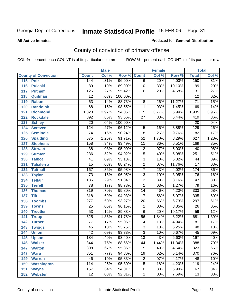Produced for **General Distribution**

#### **All Active Inmates**

# County of conviction of primary offense

|                             |                  | <b>Male</b> |         |                         | <b>Female</b> |        |                  | <b>Total</b> |
|-----------------------------|------------------|-------------|---------|-------------------------|---------------|--------|------------------|--------------|
| <b>County of Conviction</b> | <b>Count</b>     | Col %       | Row %   | <b>Count</b>            | Col %         | Row %  | <b>Total</b>     | Col %        |
| 115<br><b>Polk</b>          | 144              | .31%        | 96.00%  | $\overline{6}$          | .20%          | 4.00%  | 150              | .31%         |
| 116<br><b>Pulaski</b>       | 89               | .19%        | 89.90%  | 10                      | .33%          | 10.10% | 99               | .20%         |
| 117<br><b>Putnam</b>        | 125              | .27%        | 95.42%  | $\overline{6}$          | .20%          | 4.58%  | $\overline{131}$ | .27%         |
| 118<br>Quitman              | $\overline{12}$  | .03%        | 100.00% |                         |               |        | $\overline{12}$  | .02%         |
| 119<br><b>Rabun</b>         | 63               | .14%        | 88.73%  | 8                       | .26%          | 11.27% | $\overline{71}$  | .15%         |
| 120<br><b>Randolph</b>      | 68               | .15%        | 98.55%  | 1                       | .03%          | 1.45%  | 69               | .14%         |
| 121<br><b>Richmond</b>      | 1,820            | 3.97%       | 94.06%  | 115                     | 3.77%         | 5.94%  | 1,935            | 3.96%        |
| 122<br><b>Rockdale</b>      | 392              | .86%        | 93.56%  | 27                      | .88%          | 6.44%  | 419              | .86%         |
| 123<br><b>Schley</b>        | $\overline{20}$  | .04%        | 100.00% |                         |               |        | $\overline{20}$  | .04%         |
| 124<br><b>Screven</b>       | 124              | .27%        | 96.12%  | 5                       | .16%          | 3.88%  | 129              | .26%         |
| <b>Seminole</b><br>125      | $\overline{74}$  | .16%        | 90.24%  | $\overline{8}$          | .26%          | 9.76%  | $\overline{82}$  | .17%         |
| 126<br><b>Spalding</b>      | $\overline{575}$ | 1.26%       | 91.71%  | $\overline{52}$         | 1.70%         | 8.29%  | 627              | 1.28%        |
| 127<br><b>Stephens</b>      | 158              | .34%        | 93.49%  | 11                      | .36%          | 6.51%  | 169              | .35%         |
| 128<br><b>Stewart</b>       | $\overline{38}$  | .08%        | 95.00%  | $\overline{2}$          | .07%          | 5.00%  | 40               | .08%         |
| 129<br><b>Sumter</b>        | 236              | .52%        | 94.02%  | $\overline{15}$         | .49%          | 5.98%  | 251              | .51%         |
| <b>Talbot</b><br>130        | 41               | .09%        | 93.18%  | $\overline{3}$          | .10%          | 6.82%  | 44               | .09%         |
| 131<br><b>Taliaferro</b>    | $\overline{15}$  | .03%        | 88.24%  | $\overline{2}$          | .07%          | 11.76% | $\overline{17}$  | .03%         |
| <b>Tattnall</b><br>132      | 167              | .36%        | 95.98%  | $\overline{7}$          | .23%          | 4.02%  | 174              | .36%         |
| 133<br><b>Taylor</b>        | $\overline{73}$  | .16%        | 96.05%  | $\overline{3}$          | .10%          | 3.95%  | $\overline{76}$  | .16%         |
| <b>Telfair</b><br>134       | 135              | .29%        | 91.84%  | $\overline{12}$         | .39%          | 8.16%  | $\overline{147}$ | .30%         |
| 135<br><b>Terrell</b>       | $\overline{78}$  | .17%        | 98.73%  | $\mathbf{1}$            | .03%          | 1.27%  | 79               | .16%         |
| 136<br><b>Thomas</b>        | 319              | .70%        | 95.80%  | $\overline{14}$         | .46%          | 4.20%  | 333              | .68%         |
| 137<br><b>Tift</b>          | 318              | .69%        | 94.93%  | 17                      | .56%          | 5.07%  | 335              | .69%         |
| <b>Toombs</b><br>138        | 277              | .60%        | 93.27%  | 20                      | .66%          | 6.73%  | 297              | .61%         |
| 139<br><b>Towns</b>         | $\overline{25}$  | .05%        | 96.15%  | 1                       | .03%          | 3.85%  | $\overline{26}$  | .05%         |
| <b>Treutlen</b><br>140      | $\overline{53}$  | .12%        | 89.83%  | $\overline{6}$          | .20%          | 10.17% | 59               | .12%         |
| 141<br><b>Troup</b>         | 625              | 1.36%       | 91.78%  | 56                      | 1.84%         | 8.22%  | 681              | 1.39%        |
| 142<br><b>Turner</b>        | 77               | .17%        | 95.06%  | $\overline{\mathbf{4}}$ | .13%          | 4.94%  | 81               | .17%         |
| 143<br><b>Twiggs</b>        | 45               | .10%        | 93.75%  | $\overline{3}$          | .10%          | 6.25%  | 48               | .10%         |
| 144<br><b>Union</b>         | $\overline{42}$  | .09%        | 93.33%  | $\overline{3}$          | .10%          | 6.67%  | 45               | .09%         |
| 145<br><b>Upson</b>         | 184              | .40%        | 93.40%  | $\overline{13}$         | .43%          | 6.60%  | 197              | .40%         |
| 146<br><b>Walker</b>        | 344              | .75%        | 88.66%  | 44                      | 1.44%         | 11.34% | 388              | .79%         |
| 147<br><b>Walton</b>        | $\overline{308}$ | .67%        | 95.36%  | $\overline{15}$         | .49%          | 4.64%  | 323              | .66%         |
| 148<br><b>Ware</b>          | 351              | .77%        | 94.86%  | $\overline{19}$         | .62%          | 5.14%  | $\overline{370}$ | .76%         |
| <b>Warren</b><br>149        | 46               | .10%        | 95.83%  | 2                       | .07%          | 4.17%  | 48               | .10%         |
| <b>Washington</b><br>150    | 114              | .25%        | 95.80%  | 5                       | .16%          | 4.20%  | 119              | .24%         |
| 151<br><b>Wayne</b>         | 157              | .34%        | 94.01%  | 10                      | .33%          | 5.99%  | 167              | .34%         |
| <b>Webster</b><br>152       | $\overline{12}$  | .03%        | 92.31%  | $\mathbf{1}$            | .03%          | 7.69%  | $\overline{13}$  | .03%         |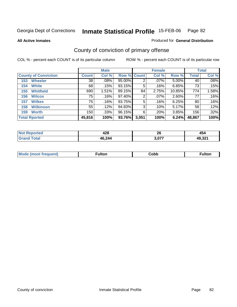**All Active Inmates**

#### Produced for **General Distribution**

# County of conviction of primary offense

|                             | <b>Male</b>    |         |                    |       | <b>Female</b> |          | <b>Total</b> |       |
|-----------------------------|----------------|---------|--------------------|-------|---------------|----------|--------------|-------|
| <b>County of Conviction</b> | <b>Count</b>   | Col %   | <b>Row % Count</b> |       | Col %         | Row %    | Total        | Col % |
| <b>Wheeler</b><br>153       | 38             | $.08\%$ | 95.00%             | 2     | $.07\%$       | $5.00\%$ | 40           | .08%  |
| <b>White</b><br>154         | 68 <sup></sup> | .15%    | 93.15%             | 5     | .16%          | 6.85%    | 73           | .15%  |
| <b>Whitfield</b><br>155     | 690            | 1.51%   | 89.15%             | 84    | 2.75%         | 10.85%   | 774          | 1.58% |
| <b>Wilcox</b><br>156        | 75             | .16%    | 97.40%             | 2     | $.07\%$       | 2.60%    | 77           | .16%  |
| <b>Wilkes</b><br>157        | 75             | $.16\%$ | 93.75%             | 5     | .16%          | 6.25%    | 80           | .16%  |
| <b>Wilkinson</b><br>158     | 55             | .12%    | 94.83%             | 3     | .10%          | 5.17%    | 58           | .12%  |
| <b>Worth</b><br>159         | 150            | $.33\%$ | 96.15%             | 6     | .20%          | 3.85%    | 156          | .32%  |
| <b>Total Rported</b>        | 45,816         | 100%    | 93.76%             | 3,051 | 100%          | 6.24%    | 48,867       | 100%  |

| N    | ៱៱៰    | ^^    | 454              |
|------|--------|-------|------------------|
| тес. | 44 U   | ΖO    |                  |
|      | 46,244 | 3,077 | 10.321<br>7.JZ . |

| <b>Mode</b><br>auent)<br>. | ulton | Copp | <b>ulton</b> |
|----------------------------|-------|------|--------------|
|                            |       |      |              |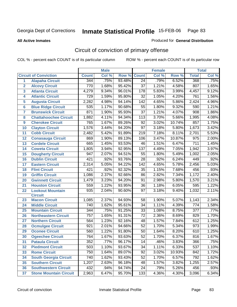#### **All Active Inmates**

#### Produced for **General Distribution**

# Circuit of conviction of primary offense

|                  |                               |                  | <b>Male</b> |        |                  | <b>Female</b> |        |                  | <b>Total</b> |
|------------------|-------------------------------|------------------|-------------|--------|------------------|---------------|--------|------------------|--------------|
|                  | <b>Circuit of Conviction</b>  | <b>Count</b>     | Col %       | Row %  | <b>Count</b>     | Col %         | Row %  | <b>Total</b>     | Col %        |
| 1                | <b>Alapaha Circuit</b>        | 344              | .75%        | 93.48% | $\overline{24}$  | .79%          | 6.52%  | 368              | .75%         |
| $\overline{2}$   | <b>Alcovy Circuit</b>         | 770              | 1.68%       | 95.42% | $\overline{37}$  | 1.21%         | 4.58%  | 807              | 1.65%        |
| 3                | <b>Atlanta Circuit</b>        | 4,279            | 9.34%       | 96.01% | 178              | 5.83%         | 3.99%  | 4,457            | 9.12%        |
| 4                | <b>Atlantic Circuit</b>       | 729              | 1.59%       | 95.80% | 32               | 1.05%         | 4.20%  | 761              | 1.56%        |
| 5                | <b>Augusta Circuit</b>        | 2,282            | 4.98%       | 94.14% | $\overline{142}$ | 4.65%         | 5.86%  | 2,424            | 4.96%        |
| $6\phantom{a}$   | <b>Blue Ridge Circuit</b>     | 535              | 1.17%       | 90.68% | 55               | 1.80%         | 9.32%  | 590              | 1.21%        |
| 7                | <b>Brunswick Circuit</b>      | 871              | 1.90%       | 95.93% | $\overline{37}$  | 1.21%         | 4.07%  | $\overline{908}$ | 1.86%        |
| 8                | <b>Chattahoochee Circuit</b>  | 1,882            | 4.11%       | 94.34% | 113              | 3.70%         | 5.66%  | 1,995            | 4.08%        |
| $\boldsymbol{9}$ | <b>Cherokee Circuit</b>       | 765              | 1.67%       | 89.26% | $\overline{92}$  | 3.02%         | 10.74% | 857              | 1.75%        |
| 10               | <b>Clayton Circuit</b>        | 1,576            | 3.44%       | 94.20% | 97               | 3.18%         | 5.80%  | 1,673            | 3.42%        |
| 11               | <b>Cobb Circuit</b>           | 2,482            | 5.42%       | 91.89% | $\overline{219}$ | 7.18%         | 8.11%  | 2,701            | 5.53%        |
| 12               | <b>Conasauga Circuit</b>      | 869              | 1.90%       | 89.13% | 106              | 3.47%         | 10.87% | $\overline{975}$ | 2.00%        |
| 13               | <b>Cordele Circuit</b>        | 665              | 1.45%       | 93.53% | 46               | 1.51%         | 6.47%  | $\overline{711}$ | 1.45%        |
| 14               | <b>Coweta Circuit</b>         | 1,805            | 3.94%       | 92.95% | $\overline{137}$ | 4.49%         | 7.05%  | 1,942            | 3.97%        |
| 15               | <b>Dougherty Circuit</b>      | 947              | 2.07%       | 94.51% | 55               | 1.80%         | 5.49%  | 1,002            | 2.05%        |
| 16               | <b>Dublin Circuit</b>         | 421              | .92%        | 93.76% | 28               | .92%          | 6.24%  | 449              | .92%         |
| 17               | <b>Eastern Circuit</b>        | 2,314            | 5.05%       | 94.22% | $\overline{142}$ | 4.65%         | 5.78%  | 2,456            | 5.03%        |
| 18               | <b>Flint Circuit</b>          | 421              | .92%        | 92.32% | $\overline{35}$  | 1.15%         | 7.68%  | 456              | .93%         |
| 19               | <b>Griffin Circuit</b>        | 1,086            | 2.37%       | 92.66% | 86               | 2.82%         | 7.34%  | 1,172            | 2.40%        |
| 20               | <b>Gwinnett Circuit</b>       | 1,479            | 3.23%       | 94.20% | 91               | 2.98%         | 5.80%  | 1,570            | 3.21%        |
| 21               | <b>Houston Circuit</b>        | 559              | 1.22%       | 93.95% | $\overline{36}$  | 1.18%         | 6.05%  | 595              | 1.22%        |
| 22               | <b>Lookout Mountain</b>       | 935              | 2.04%       | 90.60% | 97               | 3.18%         | 9.40%  | 1,032            | 2.11%        |
|                  | <b>Circuit</b>                |                  |             |        |                  |               |        |                  |              |
| 23               | <b>Macon Circuit</b>          | 1,085            | 2.37%       | 94.93% | 58               | 1.90%         | 5.07%  | 1,143            | 2.34%        |
| 24               | <b>Middle Circuit</b>         | $\overline{740}$ | 1.62%       | 95.61% | $\overline{34}$  | 1.11%         | 4.39%  | 774              | 1.58%        |
| 25               | <b>Mountain Circuit</b>       | 344              | .75%        | 91.25% | $\overline{33}$  | 1.08%         | 8.75%  | $\overline{377}$ | .77%         |
| 26               | <b>Northeastern Circuit</b>   | 757              | 1.65%       | 91.31% | $\overline{72}$  | 2.36%         | 8.69%  | 829              | 1.70%        |
| 27               | <b>Northern Circuit</b>       | 564              | 1.23%       | 92.16% | 48               | 1.57%         | 7.84%  | 612              | 1.25%        |
| 28               | <b>Ocmulgee Circuit</b>       | 921              | 2.01%       | 94.66% | $\overline{52}$  | 1.70%         | 5.34%  | $\overline{973}$ | 1.99%        |
| 29               | <b>Oconee Circuit</b>         | 560              | 1.22%       | 91.80% | 50               | 1.64%         | 8.20%  | 610              | 1.25%        |
| 30               | <b>Ogeechee Circuit</b>       | 764              | 1.67%       | 93.63% | $\overline{52}$  | 1.70%         | 6.37%  | 816              | 1.67%        |
| 31               | <b>Pataula Circuit</b>        | $\overline{352}$ | .77%        | 96.17% | $\overline{14}$  | .46%          | 3.83%  | 366              | .75%         |
| 32               | <b>Piedmont Circuit</b>       | 503              | 1.10%       | 93.67% | 34               | 1.11%         | 6.33%  | 537              | 1.10%        |
| 33               | <b>Rome Circuit</b>           | 750              | 1.64%       | 89.07% | 92               | 3.02%         | 10.93% | 842              | 1.72%        |
| 34               | <b>South Georgia Circuit</b>  | 740              | 1.62%       | 93.43% | 52               | 1.70%         | 6.57%  | 792              | 1.62%        |
| 35               | <b>Southern Circuit</b>       | 1,207            | 2.63%       | 96.18% | 48               | 1.57%         | 3.82%  | 1,255            | 2.57%        |
| 36               | <b>Southwestern Circuit</b>   | 432              | .94%        | 94.74% | 24               | .79%          | 5.26%  | 456              | .93%         |
| 37               | <b>Stone Mountain Circuit</b> | 2,963            | 6.47%       | 95.70% | 133              | 4.36%         | 4.30%  | 3,096            | 6.34%        |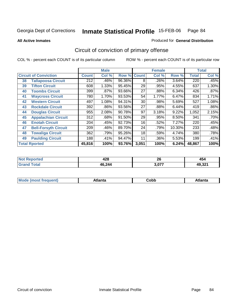**All Active Inmates**

### Produced for **General Distribution**

# Circuit of conviction of primary offense

|    |                              |              | <b>Male</b> |                    |       | <b>Female</b> |          |              | <b>Total</b> |
|----|------------------------------|--------------|-------------|--------------------|-------|---------------|----------|--------------|--------------|
|    | <b>Circuit of Conviction</b> | <b>Count</b> | Col %       | <b>Row % Count</b> |       | Col %         | Row %    | <b>Total</b> | Col %        |
| 38 | <b>Tallapoosa Circuit</b>    | 212          | .46%        | 96.36%             | 8     | .26%          | 3.64%    | 220          | .45%         |
| 39 | <b>Tifton Circuit</b>        | 608          | 1.33%       | 95.45%             | 29    | .95%          | 4.55%    | 637          | 1.30%        |
| 40 | <b>Toombs Circuit</b>        | 399          | .87%        | 93.66%             | 27    | .88%          | 6.34%    | 426          | .87%         |
| 41 | <b>Waycross Circuit</b>      | 780          | 1.70%       | 93.53%             | 54    | 1.77%         | 6.47%    | 834          | 1.71%        |
| 42 | <b>Western Circuit</b>       | 497          | 1.08%       | 94.31%             | 30    | .98%          | 5.69%    | 527          | 1.08%        |
| 43 | <b>Rockdale Circuit</b>      | 392          | .86%        | 93.56%             | 27    | .88%          | 6.44%    | 419          | .86%         |
| 44 | <b>Douglas Circuit</b>       | 955          | 2.08%       | 90.78%             | 97    | 3.18%         | 9.22%    | 1,052        | 2.15%        |
| 45 | <b>Appalachian Circuit</b>   | 312          | .68%        | 91.50%             | 29    | .95%          | $8.50\%$ | 341          | .70%         |
| 46 | <b>Enotah Circuit</b>        | 204          | .45%        | 92.73%             | 16    | .52%          | 7.27%    | 220          | .45%         |
| 47 | <b>Bell-Forsyth Circuit</b>  | 209          | .46%        | 89.70%             | 24    | .79%          | 10.30%   | 233          | .48%         |
| 48 | <b>Towaliga Circuit</b>      | 362          | .79%        | 95.26%             | 18    | .59%          | 4.74%    | 380          | .78%         |
| 49 | <b>Paulding Circuit</b>      | 188          | .41%        | 94.47%             | 11    | .36%          | 5.53%    | 199          | .41%         |
|    | <b>Total Rported</b>         | 45,816       | 100%        | 93.76%             | 3,051 | 100%          | 6.24%    | 48,867       | 100%         |

| чео- | Λ 9 Ω<br>42ŏ | ^^<br>ZU | 454    |
|------|--------------|----------|--------|
|      | 46,244       | 2.077    | AQ 221 |

| IМ<br>1 L C<br>. |  |  |  | nhr | --- |
|------------------|--|--|--|-----|-----|
|------------------|--|--|--|-----|-----|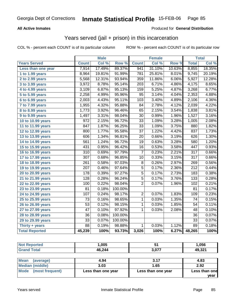### **All Active Inmates**

### Produced for **General Distribution**

### Years served (jail + prison) in this incarceration

|                              |                  | <b>Male</b> |         |                  | <b>Female</b> |        |                  | <b>Total</b> |
|------------------------------|------------------|-------------|---------|------------------|---------------|--------|------------------|--------------|
| <b>Years Served</b>          | <b>Count</b>     | Col %       | Row %   | <b>Count</b>     | Col %         | Row %  | <b>Total</b>     | Col %        |
| Less than one year           | 7,914            | 17.49%      | 89.37%  | 941              | 31.10%        | 10.63% | 8,855            | 18.35%       |
| 1 to 1.99 years              | 8,964            | 19.81%      | 91.99%  | $\overline{781}$ | 25.81%        | 8.01%  | 9,745            | 20.19%       |
| 2 to 2.99 years              | 5,568            | 12.31%      | 93.94%  | 359              | 11.86%        | 6.06%  | 5,927            | 12.28%       |
| 3 to 3.99 years              | 3,972            | 8.78%       | 95.14%  | $\sqrt{203}$     | 6.71%         | 4.86%  | 4,175            | 8.65%        |
| $\overline{4}$ to 4.99 years | 3,109            | 6.87%       | 95.13%  | 159              | 5.25%         | 4.87%  | 3,268            | 6.77%        |
| 5 to 5.99 years              | 2,258            | 4.99%       | 95.96%  | $\overline{95}$  | 3.14%         | 4.04%  | 2,353            | 4.88%        |
| $6$ to 6.99 years            | 2,003            | 4.43%       | 95.11%  | 103              | 3.40%         | 4.89%  | 2,106            | 4.36%        |
| $\overline{7}$ to 7.99 years | 1,955            | 4.32%       | 95.88%  | 84               | 2.78%         | 4.12%  | 2,039            | 4.22%        |
| 8 to 8.99 years              | 1,773            | 3.92%       | 96.46%  | 65               | 2.15%         | 3.54%  | 1,838            | 3.81%        |
| 9 to 9.99 years              | 1,497            | 3.31%       | 98.04%  | $\overline{30}$  | 0.99%         | 1.96%  | 1,527            | 3.16%        |
| 10 to 10.99 years            | 972              | 2.15%       | 96.72%  | $\overline{33}$  | 1.09%         | 3.28%  | 1,005            | 2.08%        |
| 11 to 11.99 years            | 847              | 1.87%       | 96.25%  | $\overline{33}$  | 1.09%         | 3.75%  | 880              | 1.82%        |
| 12 to 12.99 years            | 800              | 1.77%       | 95.58%  | $\overline{37}$  | 1.22%         | 4.42%  | 837              | 1.73%        |
| 13 to 13.99 years            | 606              | 1.34%       | 96.81%  | $\overline{20}$  | 0.66%         | 3.19%  | 626              | 1.30%        |
| 14 to 14.99 years            | 561              | 1.24%       | 96.72%  | $\overline{19}$  | 0.63%         | 3.28%  | 580              | 1.20%        |
| 15 to 15.99 years            | 431              | 0.95%       | 96.42%  | 16               | 0.53%         | 3.58%  | 447              | 0.93%        |
| 16 to 16.99 years            | $\overline{310}$ | 0.69%       | 97.79%  | $\overline{7}$   | 0.23%         | 2.21%  | $\overline{317}$ | 0.66%        |
| 17 to 17.99 years            | $\overline{307}$ | 0.68%       | 96.85%  | $\overline{10}$  | 0.33%         | 3.15%  | $\overline{317}$ | 0.66%        |
| 18 to 18.99 years            | 261              | 0.58%       | 97.03%  | 8                | 0.26%         | 2.97%  | 269              | 0.56%        |
| 19 to 19.99 years            | 207              | 0.46%       | 97.64%  | $\overline{5}$   | 0.17%         | 2.36%  | $\overline{212}$ | 0.44%        |
| 20 to 20.99 years            | 178              | 0.39%       | 97.27%  | $\overline{5}$   | 0.17%         | 2.73%  | 183              | 0.38%        |
| 21 to 21.99 years            | $\overline{128}$ | 0.28%       | 96.24%  | $\overline{5}$   | 0.17%         | 3.76%  | $\overline{133}$ | 0.28%        |
| 22 to 22.99 years            | 100              | 0.22%       | 98.04%  | $\overline{2}$   | 0.07%         | 1.96%  | 102              | 0.21%        |
| 23 to 23.99 years            | $\overline{81}$  | 0.18%       | 100.00% |                  |               |        | 81               | 0.17%        |
| 24 to 24.99 years            | 107              | 0.24%       | 98.17%  | $\overline{2}$   | 0.07%         | 1.83%  | 109              | 0.23%        |
| 25 to 25.99 years            | $\overline{73}$  | 0.16%       | 98.65%  | $\overline{1}$   | 0.03%         | 1.35%  | $\overline{74}$  | 0.15%        |
| 26 to 26.99 years            | $\overline{53}$  | 0.12%       | 98.15%  | $\mathbf 1$      | 0.03%         | 1.85%  | 54               | 0.11%        |
| 27 to 27.99 years            | $\overline{47}$  | 0.10%       | 97.92%  | $\mathbf{1}$     | 0.03%         | 2.08%  | $\overline{48}$  | 0.10%        |
| 28 to 28.99 years            | $\overline{36}$  | 0.08%       | 100.00% |                  |               |        | $\overline{36}$  | 0.07%        |
| 29 to 29.99 years            | $\overline{33}$  | 0.07%       | 100.00% |                  |               |        | $\overline{33}$  | 0.07%        |
| Thirty + years               | $\overline{88}$  | 0.19%       | 98.88%  | $\mathbf{1}$     | 0.03%         | 1.12%  | 89               | 0.18%        |
| <b>Total Reported</b>        | 45,239           | 100%        | 93.73%  | 3,026            | 100%          | 6.27%  | 48,265           | 100%         |

| τeα<br>NO | ,005   |     | 056. ا            |
|-----------|--------|-----|-------------------|
|           | 46,244 | 077 | AQ 221<br>49.JZ I |

| <b>Mean</b><br>(average) | 4.94               | 3.17               | 4.83          |
|--------------------------|--------------------|--------------------|---------------|
| Median (middle)          | 3.03               | 1.65               | 2.92          |
| Mode (most frequent)     | Less than one year | Less than one year | Less than one |
|                          |                    |                    | vear          |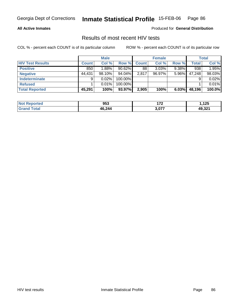### **All Active Inmates**

Produced for **General Distribution**

### Results of most recent HIV tests

|                         |              | <b>Male</b> |           |              | <b>Female</b> |          |        | Total  |
|-------------------------|--------------|-------------|-----------|--------------|---------------|----------|--------|--------|
| <b>HIV Test Results</b> | <b>Count</b> | Col %       | Row %     | <b>Count</b> | Col %         | Row %    | Total  | Col %  |
| <b>Positive</b>         | 850          | 1.88%       | $90.62\%$ | 88           | 3.03%         | $9.38\%$ | 938    | 1.95%  |
| <b>Negative</b>         | 44,431       | $98.10\%$   | 94.04%    | 2,817        | $96.97\%$     | $5.96\%$ | 47,248 | 98.03% |
| <b>Indeterminate</b>    | 9            | 0.02%       | 100.00%   |              |               |          |        | 0.02%  |
| <b>Refused</b>          |              | 0.01%       | 100.00%   |              |               |          |        | 0.01%  |
| Total Reported          | 45,291       | 100%        | 93.97%    | 2,905        | 100%          | 6.03%    | 48,196 | 100.0% |

| <b>Not</b><br><b>Reported</b> | 953    | $4 - C$<br>. | .125              |
|-------------------------------|--------|--------------|-------------------|
| <b>Total</b><br><b>Gran</b>   | 46,244 | 3 N77        | 49 321<br>49.JZ . |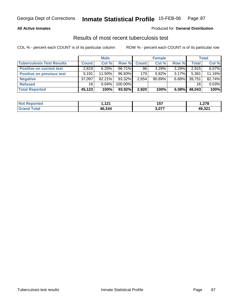### **All Active Inmates**

#### Produced for **General Distribution**

### Results of most recent tuberculosis test

|                                  |              | <b>Male</b> |           |       | <b>Female</b> |          |        | <b>Total</b> |
|----------------------------------|--------------|-------------|-----------|-------|---------------|----------|--------|--------------|
| <b>Tuberculosis Test Results</b> | <b>Count</b> | Col %       | Row %     | Count | Col %         | Row %    | Total  | Col %        |
| <b>Positive on current test</b>  | 2.819        | 6.25%       | $96.71\%$ | 96    | $3.29\%$      | $3.29\%$ | 2,915  | 6.07%        |
| <b>Positive on previous test</b> | 5,191        | $11.50\%$   | 96.83%    | 170   | $5.82\%$      | $3.17\%$ | 5,361  | 11.16%       |
| <b>Negative</b>                  | 37,097       | $82.21\%$   | 93.32%    | 2,654 | 90.89%        | $6.68\%$ | 39,751 | 82.74%       |
| <b>Refused</b>                   | 16           | $0.04\%$    | 100.00%   |       |               |          | 16     | 0.03%        |
| <b>Total Reported</b>            | 45,123       | 100%        | 93.92%    | 2,920 | 100%          | 6.08%    | 48,043 | 100%         |

| <b>Not</b><br><b>Reported</b> | 101<br>. | 157   | 278. ا |
|-------------------------------|----------|-------|--------|
| <b>Total</b><br><b>Grand</b>  | 46,244   | 3,077 | 49,321 |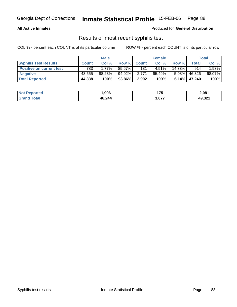### **All Active Inmates**

Produced for **General Distribution**

### Results of most recent syphilis test

|                                 | <b>Male</b>  |          |         |             | <b>Female</b> |          | Total   |          |
|---------------------------------|--------------|----------|---------|-------------|---------------|----------|---------|----------|
| <b>Syphilis Test Results</b>    | <b>Count</b> | Col %    |         | Row % Count | Col %         | Row %    | Total . | Col %    |
| <b>Positive on current test</b> | 783          | $1.77\%$ | 85.67%  | 131         | $4.51\%$      | 14.33%   | 914     | $1.93\%$ |
| <b>Negative</b>                 | 43.555       | 98.23%   | 94.02%  | 2.771       | $95.49\%$     | $5.98\%$ | 46,326  | 98.07%   |
| <b>Total Reported</b>           | 44,338       | 100%     | 93.86%I | 2,902       | 100%          | 6.14%    | 47,240  | 100%     |

| <b>Not Reported</b> | .906   | 175   | 2,081  |
|---------------------|--------|-------|--------|
| <b>Grand Total</b>  | 46,244 | 3,077 | 49,321 |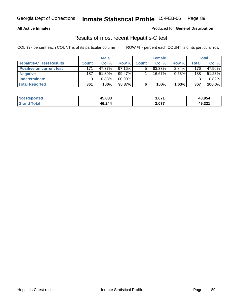### **All Active Inmates**

#### Produced for **General Distribution**

### Results of most recent Hepatitis-C test

|                                 | <b>Male</b>  |           |            | <b>Female</b> |           |          | <b>Total</b> |        |
|---------------------------------|--------------|-----------|------------|---------------|-----------|----------|--------------|--------|
| <b>Hepatitis-C Test Results</b> | <b>Count</b> | Col %     | Row %      | <b>Count</b>  | Col %     | Row %    | Total        | Col %  |
| <b>Positive on current test</b> | 171          | 47.37%    | $97.16\%$  |               | 83.33%    | $2.84\%$ | 176          | 47.96% |
| <b>Negative</b>                 | 187          | $51.80\%$ | 99.47%     |               | $16.67\%$ | 0.53%    | 188          | 51.23% |
| Indeterminate                   | 2            | 0.83%     | $100.00\%$ |               |           |          |              | 0.82%  |
| <b>Total Reported</b>           | 361          | 100%      | 98.37%     |               | 100%      | 1.63%    | 367          | 100.0% |

| <b>Not Reported</b> | 45,883 | 3,071 | 48,954 |
|---------------------|--------|-------|--------|
| <b>Grand Total</b>  | 46,244 | 3,077 | 49,321 |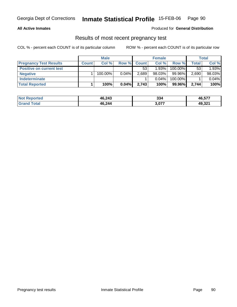### **All Active Inmates**

### Produced for **General Distribution**

# Results of most recent pregnancy test

|                                 | <b>Male</b>  |            |          |              | <b>Female</b> |         | <b>Total</b> |        |
|---------------------------------|--------------|------------|----------|--------------|---------------|---------|--------------|--------|
| <b>Pregnancy Test Results</b>   | <b>Count</b> | Col %      | Row %    | <b>Count</b> | Col %         | Row %   | <b>Total</b> | Col %  |
| <b>Positive on current test</b> |              |            |          | 53           | 1.93%         | 100.00% | 53           | 1.93%  |
| <b>Negative</b>                 |              | $100.00\%$ | $0.04\%$ | 2,689        | $98.03\%$     | 99.96%  | 2,690        | 98.03% |
| <b>Indeterminate</b>            |              |            |          |              | $0.04\%$      | 100.00% |              | 0.04%  |
| <b>Total Reported</b>           |              | 100%       | 0.04%    | 2,743        | 100%          | 99.96%  | 2.744        | 100%   |

| <b>Not Reported</b> | 46,243 | 334   | 46,577 |
|---------------------|--------|-------|--------|
| 'otal               | 46,244 | 3,077 | 49,321 |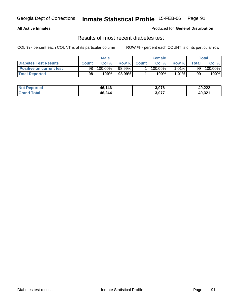### **All Active Inmates**

### Produced for **General Distribution**

### Results of most recent diabetes test

|                                 | <b>Male</b>  |                       |             | <b>Female</b> |          | Total            |         |
|---------------------------------|--------------|-----------------------|-------------|---------------|----------|------------------|---------|
| <b>Diabetes Test Results</b>    | <b>Count</b> | Col %                 | Row % Count | Col %         | Row %    | $\mathsf{Total}$ | Col %   |
| <b>Positive on current test</b> | 98           | $100.\overline{00\%}$ | 98.99%I     | $100.00\%$    | $1.01\%$ | 99               | 100.00% |
| <b>Total Reported</b>           | 98           | 100%                  | 98.99%I     | 100%          | $1.01\%$ | 99               | 100%    |

| <b>Not Reported</b> | 46,146 | 3,076 | 49,222 |
|---------------------|--------|-------|--------|
| Γotal<br>⊪Gran⊂     | 46,244 | 3,077 | 49,321 |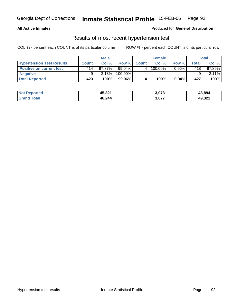### **All Active Inmates**

#### Produced for **General Distribution**

### Results of most recent hypertension test

|                                  | <b>Male</b> |           |           |              | <b>Female</b> |          | Total        |           |
|----------------------------------|-------------|-----------|-----------|--------------|---------------|----------|--------------|-----------|
| <b>Hypertension Test Results</b> | Count       | Col%      | Row %     | <b>Count</b> | Col%          | Row %    | <b>Total</b> | Col %     |
| <b>Positive on current test</b>  | 414         | $97.87\%$ | 99.04%    |              | 100.00%       | $0.96\%$ | 418          | $97.89\%$ |
| <b>Negative</b>                  |             | 2.13%     | 100.00%   |              |               |          |              | $2.11\%$  |
| <b>Total Reported</b>            | 423         | 100%      | $99.06\%$ |              | 100%          | $0.94\%$ | 427          | 100%      |

| <b>Not Reported</b> | 45,821 | 3,073 | 48,894 |
|---------------------|--------|-------|--------|
| <b>Grand Total</b>  | 46,244 | 3,077 | 49,321 |